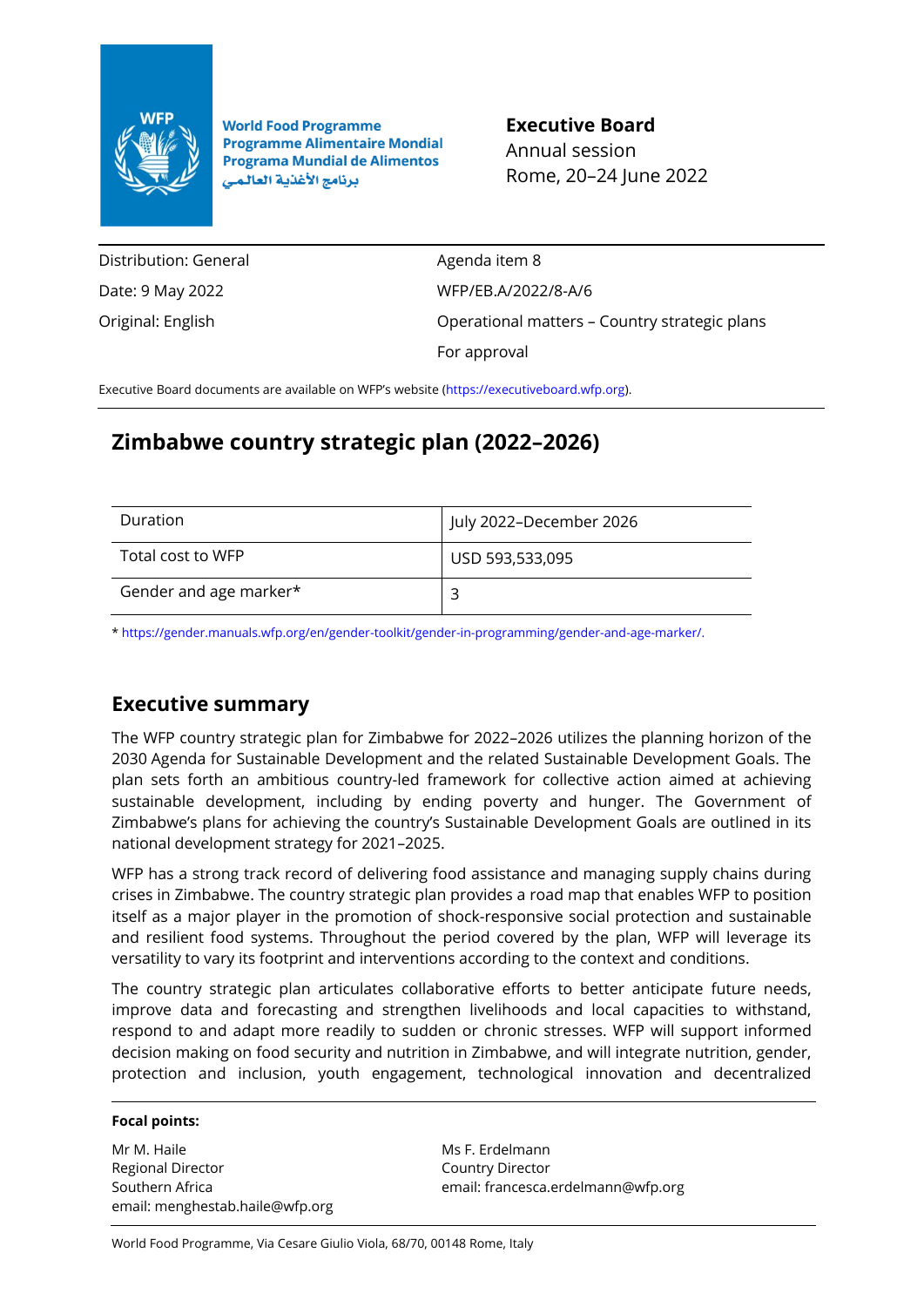

**World Food Programme Programme Alimentaire Mondial Programa Mundial de Alimentos** برنامج الأغذية العالمي

**Executive Board** Annual session Rome, 20–24 June 2022

Distribution: General Date: 9 May 2022 Original: English

Agenda item 8 WFP/EB.A/2022/8-A/6 Operational matters – Country strategic plans For approval

Executive Board documents are available on WFP's website [\(https://executiveboard.wfp.org\)](https://executiveboard.wfp.org/).

# **Zimbabwe country strategic plan (2022–2026)**

| Duration               | July 2022-December 2026 |
|------------------------|-------------------------|
| Total cost to WFP      | USD 593,533,095         |
| Gender and age marker* |                         |

[\\* https://gender.manuals.wfp.org/en/gender-toolkit/gender-in-programming/gender-and-age-marker/.](https://gender.manuals.wfp.org/en/gender-toolkit/gender-in-programming/gender-and-age-marker/)

## **Executive summary**

The WFP country strategic plan for Zimbabwe for 2022–2026 utilizes the planning horizon of the 2030 Agenda for Sustainable Development and the related Sustainable Development Goals. The plan sets forth an ambitious country-led framework for collective action aimed at achieving sustainable development, including by ending poverty and hunger. The Government of Zimbabwe's plans for achieving the country's Sustainable Development Goals are outlined in its national development strategy for 2021–2025.

WFP has a strong track record of delivering food assistance and managing supply chains during crises in Zimbabwe. The country strategic plan provides a road map that enables WFP to position itself as a major player in the promotion of shock-responsive social protection and sustainable and resilient food systems. Throughout the period covered by the plan, WFP will leverage its versatility to vary its footprint and interventions according to the context and conditions.

The country strategic plan articulates collaborative efforts to better anticipate future needs, improve data and forecasting and strengthen livelihoods and local capacities to withstand, respond to and adapt more readily to sudden or chronic stresses. WFP will support informed decision making on food security and nutrition in Zimbabwe, and will integrate nutrition, gender, protection and inclusion, youth engagement, technological innovation and decentralized

#### **Focal points:**

Mr M. Haile Regional Director Southern Africa email: menghestab.haile@wfp.org

Ms F. Erdelmann Country Director email: francesca.erdelmann@wfp.org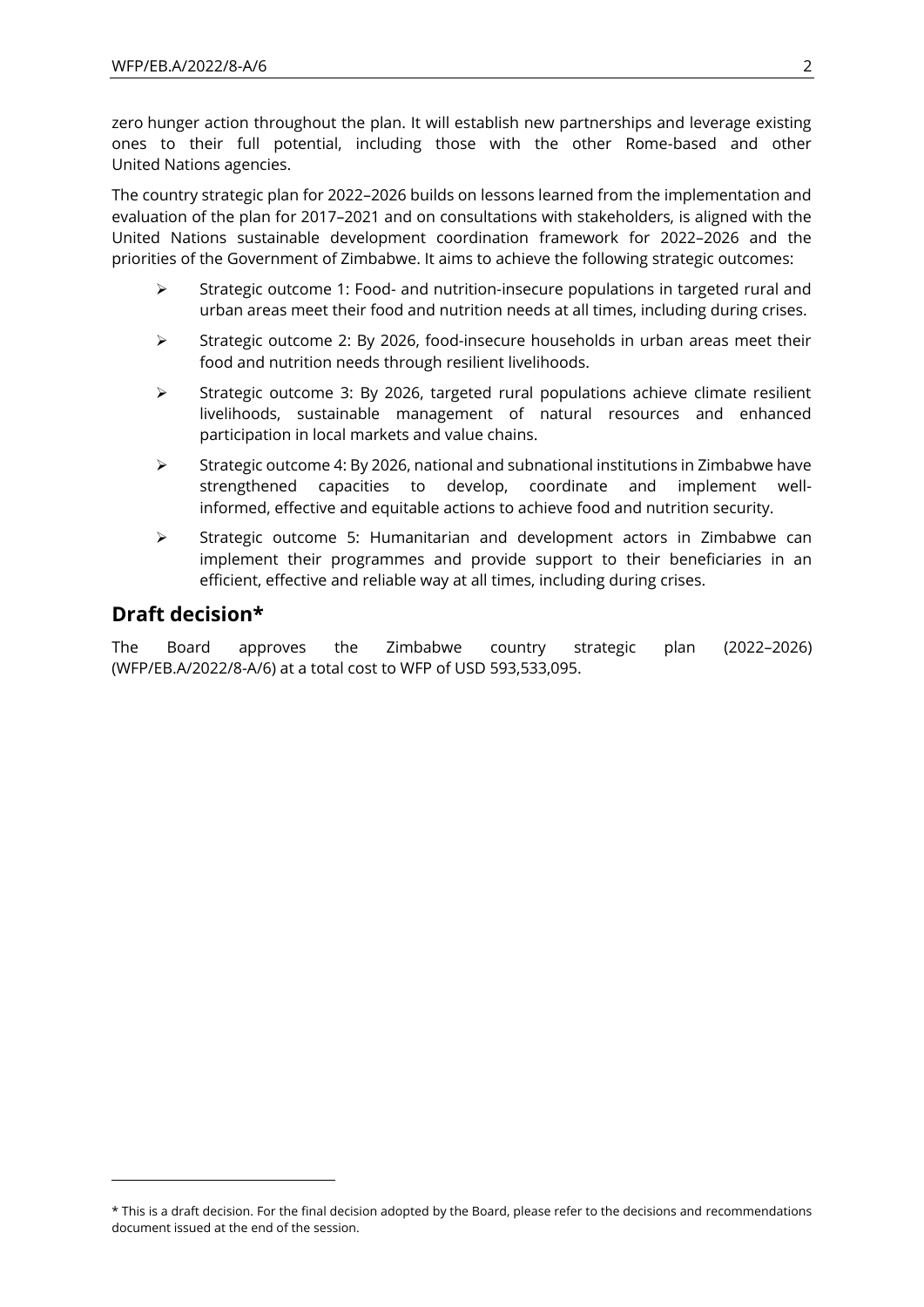zero hunger action throughout the plan. It will establish new partnerships and leverage existing ones to their full potential, including those with the other Rome-based and other United Nations agencies.

The country strategic plan for 2022–2026 builds on lessons learned from the implementation and evaluation of the plan for 2017–2021 and on consultations with stakeholders, is aligned with the United Nations sustainable development coordination framework for 2022–2026 and the priorities of the Government of Zimbabwe. It aims to achieve the following strategic outcomes:

- $\triangleright$  Strategic outcome 1: Food- and nutrition-insecure populations in targeted rural and urban areas meet their food and nutrition needs at all times, including during crises.
- $\triangleright$  Strategic outcome 2: By 2026, food-insecure households in urban areas meet their food and nutrition needs through resilient livelihoods.
- ➢ Strategic outcome 3: By 2026, targeted rural populations achieve climate resilient livelihoods, sustainable management of natural resources and enhanced participation in local markets and value chains.
- $\triangleright$  Strategic outcome 4: By 2026, national and subnational institutions in Zimbabwe have strengthened capacities to develop, coordinate and implement wellinformed, effective and equitable actions to achieve food and nutrition security.
- ➢ Strategic outcome 5: Humanitarian and development actors in Zimbabwe can implement their programmes and provide support to their beneficiaries in an efficient, effective and reliable way at all times, including during crises.

## **Draft decision\***

The Board approves the Zimbabwe country strategic plan (2022–2026) (WFP/EB.A/2022/8-A/6) at a total cost to WFP of USD 593,533,095.

<sup>\*</sup> This is a draft decision. For the final decision adopted by the Board, please refer to the decisions and recommendations document issued at the end of the session.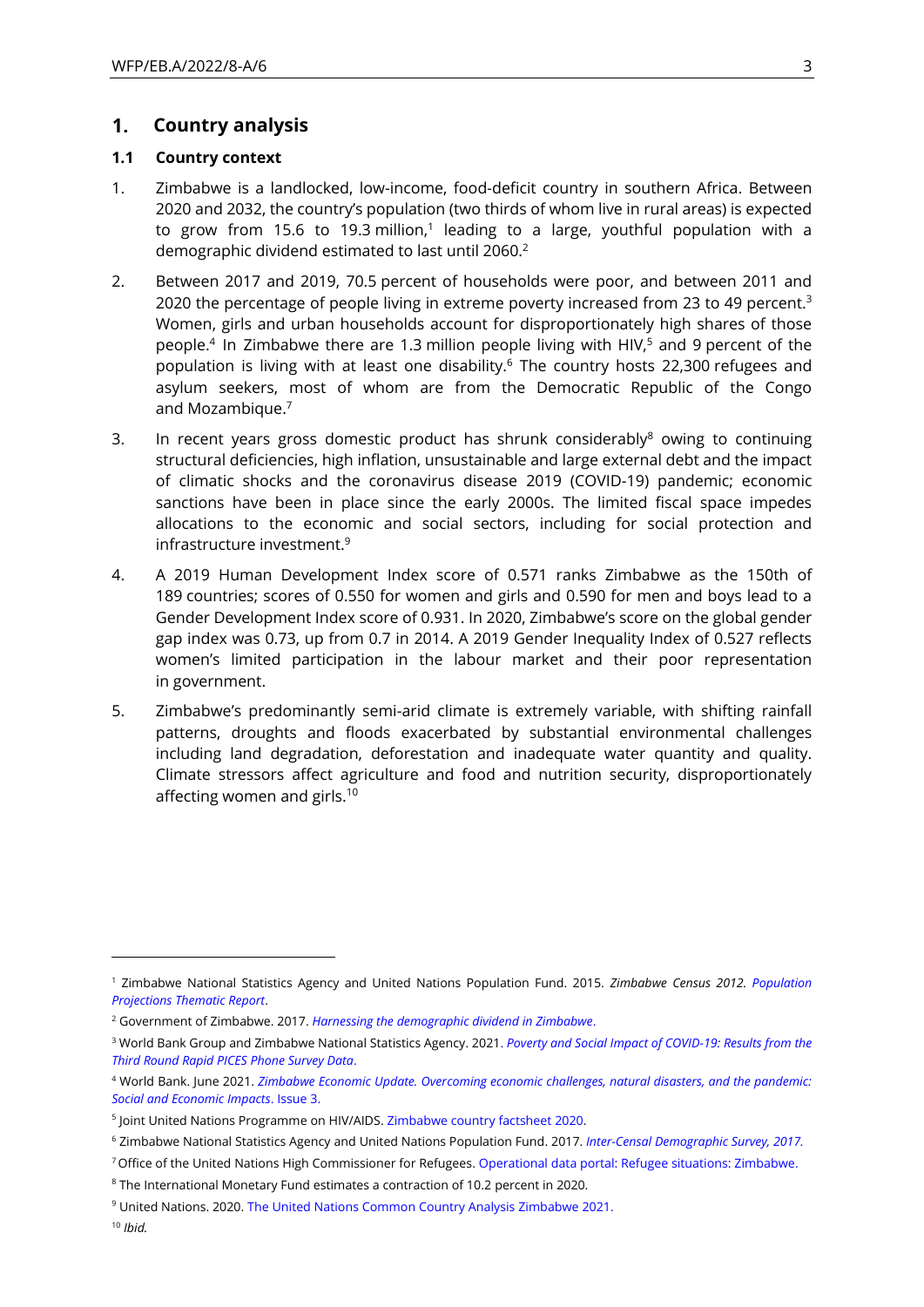#### $1.$ **Country analysis**

#### **1.1 Country context**

- 1. Zimbabwe is a landlocked, low-income, food-deficit country in southern Africa. Between 2020 and 2032, the country's population (two thirds of whom live in rural areas) is expected to grow from 15.6 to 19.3 million,<sup>1</sup> leading to a large, youthful population with a demographic dividend estimated to last until 2060.<sup>2</sup>
- 2. Between 2017 and 2019, 70.5 percent of households were poor, and between 2011 and 2020 the percentage of people living in extreme poverty increased from 23 to 49 percent.<sup>3</sup> Women, girls and urban households account for disproportionately high shares of those people.<sup>4</sup> In Zimbabwe there are 1.3 million people living with HIV,<sup>5</sup> and 9 percent of the population is living with at least one disability.<sup>6</sup> The country hosts 22,300 refugees and asylum seekers, most of whom are from the Democratic Republic of the Congo and Mozambique.<sup>7</sup>
- 3. In recent years gross domestic product has shrunk considerably $8$  owing to continuing structural deficiencies, high inflation, unsustainable and large external debt and the impact of climatic shocks and the coronavirus disease 2019 (COVID-19) pandemic; economic sanctions have been in place since the early 2000s. The limited fiscal space impedes allocations to the economic and social sectors, including for social protection and infrastructure investment.<sup>9</sup>
- 4. A 2019 Human Development Index score of 0.571 ranks Zimbabwe as the 150th of 189 countries; scores of 0.550 for women and girls and 0.590 for men and boys lead to a Gender Development Index score of 0.931. In 2020, Zimbabwe's score on the global gender gap index was 0.73, up from 0.7 in 2014. A 2019 Gender Inequality Index of 0.527 reflects women's limited participation in the labour market and their poor representation in government.
- 5. Zimbabwe's predominantly semi-arid climate is extremely variable, with shifting rainfall patterns, droughts and floods exacerbated by substantial environmental challenges including land degradation, deforestation and inadequate water quantity and quality. Climate stressors affect agriculture and food and nutrition security, disproportionately affecting women and girls.<sup>10</sup>

<sup>10</sup> *Ibid.*

<sup>1</sup> Zimbabwe National Statistics Agency and United Nations Population Fund. 2015. *Zimbabwe Census 2012. [Population](https://www.zimstat.co.zw/wp-content/uploads/publications/Population/population/population-projection.pdf)  [Projections Thematic Report](https://www.zimstat.co.zw/wp-content/uploads/publications/Population/population/population-projection.pdf)*.

<sup>2</sup> Government of Zimbabwe. 2017. *[Harnessing the demographic dividend in Zimbabwe](https://zimbabwe.unfpa.org/sites/default/files/pub-pdf/Harnessing%20the%20Demographic%20Dividend%20Study%20Report.pdf)*.

<sup>3</sup> World Bank Group and Zimbabwe National Statistics Agency. 2021. *[Poverty and Social Impact of COVID-19: Results from the](https://www.zimstat.co.zw/wp-content/uploads/publications/Income/Finance/Rapid_PICES_Third_Round_Presentation_Final072021.pdf)  [Third Round Rapid PICES Phone Survey Data](https://www.zimstat.co.zw/wp-content/uploads/publications/Income/Finance/Rapid_PICES_Third_Round_Presentation_Final072021.pdf)*.

<sup>4</sup> World Bank. June 2021. *[Zimbabwe Economic Update. Overcoming economic challenges, natural disasters, and the pandemic:](https://openknowledge.worldbank.org/bitstream/handle/10986/35748/Overcoming-Economic-Challenges-Natural-Disasters-and-the-Pandemic-Social-and-Economic-Impacts.pdf?sequence=1&isAllowed=y)  [Social and Economic Impacts](https://openknowledge.worldbank.org/bitstream/handle/10986/35748/Overcoming-Economic-Challenges-Natural-Disasters-and-the-Pandemic-Social-and-Economic-Impacts.pdf?sequence=1&isAllowed=y)*. Issue 3.

<sup>5</sup> Joint United Nations Programme on HIV/AIDS. [Zimbabwe country factsheet](https://www.unaids.org/en/regionscountries/countries/zimbabwe) 2020.

<sup>6</sup> Zimbabwe National Statistics Agency and United Nations Population Fund. 2017. *[Inter-Censal Demographic Survey, 2017.](https://www.zimstat.co.zw/wp-content/uploads/publications/Population/population/ICDS_2017.pdf)*

<sup>7</sup> Office of the United Nations High Commissioner for Refugee[s.](https://data2.unhcr.org/en/country/zwe) [Operational data portal: Refugee situations: Zimbabwe.](https://data2.unhcr.org/en/country/zwe)

<sup>8</sup> The International Monetary Fund estimates a contraction of 10.2 percent in 2020.

<sup>9</sup> United Nations. 2020[. The United Nations Common Country Analysis Zimbabwe 2021.](https://zimbabwe.un.org/en/130569-zimbabwe-un-common-country-analysis-2021)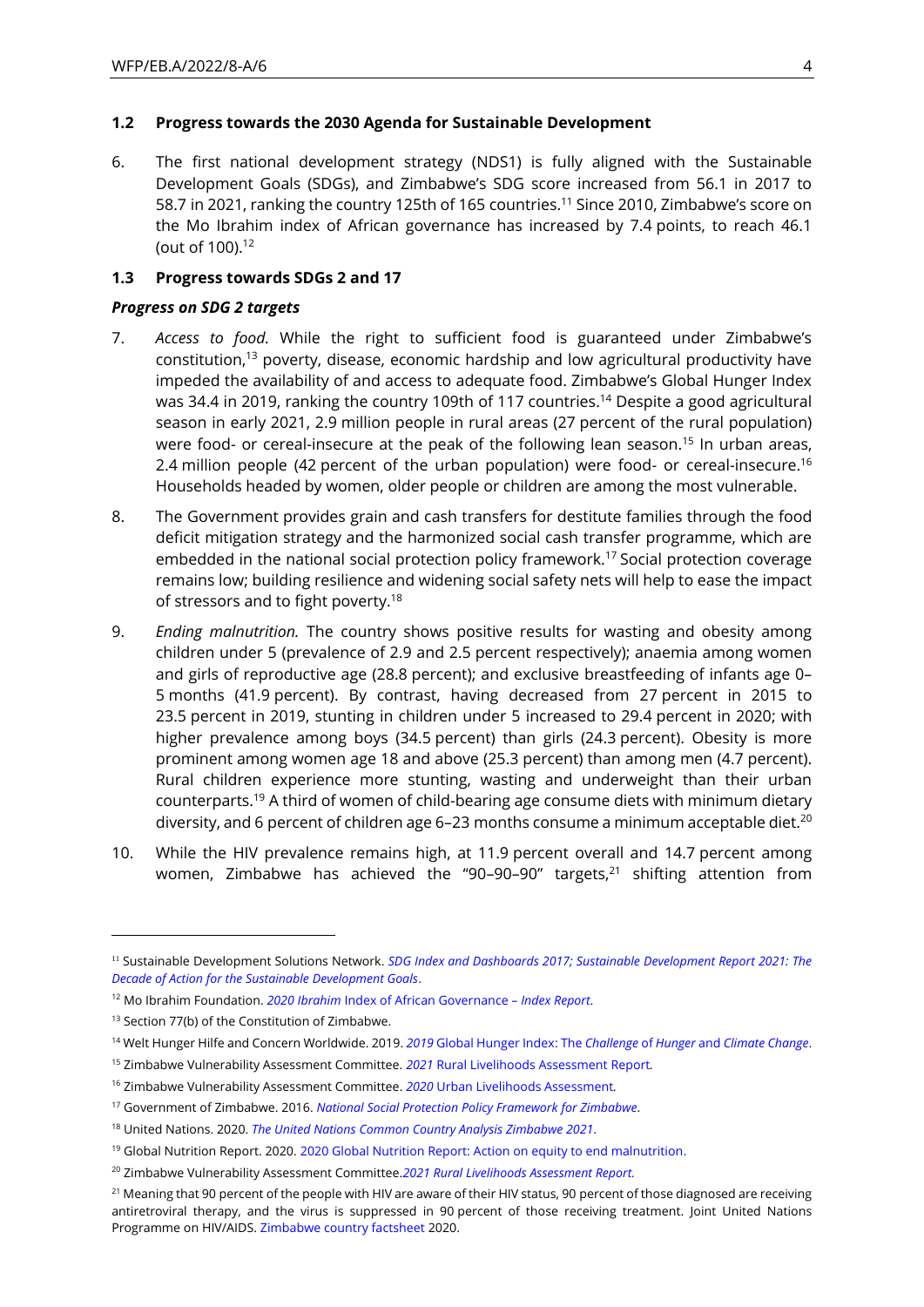### **1.2 Progress towards the 2030 Agenda for Sustainable Development**

6. The first national development strategy (NDS1) is fully aligned with the Sustainable Development Goals (SDGs), and Zimbabwe's SDG score increased from 56.1 in 2017 to 58.7 in 2021, ranking the country 125th of 165 countries.<sup>11</sup> Since 2010, Zimbabwe's score on the Mo Ibrahim index of African governance has increased by 7.4 points, to reach 46.1 (out of 100).<sup>12</sup>

### **1.3 Progress towards SDGs 2 and 17**

#### *Progress on SDG 2 targets*

- 7. *Access to food.* While the right to sufficient food is guaranteed under Zimbabwe's constitution,<sup>13</sup> poverty, disease, economic hardship and low agricultural productivity have impeded the availability of and access to adequate food. Zimbabwe's Global Hunger Index was 34.4 in 2019, ranking the country 109th of 117 countries.<sup>14</sup> Despite a good agricultural season in early 2021, 2.9 million people in rural areas (27 percent of the rural population) were food- or cereal-insecure at the peak of the following lean season.<sup>15</sup> In urban areas, 2.4 million people (42 percent of the urban population) were food- or cereal-insecure.<sup>16</sup> Households headed by women, older people or children are among the most vulnerable.
- 8. The Government provides grain and cash transfers for destitute families through the food deficit mitigation strategy and the harmonized social cash transfer programme, which are embedded in the national social protection policy framework.<sup>17</sup> Social protection coverage remains low; building resilience and widening social safety nets will help to ease the impact of stressors and to fight poverty.<sup>18</sup>
- 9. *Ending malnutrition.* The country shows positive results for wasting and obesity among children under 5 (prevalence of 2.9 and 2.5 percent respectively); anaemia among women and girls of reproductive age (28.8 percent); and exclusive breastfeeding of infants age 0– 5 months (41.9 percent). By contrast, having decreased from 27 percent in 2015 to 23.5 percent in 2019, stunting in children under 5 increased to 29.4 percent in 2020; with higher prevalence among boys (34.5 percent) than girls (24.3 percent). Obesity is more prominent among women age 18 and above (25.3 percent) than among men (4.7 percent). Rural children experience more stunting, wasting and underweight than their urban counterparts.<sup>19</sup> A third of women of child-bearing age consume diets with minimum dietary diversity, and 6 percent of children age 6-23 months consume a minimum acceptable diet.<sup>20</sup>
- 10. While the HIV prevalence remains high, at 11.9 percent overall and 14.7 percent among women, Zimbabwe has achieved the "90-90-90" targets,<sup>21</sup> shifting attention from

<sup>11</sup> Sustainable Development Solutions Network. *[SDG Index and Dashboards 2017;](https://www.sdgindex.org/reports/sdg-index-and-dashboards-2017/) [Sustainable Development Report 2021: The](https://s3.amazonaws.com/sustainabledevelopment.report/2021/2021-sustainable-development-report-g20-and-large-countries.pdf)  [Decade of Action for the Sustainable Development Goals](https://s3.amazonaws.com/sustainabledevelopment.report/2021/2021-sustainable-development-report-g20-and-large-countries.pdf)*.

<sup>12</sup> Mo Ibrahim Foundation. *2020 Ibrahim* [Index of African Governance](https://mo.ibrahim.foundation/iiag/downloads) *– Index Report*.

<sup>&</sup>lt;sup>13</sup> Section 77(b) of the Constitution of Zimbabwe.

<sup>14</sup> Welt Hunger Hilfe and Concern Worldwide. 2019. *2019* [Global Hunger Index:](https://reliefweb.int/sites/reliefweb.int/files/resources/2019%20Global%20Hunger%20Index.pdf) The *Challenge* of *Hunger* and *Climate Change*.

<sup>15</sup> Zimbabwe Vulnerability Assessment Committee. *2021* [Rural Livelihoods Assessment Report](http://fnc.org.zw/wp-content/uploads/2021/06/ZimVAC-2021-Rural-Livelihoods-Assessment-Report.pdf)*.*

<sup>16</sup> Zimbabwe Vulnerability Assessment Committee. *2020* [Urban Livelihoods Assessment](http://fnc.org.zw/wp-content/uploads/2021/03/2020-ZimVAC-Urban-Livelihoods-Assessment.pdf)*.*

<sup>17</sup> Government of Zimbabwe. 2016. *[National Social Protection Policy Framework](https://www.social-protection.org/gimi/RessourcePDF.action;jsessionid=sfcsUQbknb_TOz_GDLUr0kaoTvMPI4HVDx5AFkwxMdxyBwfN6Mh2!-1463413688?id=55799) for Zimbabwe*.

<sup>18</sup> United Nations. 2020. *[The United Nations Common Country Analysis](https://zimbabwe.un.org/en/130569-zimbabwe-un-common-country-analysis-2021) Zimbabwe 2021*.

<sup>&</sup>lt;sup>19</sup> Global Nutrition Report. 2020[. 2020 Global Nutrition Report: Action on equity to end malnutrition.](https://reliefweb.int/sites/reliefweb.int/files/resources/2020%20Global%20Nutrition%20Report.pdf)

<sup>20</sup> Zimbabwe Vulnerability Assessment Committee.*[2021 Rural Livelihoods Assessment Report.](http://fnc.org.zw/wp-content/uploads/2021/06/ZimVAC-2021-Rural-Livelihoods-Assessment-Report.pdf)*

<sup>&</sup>lt;sup>21</sup> Meaning that 90 percent of the people with HIV are aware of their HIV status, 90 percent of those diagnosed are receiving antiretroviral therapy, and the virus is suppressed in 90 percent of those receiving treatment. Joint United Nations Programme on HIV/AIDS. [Zimbabwe country factsheet](https://www.unaids.org/en/regionscountries/countries/zimbabwe) 2020.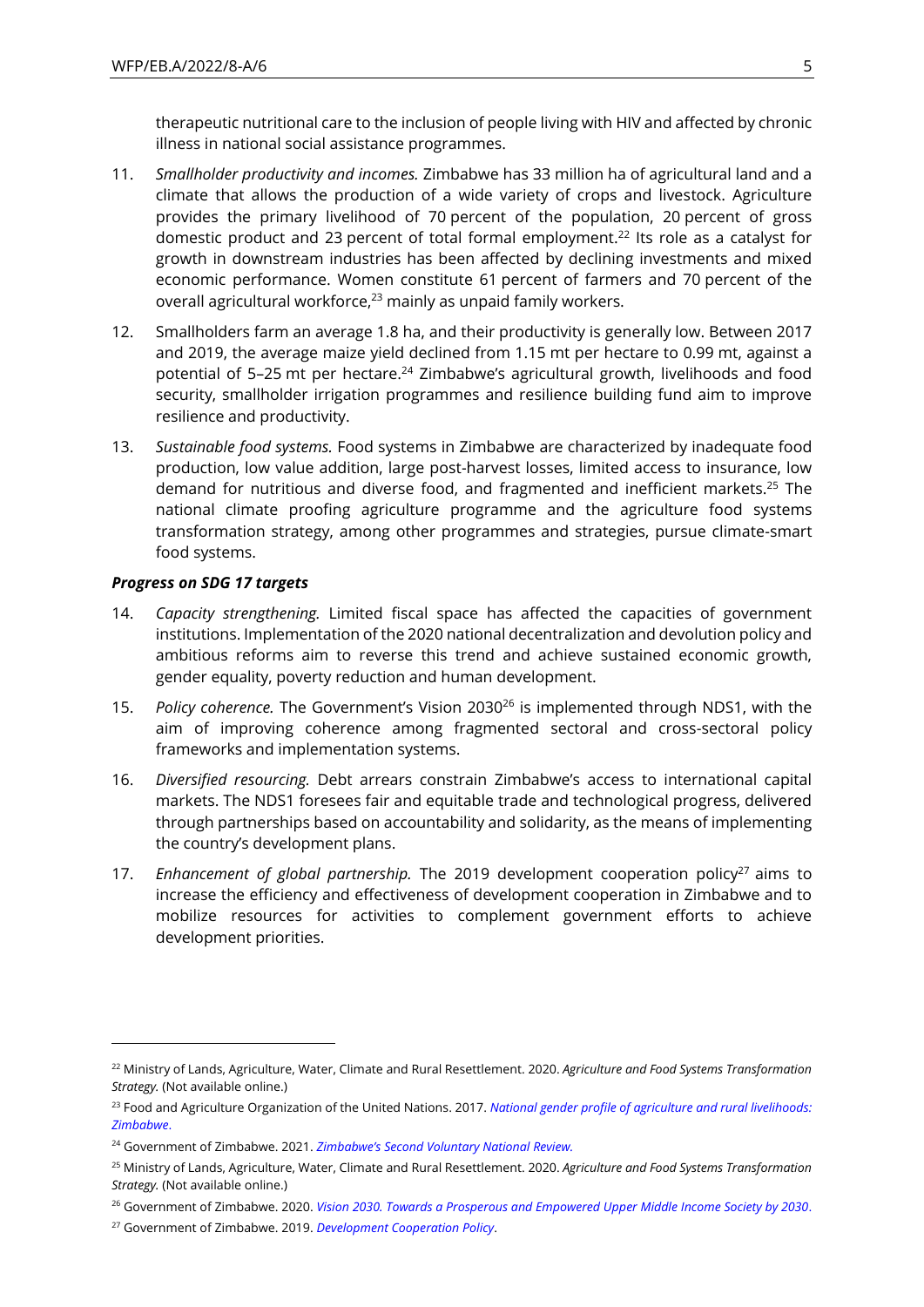therapeutic nutritional care to the inclusion of people living with HIV and affected by chronic illness in national social assistance programmes.

- 11. *Smallholder productivity and incomes.* Zimbabwe has 33 million ha of agricultural land and a climate that allows the production of a wide variety of crops and livestock. Agriculture provides the primary livelihood of 70 percent of the population, 20 percent of gross domestic product and 23 percent of total formal employment.<sup>22</sup> Its role as a catalyst for growth in downstream industries has been affected by declining investments and mixed economic performance. Women constitute 61 percent of farmers and 70 percent of the overall agricultural workforce,<sup>23</sup> mainly as unpaid family workers.
- 12. Smallholders farm an average 1.8 ha, and their productivity is generally low. Between 2017 and 2019, the average maize yield declined from 1.15 mt per hectare to 0.99 mt, against a potential of 5–25 mt per hectare.<sup>24</sup> Zimbabwe's agricultural growth, livelihoods and food security, smallholder irrigation programmes and resilience building fund aim to improve resilience and productivity.
- 13. *Sustainable food systems.* Food systems in Zimbabwe are characterized by inadequate food production, low value addition, large post-harvest losses, limited access to insurance, low demand for nutritious and diverse food, and fragmented and inefficient markets.<sup>25</sup> The national climate proofing agriculture programme and the agriculture food systems transformation strategy, among other programmes and strategies, pursue climate-smart food systems.

#### *Progress on SDG 17 targets*

- 14. *Capacity strengthening.* Limited fiscal space has affected the capacities of government institutions. Implementation of the 2020 national decentralization and devolution policy and ambitious reforms aim to reverse this trend and achieve sustained economic growth, gender equality, poverty reduction and human development.
- 15. *Policy coherence.* The Government's Vision 2030<sup>26</sup> is implemented through NDS1, with the aim of improving coherence among fragmented sectoral and cross-sectoral policy frameworks and implementation systems.
- 16. *Diversified resourcing.* Debt arrears constrain Zimbabwe's access to international capital markets. The NDS1 foresees fair and equitable trade and technological progress, delivered through partnerships based on accountability and solidarity, as the means of implementing the country's development plans.
- 17. *Enhancement of global partnership*. The 2019 development cooperation policy<sup>27</sup> aims to increase the efficiency and effectiveness of development cooperation in Zimbabwe and to mobilize resources for activities to complement government efforts to achieve development priorities.

<sup>22</sup> Ministry of Lands, Agriculture, Water, Climate and Rural Resettlement. 2020. *Agriculture and Food Systems Transformation Strategy.* (Not available online.)

<sup>23</sup> Food and Agriculture Organization of the United Nations. 2017. *[National gender profile of agriculture and rural livelihoods:](http://www.fao.org/3/i6997e/i6997e.pdf) [Zimbabwe](http://www.fao.org/3/i6997e/i6997e.pdf)*.

<sup>24</sup> Government of Zimbabwe. 2021. *[Zimbabwe's Second Voluntary National Review.](https://sustainabledevelopment.un.org/content/documents/279562021_VNR_Report_Zimbabwe.pdf)*

<sup>25</sup> Ministry of Lands, Agriculture, Water, Climate and Rural Resettlement. 2020. *Agriculture and Food Systems Transformation Strategy.* (Not available online.)

<sup>26</sup> Government of Zimbabwe. 2020. *[Vision 2030. Towards a Prosperous and Empowered Upper Middle Income Society by 2030](http://www.zim.gov.zw/index.php/en/government-documents/category/1-vision-2030)*.

<sup>27</sup> Government of Zimbabwe. 2019. *[Development Cooperation Policy](http://www.zimtreasury.gov.zw/index.php?option=com_phocadownload&view=category&id=2:policy-documents&Itemid=760)*.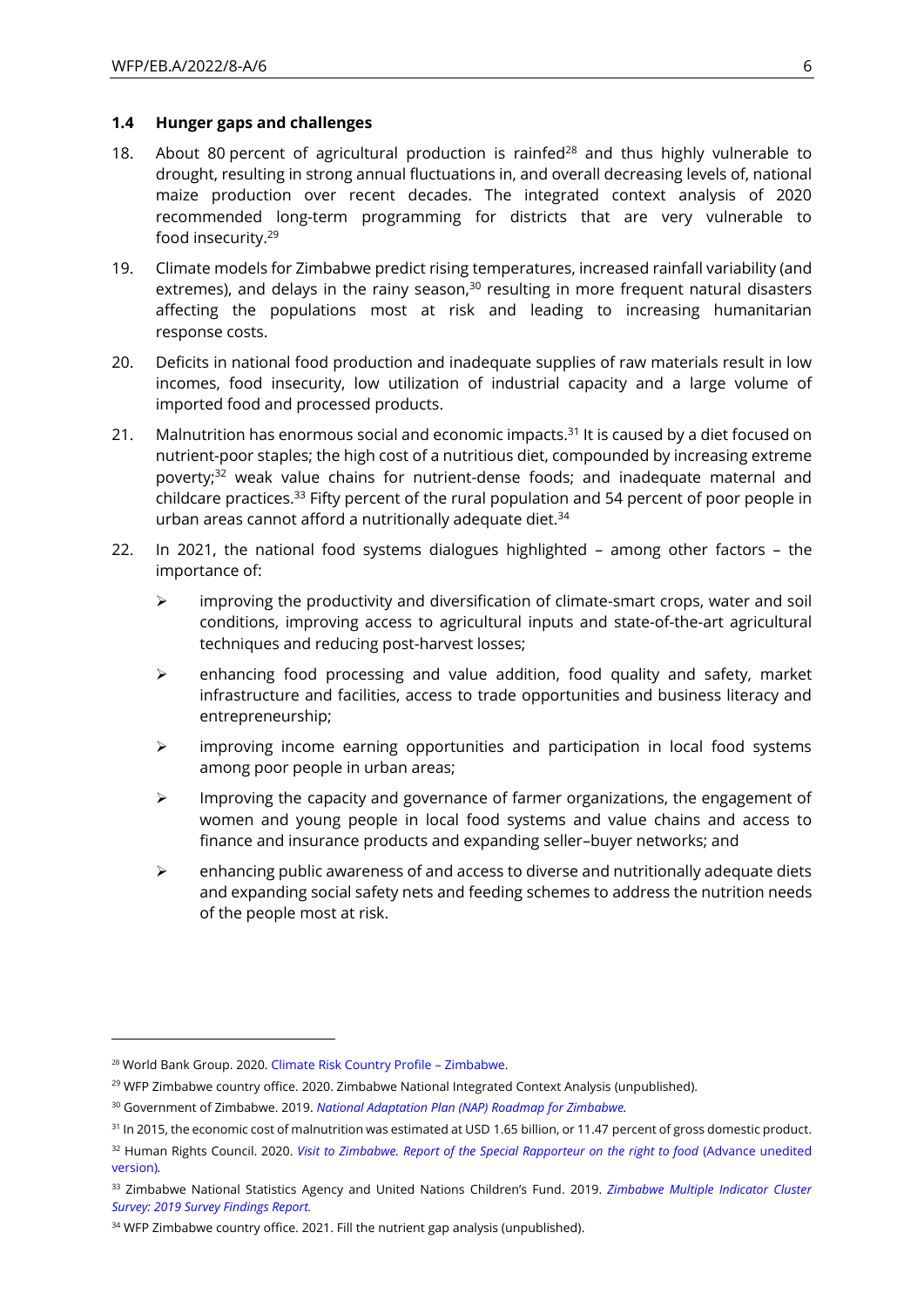#### **1.4 Hunger gaps and challenges**

- 18. About 80 percent of agricultural production is rainfed<sup>28</sup> and thus highly vulnerable to drought, resulting in strong annual fluctuations in, and overall decreasing levels of, national maize production over recent decades. The integrated context analysis of 2020 recommended long-term programming for districts that are very vulnerable to food insecurity.<sup>29</sup>
- 19. Climate models for Zimbabwe predict rising temperatures, increased rainfall variability (and extremes), and delays in the rainy season, $30$  resulting in more frequent natural disasters affecting the populations most at risk and leading to increasing humanitarian response costs.
- 20. Deficits in national food production and inadequate supplies of raw materials result in low incomes, food insecurity, low utilization of industrial capacity and a large volume of imported food and processed products.
- 21. Malnutrition has enormous social and economic impacts.<sup>31</sup> It is caused by a diet focused on nutrient-poor staples; the high cost of a nutritious diet, compounded by increasing extreme poverty;<sup>32</sup> weak value chains for nutrient-dense foods; and inadequate maternal and childcare practices.<sup>33</sup> Fifty percent of the rural population and 54 percent of poor people in urban areas cannot afford a nutritionally adequate diet. $34$
- 22. In 2021, the national food systems dialogues highlighted among other factors the importance of:
	- ➢ improving the productivity and diversification of climate-smart crops, water and soil conditions, improving access to agricultural inputs and state-of-the-art agricultural techniques and reducing post-harvest losses;
	- $\triangleright$  enhancing food processing and value addition, food quality and safety, market infrastructure and facilities, access to trade opportunities and business literacy and entrepreneurship;
	- ➢ improving income earning opportunities and participation in local food systems among poor people in urban areas;
	- $\triangleright$  Improving the capacity and governance of farmer organizations, the engagement of women and young people in local food systems and value chains and access to finance and insurance products and expanding seller–buyer networks; and
	- $\triangleright$  enhancing public awareness of and access to diverse and nutritionally adequate diets and expanding social safety nets and feeding schemes to address the nutrition needs of the people most at risk.

<sup>28</sup> World Bank Group. 2020. [Climate Risk Country Profile](https://climateknowledgeportal.worldbank.org/sites/default/files/2020-06/14956-ZimbabweCountryProfile-WEB_v1.pdf) – Zimbabwe.

<sup>&</sup>lt;sup>29</sup> WFP Zimbabwe country office. 2020. Zimbabwe National Integrated Context Analysis (unpublished).

<sup>30</sup> Government of Zimbabwe. 2019. *[National Adaptation Plan \(NAP\) Roadmap for Zimbabwe.](https://napglobalnetwork.org/wp-content/uploads/2019/04/napgn-en-2019-nap-roadmap-for-zimbabwe.pdf)*

<sup>&</sup>lt;sup>31</sup> In 2015, the economic cost of malnutrition was estimated at USD 1.65 billion, or 11.47 percent of gross domestic product.

<sup>32</sup> Human Rights Council. 2020. *[Visit to Zimbabwe. Report of the Special Rapporteur on the right to food](https://reliefweb.int/sites/reliefweb.int/files/resources/A_HRC_43_44_Add.2_AdvanceUneditedVersion.pdf)* (Advance unedited version)*.*

<sup>33</sup> Zimbabwe National Statistics Agency and United Nations Children's Fund. 2019. *[Zimbabwe Multiple Indicator Cluster](https://www.zimstat.co.zw/wp-content/uploads/publications/Social/Health/MICS2019/MICS-2019.pdf)  [Survey: 2019 Survey Findings Report.](https://www.zimstat.co.zw/wp-content/uploads/publications/Social/Health/MICS2019/MICS-2019.pdf)*

<sup>&</sup>lt;sup>34</sup> WFP Zimbabwe country office. 2021. Fill the nutrient gap analysis (unpublished).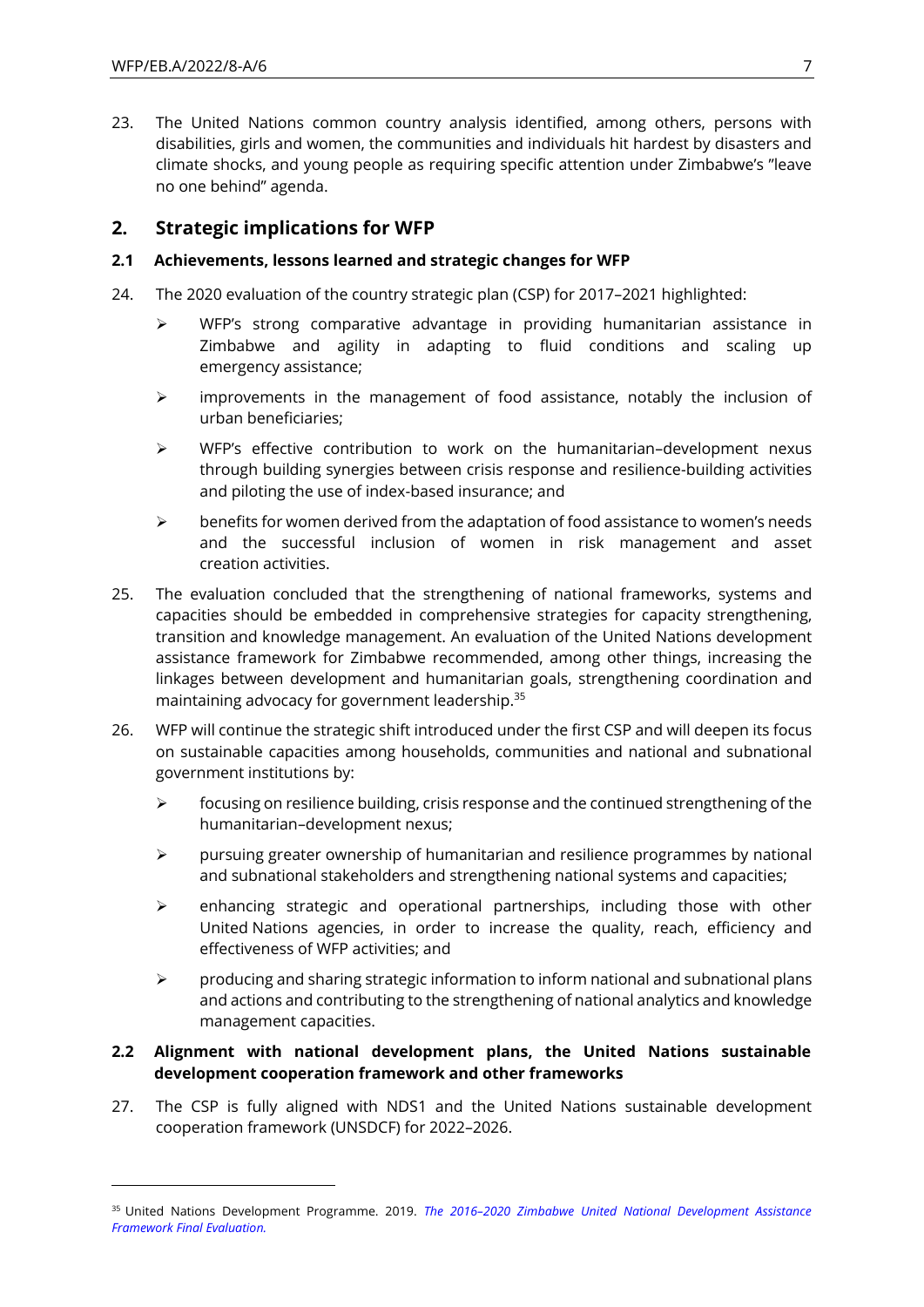23. The United Nations common country analysis identified, among others, persons with disabilities, girls and women, the communities and individuals hit hardest by disasters and climate shocks, and young people as requiring specific attention under Zimbabwe's "leave no one behind" agenda.

## **2. Strategic implications for WFP**

### **2.1 Achievements, lessons learned and strategic changes for WFP**

- 24. The 2020 evaluation of the country strategic plan (CSP) for 2017–2021 highlighted:
	- ➢ WFP's strong comparative advantage in providing humanitarian assistance in Zimbabwe and agility in adapting to fluid conditions and scaling up emergency assistance;
	- ➢ improvements in the management of food assistance, notably the inclusion of urban beneficiaries;
	- ➢ WFP's effective contribution to work on the humanitarian–development nexus through building synergies between crisis response and resilience-building activities and piloting the use of index-based insurance; and
	- $\triangleright$  benefits for women derived from the adaptation of food assistance to women's needs and the successful inclusion of women in risk management and asset creation activities.
- 25. The evaluation concluded that the strengthening of national frameworks, systems and capacities should be embedded in comprehensive strategies for capacity strengthening, transition and knowledge management. An evaluation of the United Nations development assistance framework for Zimbabwe recommended, among other things, increasing the linkages between development and humanitarian goals, strengthening coordination and maintaining advocacy for government leadership.<sup>35</sup>
- 26. WFP will continue the strategic shift introduced under the first CSP and will deepen its focus on sustainable capacities among households, communities and national and subnational government institutions by:
	- ➢ focusing on resilience building, crisis response and the continued strengthening of the humanitarian–development nexus;
	- $\triangleright$  pursuing greater ownership of humanitarian and resilience programmes by national and subnational stakeholders and strengthening national systems and capacities;
	- ➢ enhancing strategic and operational partnerships, including those with other United Nations agencies, in order to increase the quality, reach, efficiency and effectiveness of WFP activities; and
	- $\triangleright$  producing and sharing strategic information to inform national and subnational plans and actions and contributing to the strengthening of national analytics and knowledge management capacities.

### **2.2 Alignment with national development plans, the United Nations sustainable development cooperation framework and other frameworks**

27. The CSP is fully aligned with NDS1 and the United Nations sustainable development cooperation framework (UNSDCF) for 2022–2026.

<sup>35</sup> United Nations Development Programme. 2019. *The 2016–[2020 Zimbabwe United National Development Assistance](https://erc.undp.org/evaluation/evaluations/detail/8361)  [Framework Final Evaluation.](https://erc.undp.org/evaluation/evaluations/detail/8361)*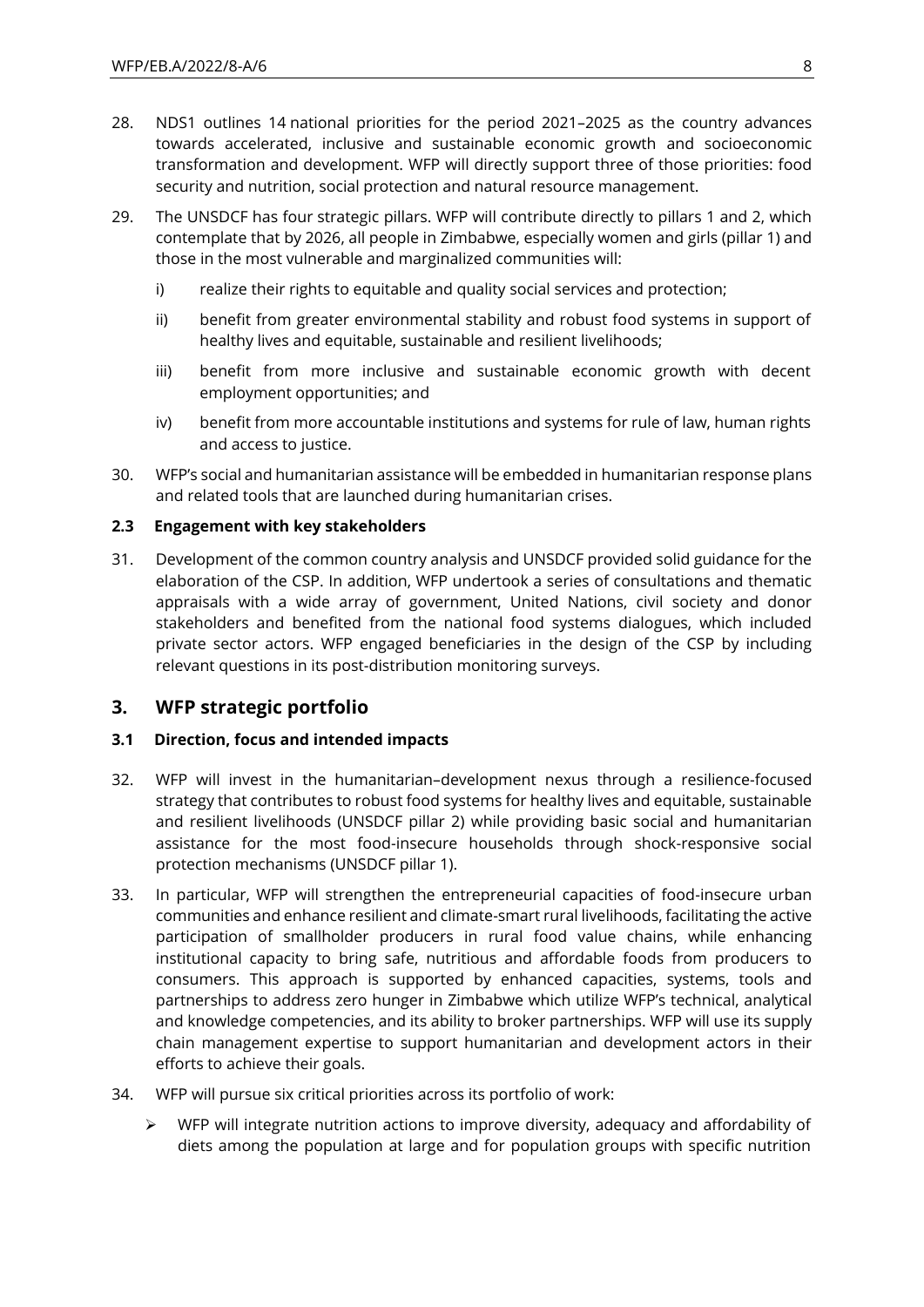- 28. NDS1 outlines 14 national priorities for the period 2021–2025 as the country advances towards accelerated, inclusive and sustainable economic growth and socioeconomic transformation and development. WFP will directly support three of those priorities: food security and nutrition, social protection and natural resource management.
- 29. The UNSDCF has four strategic pillars. WFP will contribute directly to pillars 1 and 2, which contemplate that by 2026, all people in Zimbabwe, especially women and girls (pillar 1) and those in the most vulnerable and marginalized communities will:
	- i) realize their rights to equitable and quality social services and protection;
	- ii) benefit from greater environmental stability and robust food systems in support of healthy lives and equitable, sustainable and resilient livelihoods;
	- iii) benefit from more inclusive and sustainable economic growth with decent employment opportunities; and
	- iv) benefit from more accountable institutions and systems for rule of law, human rights and access to justice.
- 30. WFP's social and humanitarian assistance will be embedded in humanitarian response plans and related tools that are launched during humanitarian crises.

### **2.3 Engagement with key stakeholders**

31. Development of the common country analysis and UNSDCF provided solid guidance for the elaboration of the CSP. In addition, WFP undertook a series of consultations and thematic appraisals with a wide array of government, United Nations, civil society and donor stakeholders and benefited from the national food systems dialogues, which included private sector actors. WFP engaged beneficiaries in the design of the CSP by including relevant questions in its post-distribution monitoring surveys.

## **3. WFP strategic portfolio**

### **3.1 Direction, focus and intended impacts**

- 32. WFP will invest in the humanitarian–development nexus through a resilience-focused strategy that contributes to robust food systems for healthy lives and equitable, sustainable and resilient livelihoods (UNSDCF pillar 2) while providing basic social and humanitarian assistance for the most food-insecure households through shock-responsive social protection mechanisms (UNSDCF pillar 1).
- 33. In particular, WFP will strengthen the entrepreneurial capacities of food-insecure urban communities and enhance resilient and climate-smart rural livelihoods, facilitating the active participation of smallholder producers in rural food value chains, while enhancing institutional capacity to bring safe, nutritious and affordable foods from producers to consumers. This approach is supported by enhanced capacities, systems, tools and partnerships to address zero hunger in Zimbabwe which utilize WFP's technical, analytical and knowledge competencies, and its ability to broker partnerships. WFP will use its supply chain management expertise to support humanitarian and development actors in their efforts to achieve their goals.
- 34. WFP will pursue six critical priorities across its portfolio of work:
	- $\triangleright$  WFP will integrate nutrition actions to improve diversity, adequacy and affordability of diets among the population at large and for population groups with specific nutrition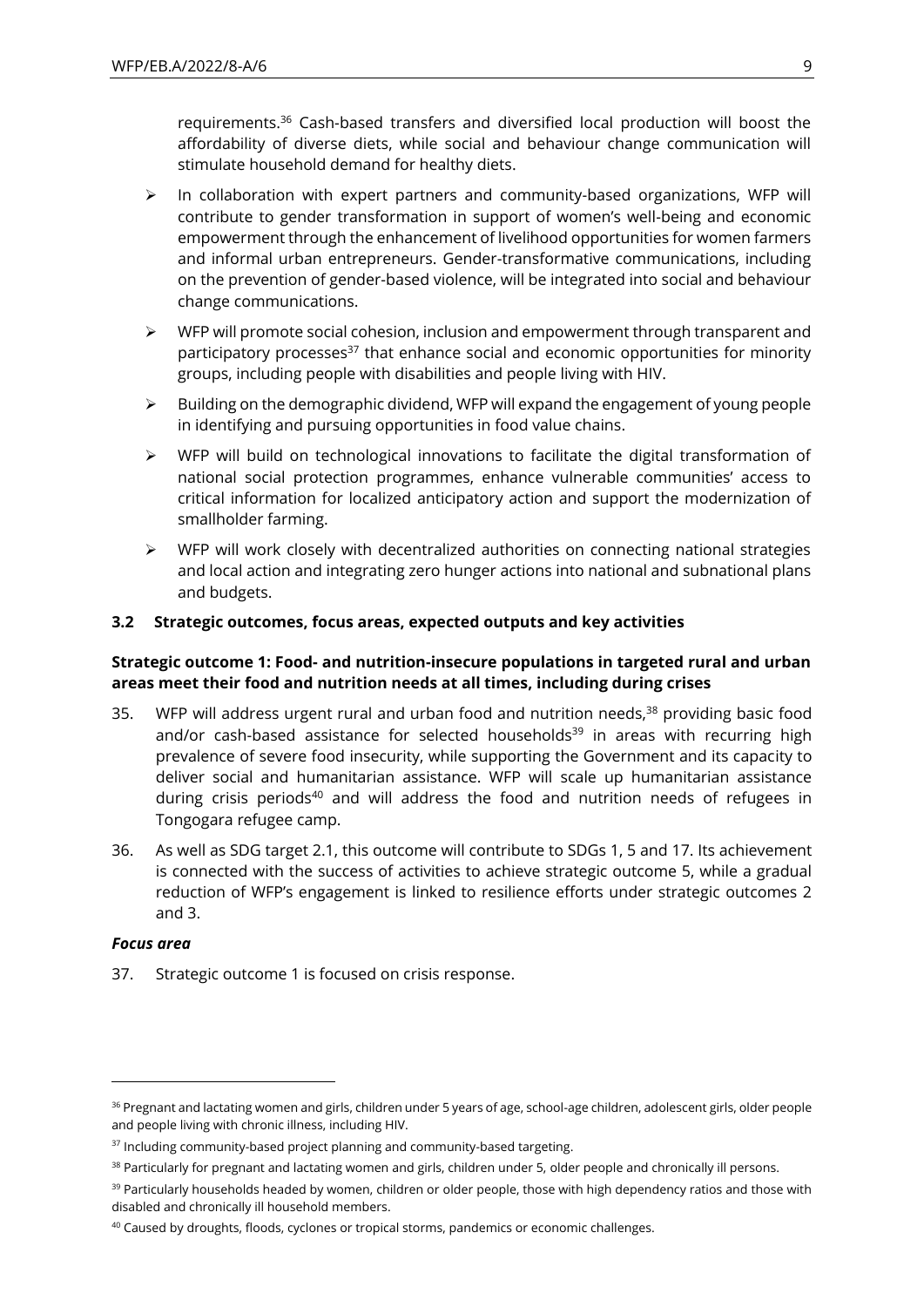requirements.<sup>36</sup> Cash-based transfers and diversified local production will boost the affordability of diverse diets, while social and behaviour change communication will stimulate household demand for healthy diets.

- $\triangleright$  In collaboration with expert partners and community-based organizations, WFP will contribute to gender transformation in support of women's well-being and economic empowerment through the enhancement of livelihood opportunities for women farmers and informal urban entrepreneurs. Gender-transformative communications, including on the prevention of gender-based violence, will be integrated into social and behaviour change communications.
- $\triangleright$  WFP will promote social cohesion, inclusion and empowerment through transparent and participatory processes $37$  that enhance social and economic opportunities for minority groups, including people with disabilities and people living with HIV.
- $\triangleright$  Building on the demographic dividend, WFP will expand the engagement of young people in identifying and pursuing opportunities in food value chains.
- ➢ WFP will build on technological innovations to facilitate the digital transformation of national social protection programmes, enhance vulnerable communities' access to critical information for localized anticipatory action and support the modernization of smallholder farming.
- $\triangleright$  WFP will work closely with decentralized authorities on connecting national strategies and local action and integrating zero hunger actions into national and subnational plans and budgets.

### **3.2 Strategic outcomes, focus areas, expected outputs and key activities**

### **Strategic outcome 1: Food- and nutrition-insecure populations in targeted rural and urban areas meet their food and nutrition needs at all times, including during crises**

- 35. WFP will address urgent rural and urban food and nutrition needs. $38$  providing basic food and/or cash-based assistance for selected households $39$  in areas with recurring high prevalence of severe food insecurity, while supporting the Government and its capacity to deliver social and humanitarian assistance. WFP will scale up humanitarian assistance during crisis periods<sup>40</sup> and will address the food and nutrition needs of refugees in Tongogara refugee camp.
- 36. As well as SDG target 2.1, this outcome will contribute to SDGs 1, 5 and 17. Its achievement is connected with the success of activities to achieve strategic outcome 5, while a gradual reduction of WFP's engagement is linked to resilience efforts under strategic outcomes 2 and 3.

#### *Focus area*

37. Strategic outcome 1 is focused on crisis response.

<sup>36</sup> Pregnant and lactating women and girls, children under 5 years of age, school-age children, adolescent girls, older people and people living with chronic illness, including HIV.

<sup>&</sup>lt;sup>37</sup> Including community-based project planning and community-based targeting.

<sup>38</sup> Particularly for pregnant and lactating women and girls, children under 5, older people and chronically ill persons.

<sup>&</sup>lt;sup>39</sup> Particularly households headed by women, children or older people, those with high dependency ratios and those with disabled and chronically ill household members.

<sup>&</sup>lt;sup>40</sup> Caused by droughts, floods, cyclones or tropical storms, pandemics or economic challenges.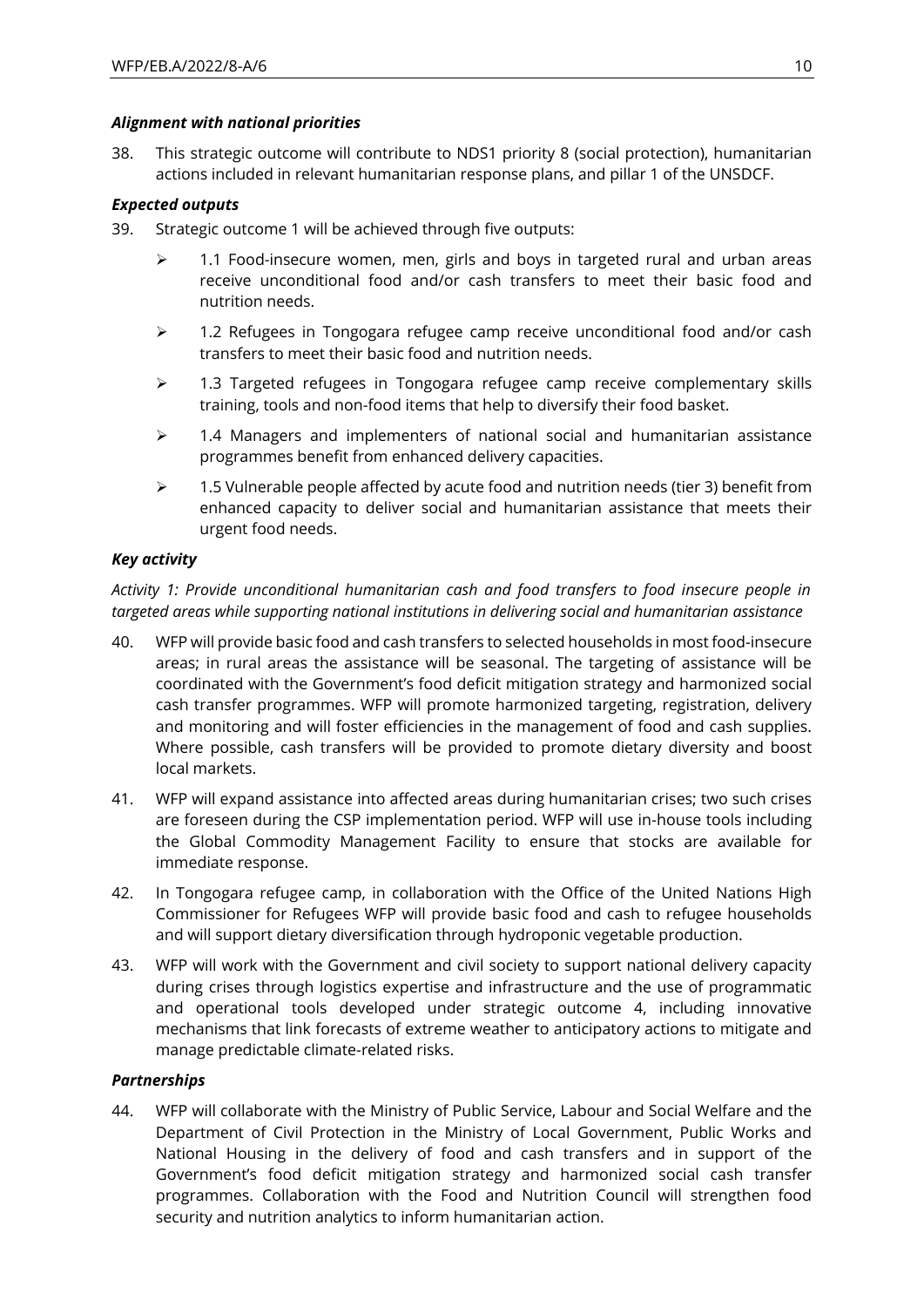#### *Alignment with national priorities*

38. This strategic outcome will contribute to NDS1 priority 8 (social protection), humanitarian actions included in relevant humanitarian response plans, and pillar 1 of the UNSDCF.

### *Expected outputs*

- 39. Strategic outcome 1 will be achieved through five outputs:
	- $\geq$  1.1 Food-insecure women, men, girls and boys in targeted rural and urban areas receive unconditional food and/or cash transfers to meet their basic food and nutrition needs.
	- $\geq$  1.2 Refugees in Tongogara refugee camp receive unconditional food and/or cash transfers to meet their basic food and nutrition needs.
	- ➢ 1.3 Targeted refugees in Tongogara refugee camp receive complementary skills training, tools and non-food items that help to diversify their food basket.
	- $\geq$  1.4 Managers and implementers of national social and humanitarian assistance programmes benefit from enhanced delivery capacities.
	- $\geq$  1.5 Vulnerable people affected by acute food and nutrition needs (tier 3) benefit from enhanced capacity to deliver social and humanitarian assistance that meets their urgent food needs.

### *Key activity*

*Activity 1: Provide unconditional humanitarian cash and food transfers to food insecure people in targeted areas while supporting national institutions in delivering social and humanitarian assistance*

- 40. WFP will provide basic food and cash transfers to selected households in most food-insecure areas; in rural areas the assistance will be seasonal. The targeting of assistance will be coordinated with the Government's food deficit mitigation strategy and harmonized social cash transfer programmes. WFP will promote harmonized targeting, registration, delivery and monitoring and will foster efficiencies in the management of food and cash supplies. Where possible, cash transfers will be provided to promote dietary diversity and boost local markets.
- 41. WFP will expand assistance into affected areas during humanitarian crises; two such crises are foreseen during the CSP implementation period. WFP will use in-house tools including the Global Commodity Management Facility to ensure that stocks are available for immediate response.
- 42. In Tongogara refugee camp, in collaboration with the Office of the United Nations High Commissioner for Refugees WFP will provide basic food and cash to refugee households and will support dietary diversification through hydroponic vegetable production.
- 43. WFP will work with the Government and civil society to support national delivery capacity during crises through logistics expertise and infrastructure and the use of programmatic and operational tools developed under strategic outcome 4, including innovative mechanisms that link forecasts of extreme weather to anticipatory actions to mitigate and manage predictable climate-related risks.

### *Partnerships*

44. WFP will collaborate with the Ministry of Public Service, Labour and Social Welfare and the Department of Civil Protection in the Ministry of Local Government, Public Works and National Housing in the delivery of food and cash transfers and in support of the Government's food deficit mitigation strategy and harmonized social cash transfer programmes. Collaboration with the Food and Nutrition Council will strengthen food security and nutrition analytics to inform humanitarian action.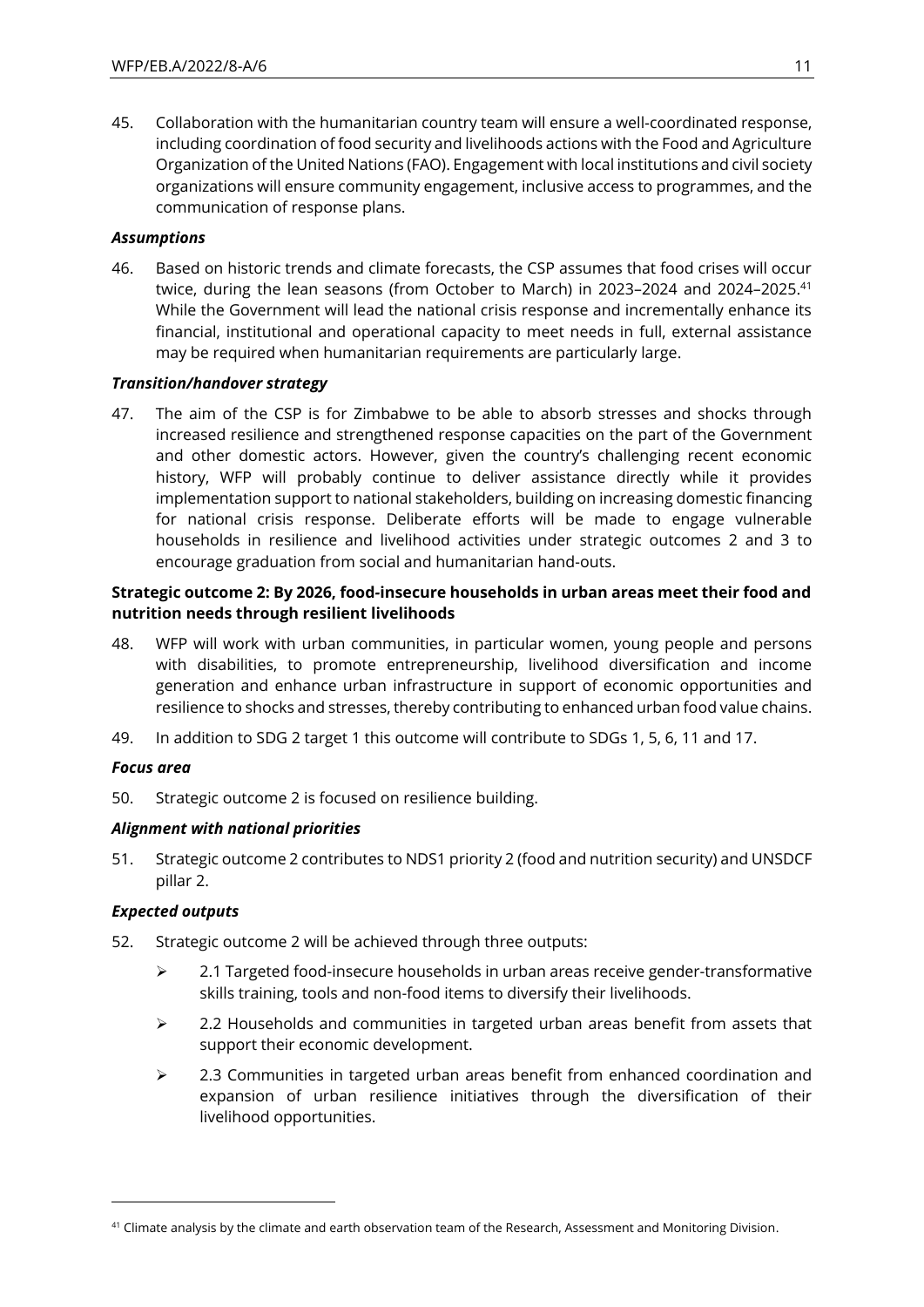45. Collaboration with the humanitarian country team will ensure a well-coordinated response, including coordination of food security and livelihoods actions with the Food and Agriculture Organization of the United Nations (FAO). Engagement with local institutions and civil society organizations will ensure community engagement, inclusive access to programmes, and the communication of response plans.

### *Assumptions*

46. Based on historic trends and climate forecasts, the CSP assumes that food crises will occur twice, during the lean seasons (from October to March) in 2023-2024 and 2024-2025.<sup>41</sup> While the Government will lead the national crisis response and incrementally enhance its financial, institutional and operational capacity to meet needs in full, external assistance may be required when humanitarian requirements are particularly large.

### *Transition/handover strategy*

47. The aim of the CSP is for Zimbabwe to be able to absorb stresses and shocks through increased resilience and strengthened response capacities on the part of the Government and other domestic actors. However, given the country's challenging recent economic history, WFP will probably continue to deliver assistance directly while it provides implementation support to national stakeholders, building on increasing domestic financing for national crisis response. Deliberate efforts will be made to engage vulnerable households in resilience and livelihood activities under strategic outcomes 2 and 3 to encourage graduation from social and humanitarian hand-outs.

### **Strategic outcome 2: By 2026, food***-***insecure households in urban areas meet their food and nutrition needs through resilient livelihoods**

- 48. WFP will work with urban communities, in particular women, young people and persons with disabilities, to promote entrepreneurship, livelihood diversification and income generation and enhance urban infrastructure in support of economic opportunities and resilience to shocks and stresses, thereby contributing to enhanced urban food value chains.
- 49. In addition to SDG 2 target 1 this outcome will contribute to SDGs 1, 5, 6, 11 and 17.

#### *Focus area*

50. Strategic outcome 2 is focused on resilience building.

#### *Alignment with national priorities*

51. Strategic outcome 2 contributes to NDS1 priority 2 (food and nutrition security) and UNSDCF pillar 2.

### *Expected outputs*

- 52. Strategic outcome 2 will be achieved through three outputs:
	- $\geq$  2.1 Targeted food-insecure households in urban areas receive gender-transformative skills training, tools and non-food items to diversify their livelihoods.
	- $\geq$  2.2 Households and communities in targeted urban areas benefit from assets that support their economic development.
	- ➢ 2.3 Communities in targeted urban areas benefit from enhanced coordination and expansion of urban resilience initiatives through the diversification of their livelihood opportunities.

<sup>&</sup>lt;sup>41</sup> Climate analysis by the climate and earth observation team of the Research, Assessment and Monitoring Division.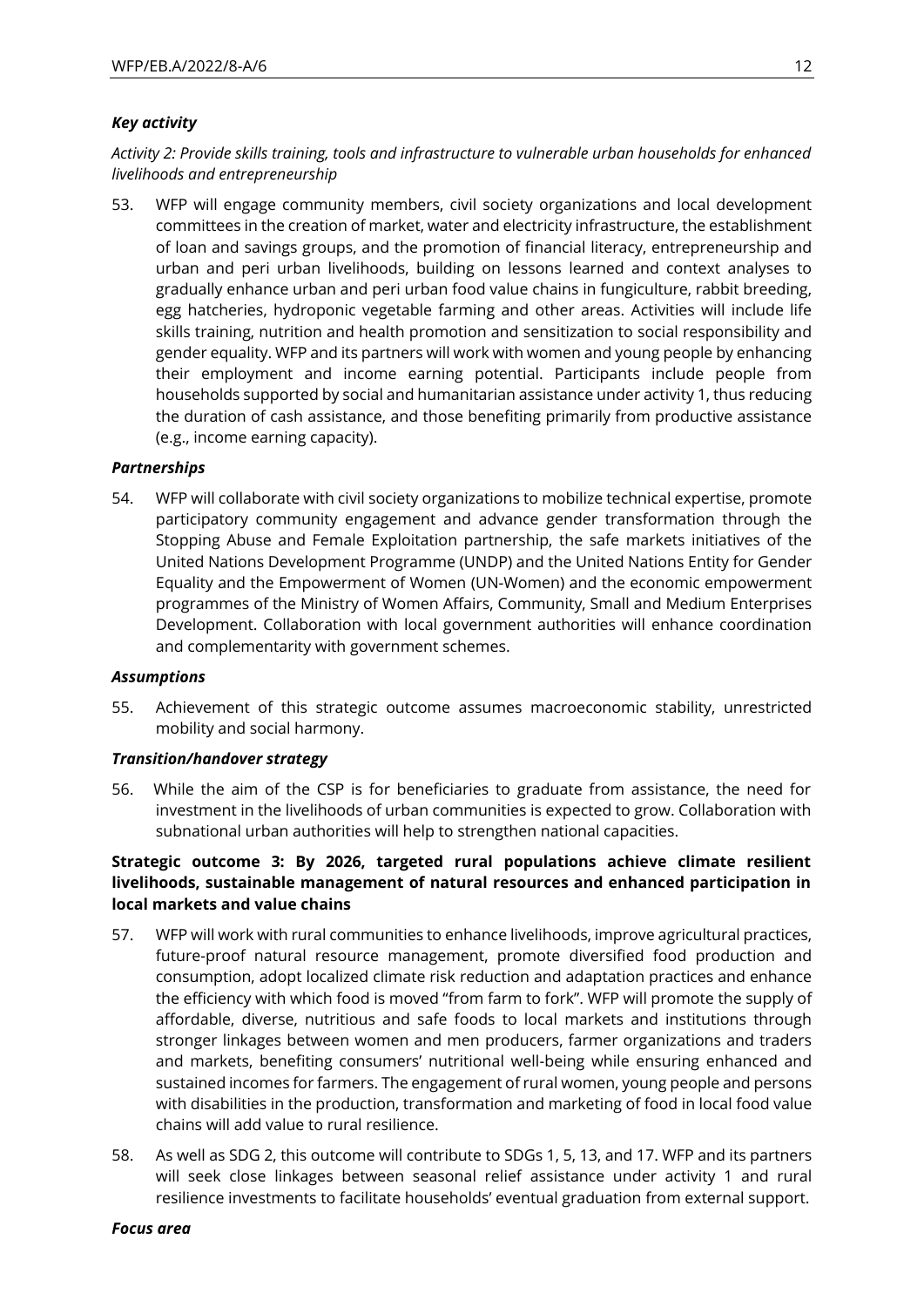### *Key activity*

*Activity 2: Provide skills training, tools and infrastructure to vulnerable urban households for enhanced livelihoods and entrepreneurship*

53. WFP will engage community members, civil society organizations and local development committees in the creation of market, water and electricity infrastructure, the establishment of loan and savings groups, and the promotion of financial literacy, entrepreneurship and urban and peri urban livelihoods, building on lessons learned and context analyses to gradually enhance urban and peri urban food value chains in fungiculture, rabbit breeding, egg hatcheries, hydroponic vegetable farming and other areas. Activities will include life skills training, nutrition and health promotion and sensitization to social responsibility and gender equality. WFP and its partners will work with women and young people by enhancing their employment and income earning potential. Participants include people from households supported by social and humanitarian assistance under activity 1, thus reducing the duration of cash assistance, and those benefiting primarily from productive assistance (e.g., income earning capacity).

#### *Partnerships*

54. WFP will collaborate with civil society organizations to mobilize technical expertise, promote participatory community engagement and advance gender transformation through the Stopping Abuse and Female Exploitation partnership, the safe markets initiatives of the United Nations Development Programme (UNDP) and the United Nations Entity for Gender Equality and the Empowerment of Women (UN-Women) and the economic empowerment programmes of the Ministry of Women Affairs, Community, Small and Medium Enterprises Development. Collaboration with local government authorities will enhance coordination and complementarity with government schemes.

#### *Assumptions*

55. Achievement of this strategic outcome assumes macroeconomic stability, unrestricted mobility and social harmony.

#### *Transition/handover strategy*

56. While the aim of the CSP is for beneficiaries to graduate from assistance, the need for investment in the livelihoods of urban communities is expected to grow. Collaboration with subnational urban authorities will help to strengthen national capacities.

### **Strategic outcome 3: By 2026, targeted rural populations achieve climate resilient livelihoods, sustainable management of natural resources and enhanced participation in local markets and value chains**

- 57. WFP will work with rural communities to enhance livelihoods, improve agricultural practices, future-proof natural resource management, promote diversified food production and consumption, adopt localized climate risk reduction and adaptation practices and enhance the efficiency with which food is moved "from farm to fork". WFP will promote the supply of affordable, diverse, nutritious and safe foods to local markets and institutions through stronger linkages between women and men producers, farmer organizations and traders and markets, benefiting consumers' nutritional well-being while ensuring enhanced and sustained incomes for farmers. The engagement of rural women, young people and persons with disabilities in the production, transformation and marketing of food in local food value chains will add value to rural resilience.
- 58. As well as SDG 2, this outcome will contribute to SDGs 1, 5, 13, and 17. WFP and its partners will seek close linkages between seasonal relief assistance under activity 1 and rural resilience investments to facilitate households' eventual graduation from external support.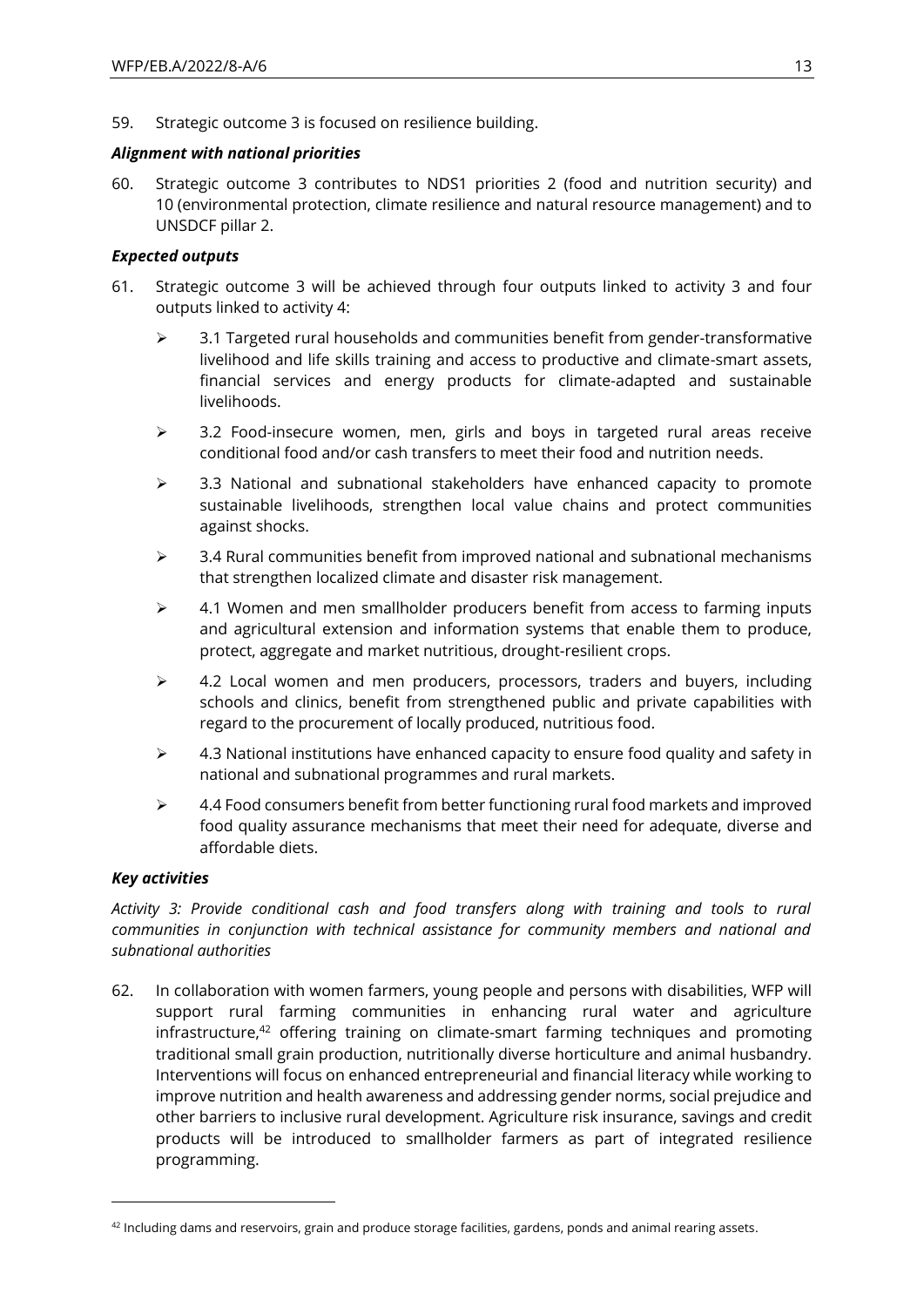59. Strategic outcome 3 is focused on resilience building.

### *Alignment with national priorities*

60. Strategic outcome 3 contributes to NDS1 priorities 2 (food and nutrition security) and 10 (environmental protection, climate resilience and natural resource management) and to UNSDCF pillar 2.

### *Expected outputs*

- 61. Strategic outcome 3 will be achieved through four outputs linked to activity 3 and four outputs linked to activity 4:
	- $\geq$  3.1 Targeted rural households and communities benefit from gender-transformative livelihood and life skills training and access to productive and climate-smart assets, financial services and energy products for climate-adapted and sustainable livelihoods.
	- ➢ 3.2 Food-insecure women, men, girls and boys in targeted rural areas receive conditional food and/or cash transfers to meet their food and nutrition needs.
	- $\geq$  3.3 National and subnational stakeholders have enhanced capacity to promote sustainable livelihoods, strengthen local value chains and protect communities against shocks.
	- $\geq$  3.4 Rural communities benefit from improved national and subnational mechanisms that strengthen localized climate and disaster risk management.
	- $\geq$  4.1 Women and men smallholder producers benefit from access to farming inputs and agricultural extension and information systems that enable them to produce, protect, aggregate and market nutritious, drought-resilient crops.
	- $\geq$  4.2 Local women and men producers, processors, traders and buyers, including schools and clinics, benefit from strengthened public and private capabilities with regard to the procurement of locally produced, nutritious food.
	- $\geq$  4.3 National institutions have enhanced capacity to ensure food quality and safety in national and subnational programmes and rural markets.
	- $\triangleright$  4.4 Food consumers benefit from better functioning rural food markets and improved food quality assurance mechanisms that meet their need for adequate, diverse and affordable diets.

#### *Key activities*

*Activity 3: Provide conditional cash and food transfers along with training and tools to rural communities in conjunction with technical assistance for community members and national and subnational authorities*

62. In collaboration with women farmers, young people and persons with disabilities, WFP will support rural farming communities in enhancing rural water and agriculture infrastructure, $42$  offering training on climate-smart farming techniques and promoting traditional small grain production, nutritionally diverse horticulture and animal husbandry. Interventions will focus on enhanced entrepreneurial and financial literacy while working to improve nutrition and health awareness and addressing gender norms, social prejudice and other barriers to inclusive rural development. Agriculture risk insurance, savings and credit products will be introduced to smallholder farmers as part of integrated resilience programming.

 $42$  Including dams and reservoirs, grain and produce storage facilities, gardens, ponds and animal rearing assets.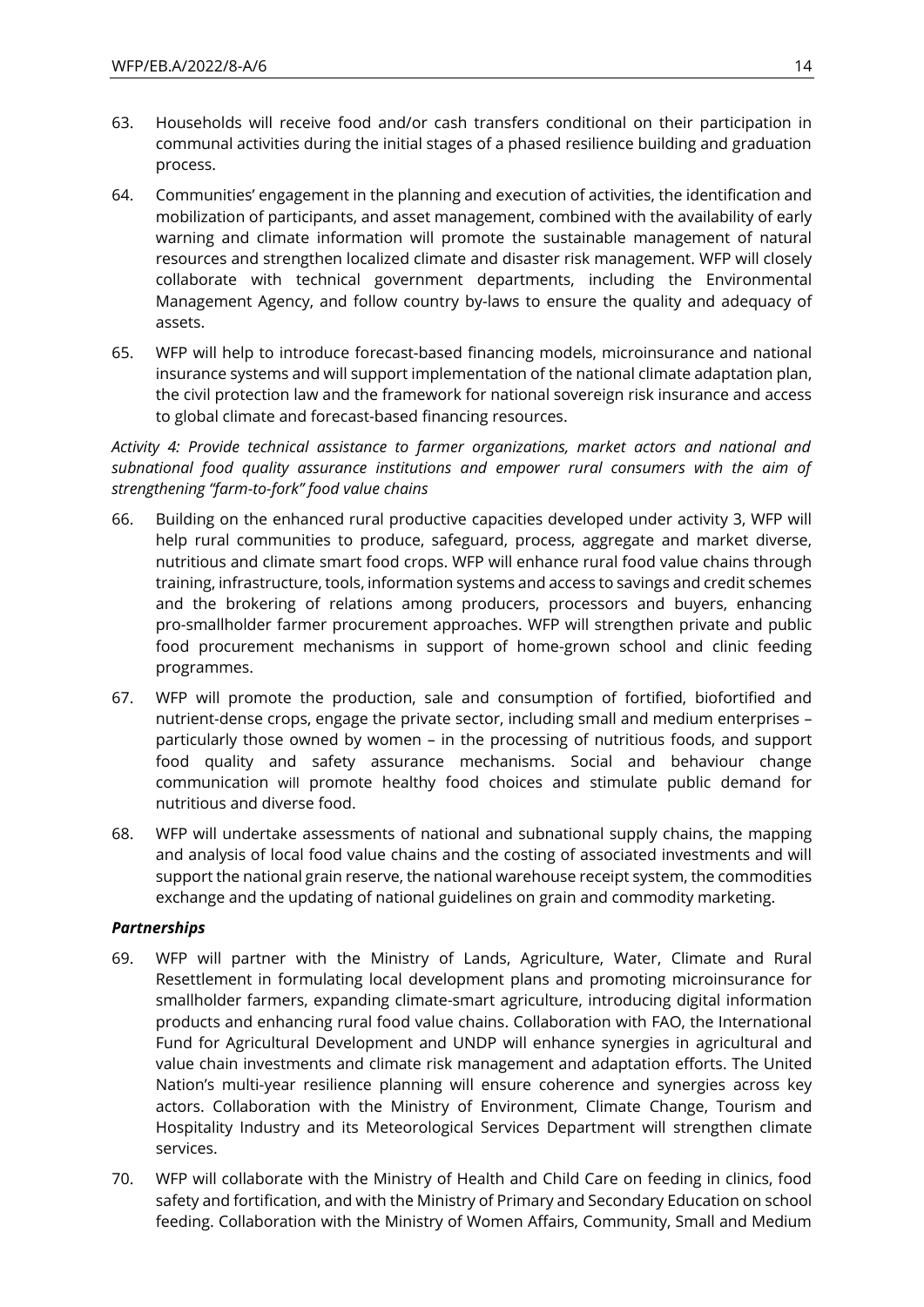- 63. Households will receive food and/or cash transfers conditional on their participation in communal activities during the initial stages of a phased resilience building and graduation process.
- 64. Communities' engagement in the planning and execution of activities, the identification and mobilization of participants, and asset management, combined with the availability of early warning and climate information will promote the sustainable management of natural resources and strengthen localized climate and disaster risk management. WFP will closely collaborate with technical government departments, including the Environmental Management Agency, and follow country by-laws to ensure the quality and adequacy of assets.
- 65. WFP will help to introduce forecast-based financing models, microinsurance and national insurance systems and will support implementation of the national climate adaptation plan, the civil protection law and the framework for national sovereign risk insurance and access to global climate and forecast-based financing resources.

*Activity 4: Provide technical assistance to farmer organizations, market actors and national and subnational food quality assurance institutions and empower rural consumers with the aim of strengthening "farm-to-fork" food value chains*

- 66. Building on the enhanced rural productive capacities developed under activity 3, WFP will help rural communities to produce, safeguard, process, aggregate and market diverse, nutritious and climate smart food crops. WFP will enhance rural food value chains through training, infrastructure, tools, information systems and access to savings and credit schemes and the brokering of relations among producers, processors and buyers, enhancing pro-smallholder farmer procurement approaches. WFP will strengthen private and public food procurement mechanisms in support of home-grown school and clinic feeding programmes.
- 67. WFP will promote the production, sale and consumption of fortified, biofortified and nutrient-dense crops, engage the private sector, including small and medium enterprises – particularly those owned by women – in the processing of nutritious foods, and support food quality and safety assurance mechanisms. Social and behaviour change communication will promote healthy food choices and stimulate public demand for nutritious and diverse food.
- 68. WFP will undertake assessments of national and subnational supply chains, the mapping and analysis of local food value chains and the costing of associated investments and will support the national grain reserve, the national warehouse receipt system, the commodities exchange and the updating of national guidelines on grain and commodity marketing.

### *Partnerships*

- 69. WFP will partner with the Ministry of Lands, Agriculture, Water, Climate and Rural Resettlement in formulating local development plans and promoting microinsurance for smallholder farmers, expanding climate-smart agriculture, introducing digital information products and enhancing rural food value chains. Collaboration with FAO, the International Fund for Agricultural Development and UNDP will enhance synergies in agricultural and value chain investments and climate risk management and adaptation efforts. The United Nation's multi-year resilience planning will ensure coherence and synergies across key actors. Collaboration with the Ministry of Environment, Climate Change, Tourism and Hospitality Industry and its Meteorological Services Department will strengthen climate services.
- 70. WFP will collaborate with the Ministry of Health and Child Care on feeding in clinics, food safety and fortification, and with the Ministry of Primary and Secondary Education on school feeding. Collaboration with the Ministry of Women Affairs, Community, Small and Medium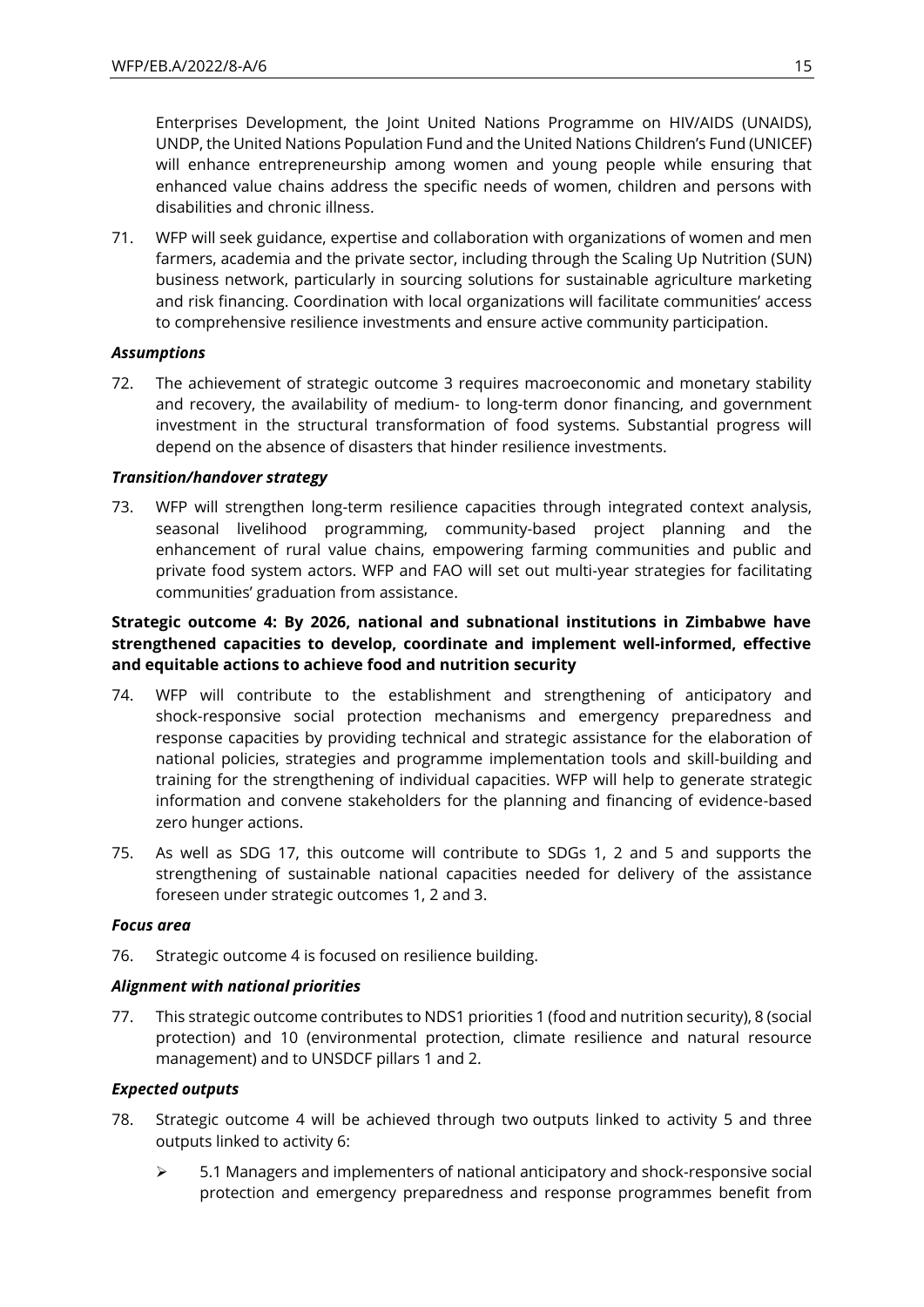Enterprises Development, the Joint United Nations Programme on HIV/AIDS (UNAIDS), UNDP, the United Nations Population Fund and the United Nations Children's Fund (UNICEF) will enhance entrepreneurship among women and young people while ensuring that enhanced value chains address the specific needs of women, children and persons with disabilities and chronic illness.

71. WFP will seek guidance, expertise and collaboration with organizations of women and men farmers, academia and the private sector, including through the Scaling Up Nutrition (SUN) business network, particularly in sourcing solutions for sustainable agriculture marketing and risk financing. Coordination with local organizations will facilitate communities' access to comprehensive resilience investments and ensure active community participation.

### *Assumptions*

72. The achievement of strategic outcome 3 requires macroeconomic and monetary stability and recovery, the availability of medium- to long-term donor financing, and government investment in the structural transformation of food systems. Substantial progress will depend on the absence of disasters that hinder resilience investments.

### *Transition/handover strategy*

73. WFP will strengthen long-term resilience capacities through integrated context analysis, seasonal livelihood programming, community-based project planning and the enhancement of rural value chains, empowering farming communities and public and private food system actors. WFP and FAO will set out multi-year strategies for facilitating communities' graduation from assistance.

### **Strategic outcome 4: By 2026, national and subnational institutions in Zimbabwe have strengthened capacities to develop, coordinate and implement well-informed, effective and equitable actions to achieve food and nutrition security**

- 74. WFP will contribute to the establishment and strengthening of anticipatory and shock-responsive social protection mechanisms and emergency preparedness and response capacities by providing technical and strategic assistance for the elaboration of national policies, strategies and programme implementation tools and skill-building and training for the strengthening of individual capacities. WFP will help to generate strategic information and convene stakeholders for the planning and financing of evidence-based zero hunger actions.
- 75. As well as SDG 17, this outcome will contribute to SDGs 1, 2 and 5 and supports the strengthening of sustainable national capacities needed for delivery of the assistance foreseen under strategic outcomes 1, 2 and 3.

#### *Focus area*

76. Strategic outcome 4 is focused on resilience building.

#### *Alignment with national priorities*

77. This strategic outcome contributes to NDS1 priorities 1 (food and nutrition security), 8 (social protection) and 10 (environmental protection, climate resilience and natural resource management) and to UNSDCF pillars 1 and 2.

#### *Expected outputs*

- 78. Strategic outcome 4 will be achieved through two outputs linked to activity 5 and three outputs linked to activity 6:
	- $\triangleright$  5.1 Managers and implementers of national anticipatory and shock-responsive social protection and emergency preparedness and response programmes benefit from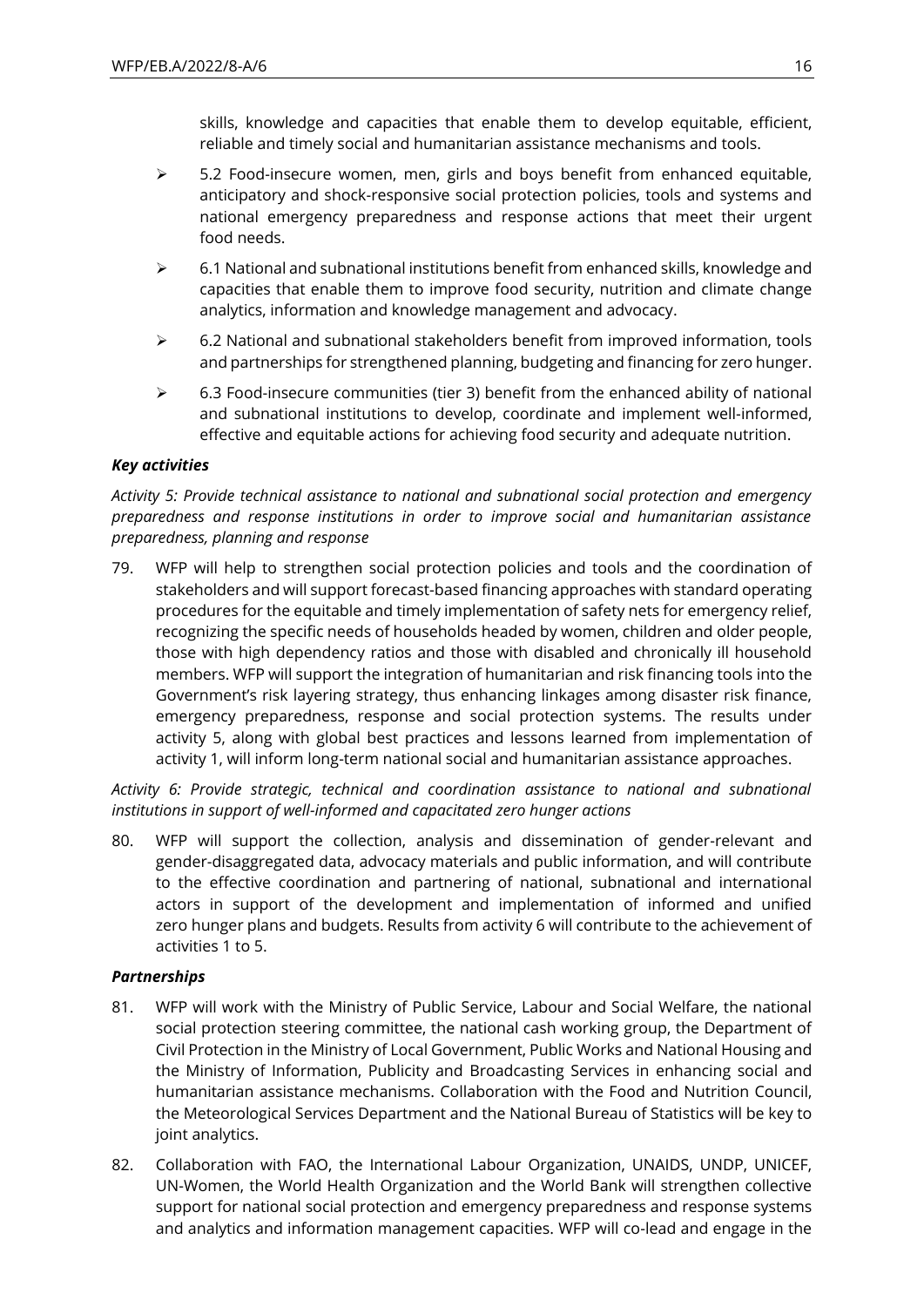skills, knowledge and capacities that enable them to develop equitable, efficient, reliable and timely social and humanitarian assistance mechanisms and tools.

- ➢ 5.2 Food-insecure women, men, girls and boys benefit from enhanced equitable, anticipatory and shock-responsive social protection policies, tools and systems and national emergency preparedness and response actions that meet their urgent food needs.
- ➢ 6.1 National and subnational institutions benefit from enhanced skills, knowledge and capacities that enable them to improve food security, nutrition and climate change analytics, information and knowledge management and advocacy.
- $\triangleright$  6.2 National and subnational stakeholders benefit from improved information, tools and partnerships for strengthened planning, budgeting and financing for zero hunger.
- $\geq$  6.3 Food-insecure communities (tier 3) benefit from the enhanced ability of national and subnational institutions to develop, coordinate and implement well-informed, effective and equitable actions for achieving food security and adequate nutrition.

### *Key activities*

*Activity 5: Provide technical assistance to national and subnational social protection and emergency preparedness and response institutions in order to improve social and humanitarian assistance preparedness, planning and response*

79. WFP will help to strengthen social protection policies and tools and the coordination of stakeholders and will support forecast-based financing approaches with standard operating procedures for the equitable and timely implementation of safety nets for emergency relief, recognizing the specific needs of households headed by women, children and older people, those with high dependency ratios and those with disabled and chronically ill household members. WFP will support the integration of humanitarian and risk financing tools into the Government's risk layering strategy, thus enhancing linkages among disaster risk finance, emergency preparedness, response and social protection systems. The results under activity 5, along with global best practices and lessons learned from implementation of activity 1, will inform long-term national social and humanitarian assistance approaches.

*Activity 6: Provide strategic, technical and coordination assistance to national and subnational institutions in support of well-informed and capacitated zero hunger actions*

80. WFP will support the collection, analysis and dissemination of gender-relevant and gender-disaggregated data, advocacy materials and public information, and will contribute to the effective coordination and partnering of national, subnational and international actors in support of the development and implementation of informed and unified zero hunger plans and budgets. Results from activity 6 will contribute to the achievement of activities 1 to 5.

#### *Partnerships*

- 81. WFP will work with the Ministry of Public Service, Labour and Social Welfare, the national social protection steering committee, the national cash working group, the Department of Civil Protection in the Ministry of Local Government, Public Works and National Housing and the Ministry of Information, Publicity and Broadcasting Services in enhancing social and humanitarian assistance mechanisms. Collaboration with the Food and Nutrition Council, the Meteorological Services Department and the National Bureau of Statistics will be key to joint analytics.
- 82. Collaboration with FAO, the International Labour Organization, UNAIDS, UNDP, UNICEF, UN-Women, the World Health Organization and the World Bank will strengthen collective support for national social protection and emergency preparedness and response systems and analytics and information management capacities. WFP will co-lead and engage in the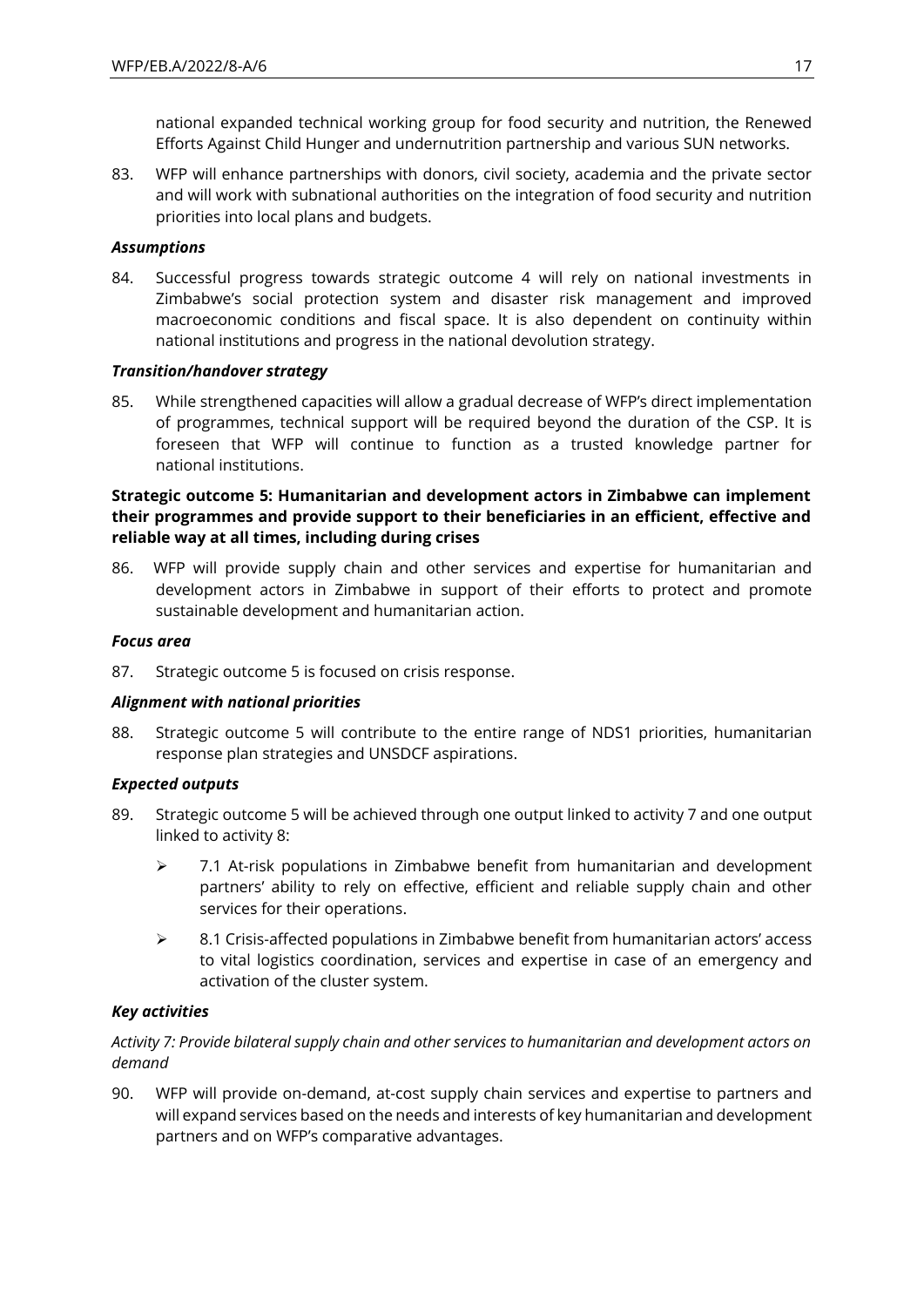national expanded technical working group for food security and nutrition, the Renewed Efforts Against Child Hunger and undernutrition partnership and various SUN networks.

83. WFP will enhance partnerships with donors, civil society, academia and the private sector and will work with subnational authorities on the integration of food security and nutrition priorities into local plans and budgets.

#### *Assumptions*

84. Successful progress towards strategic outcome 4 will rely on national investments in Zimbabwe's social protection system and disaster risk management and improved macroeconomic conditions and fiscal space. It is also dependent on continuity within national institutions and progress in the national devolution strategy.

### *Transition/handover strategy*

85. While strengthened capacities will allow a gradual decrease of WFP's direct implementation of programmes, technical support will be required beyond the duration of the CSP. It is foreseen that WFP will continue to function as a trusted knowledge partner for national institutions.

### **Strategic outcome 5: Humanitarian and development actors in Zimbabwe can implement their programmes and provide support to their beneficiaries in an efficient, effective and reliable way at all times, including during crises**

86. WFP will provide supply chain and other services and expertise for humanitarian and development actors in Zimbabwe in support of their efforts to protect and promote sustainable development and humanitarian action.

### *Focus area*

87. Strategic outcome 5 is focused on crisis response.

#### *Alignment with national priorities*

88. Strategic outcome 5 will contribute to the entire range of NDS1 priorities, humanitarian response plan strategies and UNSDCF aspirations.

#### *Expected outputs*

- 89. Strategic outcome 5 will be achieved through one output linked to activity 7 and one output linked to activity 8:
	- ➢ 7.1 At-risk populations in Zimbabwe benefit from humanitarian and development partners' ability to rely on effective, efficient and reliable supply chain and other services for their operations.
	- $\triangleright$  8.1 Crisis-affected populations in Zimbabwe benefit from humanitarian actors' access to vital logistics coordination, services and expertise in case of an emergency and activation of the cluster system.

### *Key activities*

### *Activity 7: Provide bilateral supply chain and other services to humanitarian and development actors on demand*

90. WFP will provide on-demand, at-cost supply chain services and expertise to partners and will expand services based on the needs and interests of key humanitarian and development partners and on WFP's comparative advantages.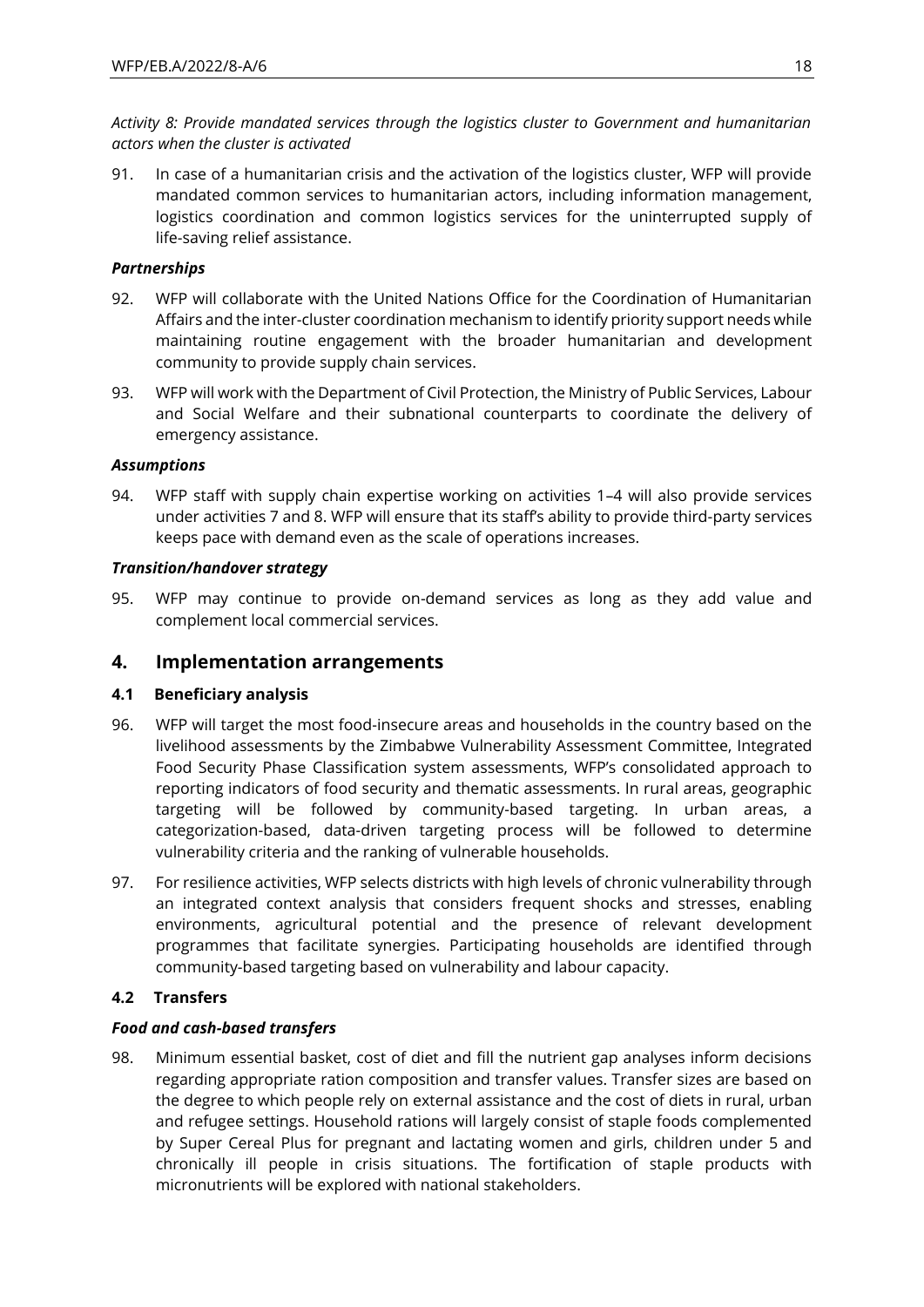*Activity 8: Provide mandated services through the logistics cluster to Government and humanitarian actors when the cluster is activated*

91. In case of a humanitarian crisis and the activation of the logistics cluster, WFP will provide mandated common services to humanitarian actors, including information management, logistics coordination and common logistics services for the uninterrupted supply of life-saving relief assistance.

### *Partnerships*

- 92. WFP will collaborate with the United Nations Office for the Coordination of Humanitarian Affairs and the inter-cluster coordination mechanism to identify priority support needs while maintaining routine engagement with the broader humanitarian and development community to provide supply chain services.
- 93. WFP will work with the Department of Civil Protection, the Ministry of Public Services, Labour and Social Welfare and their subnational counterparts to coordinate the delivery of emergency assistance.

### *Assumptions*

94. WFP staff with supply chain expertise working on activities 1–4 will also provide services under activities 7 and 8. WFP will ensure that its staff's ability to provide third-party services keeps pace with demand even as the scale of operations increases.

#### *Transition/handover strategy*

95. WFP may continue to provide on-demand services as long as they add value and complement local commercial services.

### **4. Implementation arrangements**

### **4.1 Beneficiary analysis**

- 96. WFP will target the most food-insecure areas and households in the country based on the livelihood assessments by the Zimbabwe Vulnerability Assessment Committee, Integrated Food Security Phase Classification system assessments, WFP's consolidated approach to reporting indicators of food security and thematic assessments. In rural areas, geographic targeting will be followed by community-based targeting. In urban areas, a categorization-based, data-driven targeting process will be followed to determine vulnerability criteria and the ranking of vulnerable households.
- 97. For resilience activities, WFP selects districts with high levels of chronic vulnerability through an integrated context analysis that considers frequent shocks and stresses, enabling environments, agricultural potential and the presence of relevant development programmes that facilitate synergies. Participating households are identified through community-based targeting based on vulnerability and labour capacity.

### **4.2 Transfers**

### *Food and cash-based transfers*

98. Minimum essential basket, cost of diet and fill the nutrient gap analyses inform decisions regarding appropriate ration composition and transfer values. Transfer sizes are based on the degree to which people rely on external assistance and the cost of diets in rural, urban and refugee settings. Household rations will largely consist of staple foods complemented by Super Cereal Plus for pregnant and lactating women and girls, children under 5 and chronically ill people in crisis situations. The fortification of staple products with micronutrients will be explored with national stakeholders.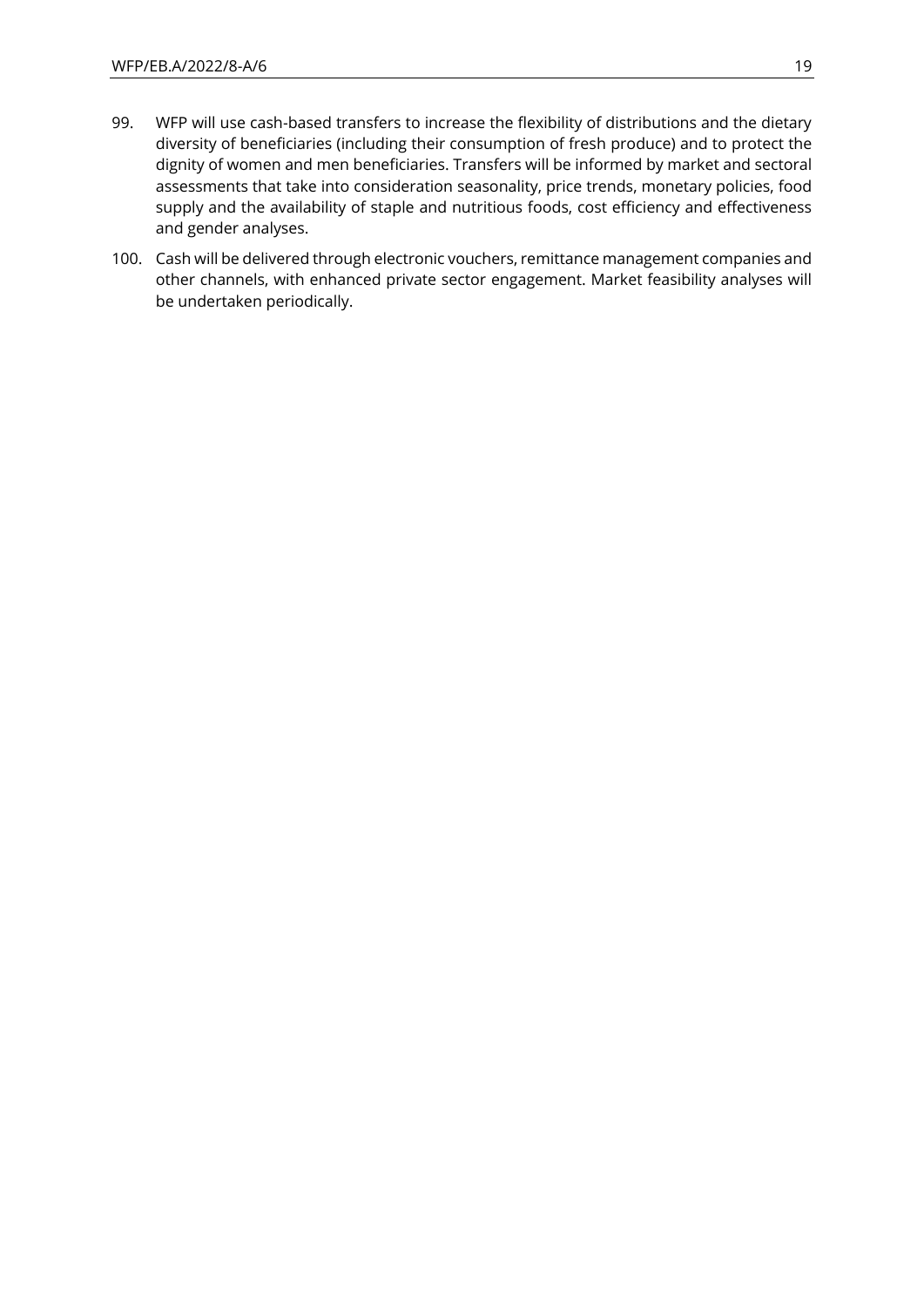- 99. WFP will use cash-based transfers to increase the flexibility of distributions and the dietary diversity of beneficiaries (including their consumption of fresh produce) and to protect the dignity of women and men beneficiaries. Transfers will be informed by market and sectoral assessments that take into consideration seasonality, price trends, monetary policies, food supply and the availability of staple and nutritious foods, cost efficiency and effectiveness and gender analyses.
- 100. Cash will be delivered through electronic vouchers, remittance management companies and other channels, with enhanced private sector engagement. Market feasibility analyses will be undertaken periodically.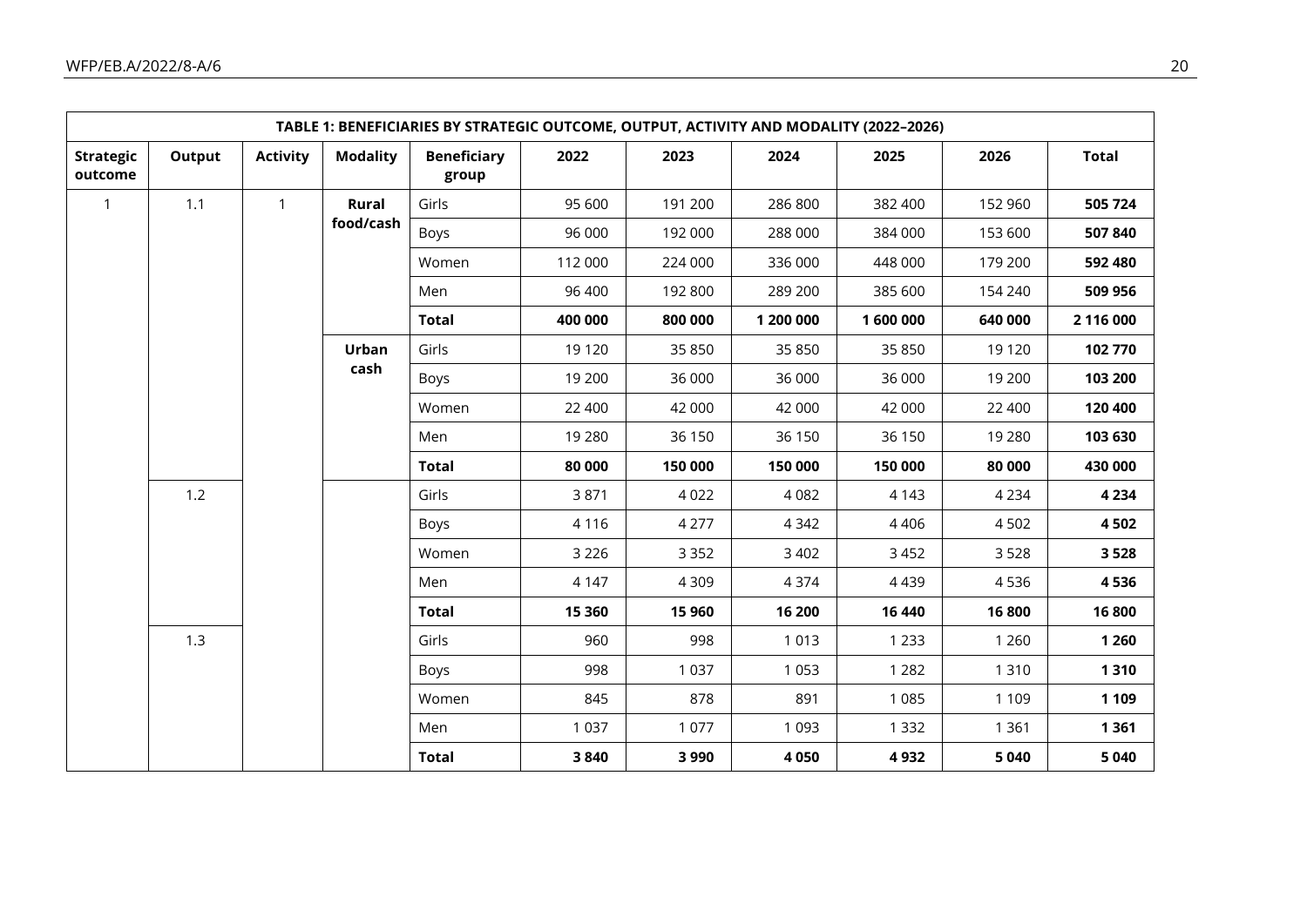|                             | TABLE 1: BENEFICIARIES BY STRATEGIC OUTCOME, OUTPUT, ACTIVITY AND MODALITY (2022-2026) |                 |                 |                             |         |         |           |         |         |              |       |      |         |      |         |         |         |
|-----------------------------|----------------------------------------------------------------------------------------|-----------------|-----------------|-----------------------------|---------|---------|-----------|---------|---------|--------------|-------|------|---------|------|---------|---------|---------|
| <b>Strategic</b><br>outcome | Output                                                                                 | <b>Activity</b> | <b>Modality</b> | <b>Beneficiary</b><br>group | 2022    | 2023    | 2024      | 2025    | 2026    | <b>Total</b> |       |      |         |      |         |         |         |
| $\mathbf{1}$                | 1.1                                                                                    | $\mathbf{1}$    | Rural           | Girls                       | 95 600  | 191 200 | 286 800   | 382 400 | 152 960 | 505 724      |       |      |         |      |         |         |         |
|                             |                                                                                        |                 | food/cash       | Boys                        | 96 000  | 192 000 | 288 000   | 384 000 | 153 600 | 507840       |       |      |         |      |         |         |         |
|                             |                                                                                        |                 |                 | Women                       | 112 000 | 224 000 | 336 000   | 448 000 | 179 200 | 592 480      |       |      |         |      |         |         |         |
|                             |                                                                                        |                 |                 | Men                         | 96 400  | 192 800 | 289 200   | 385 600 | 154 240 | 509 956      |       |      |         |      |         |         |         |
|                             |                                                                                        |                 |                 | <b>Total</b>                | 400 000 | 800 000 | 1 200 000 | 1600000 | 640 000 | 2 116 000    |       |      |         |      |         |         |         |
|                             |                                                                                        |                 | Urban           | Girls                       | 19 1 20 | 35 850  | 35 850    | 35 850  | 19 1 20 | 102 770      |       |      |         |      |         |         |         |
|                             |                                                                                        |                 | cash            | Boys                        | 19 200  | 36 000  | 36 000    | 36 000  | 19 200  | 103 200      |       |      |         |      |         |         |         |
|                             |                                                                                        |                 |                 | Women                       | 22 400  | 42 000  | 42 000    | 42 000  | 22 400  | 120 400      |       |      |         |      |         |         |         |
|                             |                                                                                        |                 |                 | Men                         | 19 2 80 | 36 150  | 36 150    | 36 150  | 19 280  | 103 630      |       |      |         |      |         |         |         |
|                             |                                                                                        |                 |                 | <b>Total</b>                | 80 000  | 150 000 | 150 000   | 150 000 | 80 000  | 430 000      |       |      |         |      |         |         |         |
|                             | 1.2                                                                                    |                 |                 |                             |         |         |           |         |         |              | Girls | 3871 | 4 0 2 2 | 4082 | 4 1 4 3 | 4 2 3 4 | 4 2 3 4 |
|                             |                                                                                        |                 |                 | Boys                        | 4 1 1 6 | 4 2 7 7 | 4 3 4 2   | 4 4 0 6 | 4502    | 4502         |       |      |         |      |         |         |         |
|                             |                                                                                        |                 |                 | Women                       | 3 2 2 6 | 3 3 5 2 | 3 4 0 2   | 3 4 5 2 | 3528    | 3528         |       |      |         |      |         |         |         |
|                             |                                                                                        |                 |                 |                             |         | Men     | 4 1 4 7   | 4 3 0 9 | 4374    | 4 4 3 9      | 4536  | 4536 |         |      |         |         |         |
|                             |                                                                                        |                 |                 | <b>Total</b>                | 15 360  | 15 960  | 16 200    | 16 440  | 16800   | 16800        |       |      |         |      |         |         |         |
|                             | 1.3                                                                                    |                 |                 |                             |         |         |           |         |         |              | Girls | 960  | 998     | 1013 | 1 2 3 3 | 1 2 6 0 | 1 2 6 0 |
|                             |                                                                                        |                 |                 | Boys                        | 998     | 1 0 3 7 | 1 0 5 3   | 1 2 8 2 | 1 3 1 0 | 1310         |       |      |         |      |         |         |         |
|                             |                                                                                        |                 |                 | Women                       | 845     | 878     | 891       | 1 0 8 5 | 1 1 0 9 | 1 1 0 9      |       |      |         |      |         |         |         |
|                             |                                                                                        |                 |                 | Men                         | 1 0 3 7 | 1 0 7 7 | 1 0 9 3   | 1 3 3 2 | 1 3 6 1 | 1 3 6 1      |       |      |         |      |         |         |         |
|                             |                                                                                        |                 |                 | <b>Total</b>                | 3840    | 3990    | 4 0 5 0   | 4932    | 5 0 4 0 | 5 0 4 0      |       |      |         |      |         |         |         |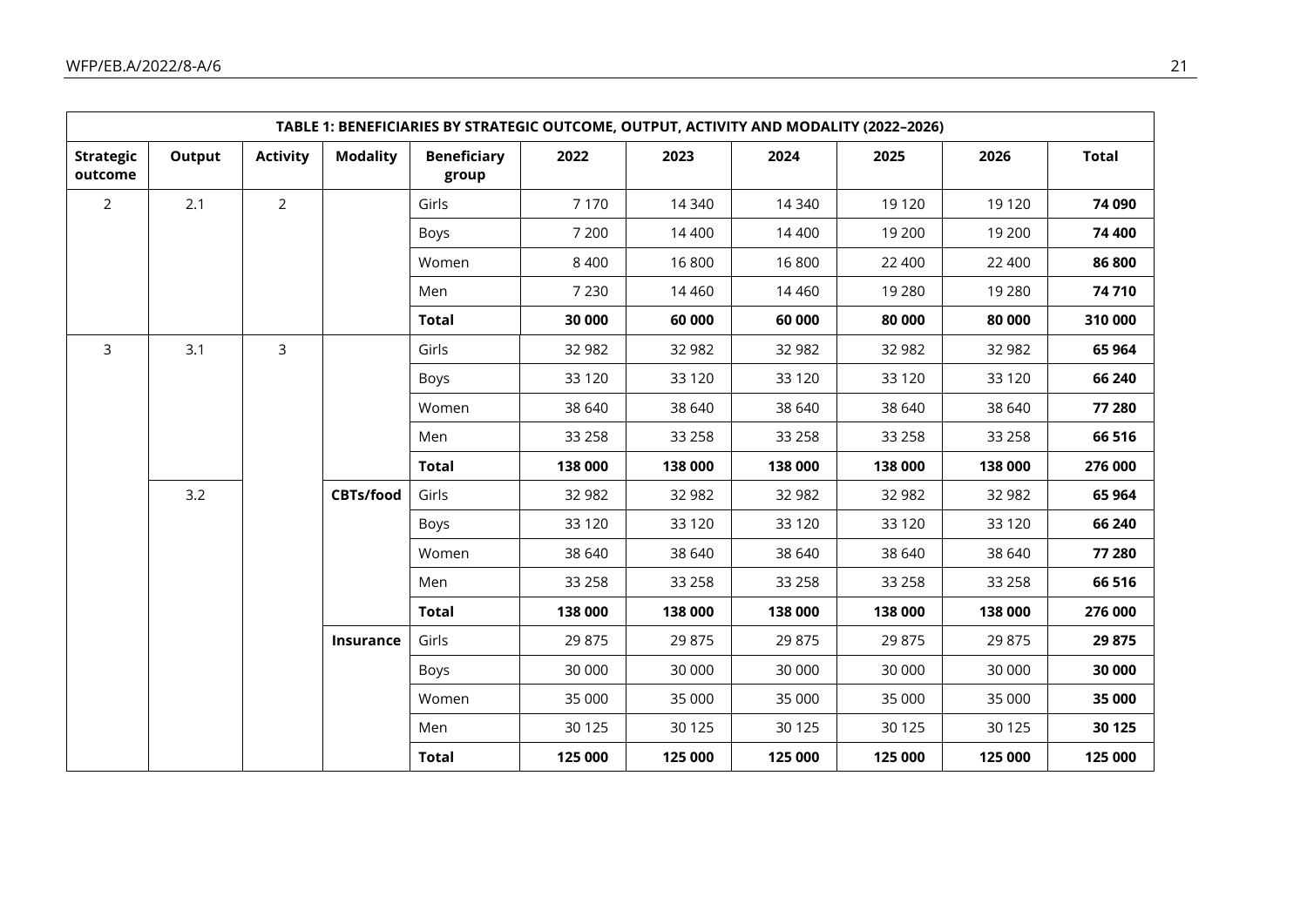|                             | TABLE 1: BENEFICIARIES BY STRATEGIC OUTCOME, OUTPUT, ACTIVITY AND MODALITY (2022-2026) |                 |                 |                             |         |          |          |          |         |              |
|-----------------------------|----------------------------------------------------------------------------------------|-----------------|-----------------|-----------------------------|---------|----------|----------|----------|---------|--------------|
| <b>Strategic</b><br>outcome | Output                                                                                 | <b>Activity</b> | <b>Modality</b> | <b>Beneficiary</b><br>group | 2022    | 2023     | 2024     | 2025     | 2026    | <b>Total</b> |
| $\overline{2}$              | 2.1                                                                                    | $\overline{2}$  |                 | Girls                       | 7 1 7 0 | 14 340   | 14 340   | 19 1 20  | 19 1 20 | 74 090       |
|                             |                                                                                        |                 |                 | Boys                        | 7 200   | 14 400   | 14 400   | 19 200   | 19 200  | 74 400       |
|                             |                                                                                        |                 |                 | Women                       | 8 4 0 0 | 16800    | 16800    | 22 400   | 22 400  | 86 800       |
|                             |                                                                                        |                 |                 | Men                         | 7 2 3 0 | 14 4 6 0 | 14 4 6 0 | 19 2 8 0 | 19 2 80 | 74710        |
|                             |                                                                                        |                 |                 | <b>Total</b>                | 30 000  | 60 000   | 60 000   | 80 000   | 80 000  | 310 000      |
| $\mathsf{3}$                | 3.1                                                                                    | $\mathsf{3}$    |                 | Girls                       | 32 982  | 32 982   | 32 982   | 32 982   | 32 982  | 65 964       |
|                             |                                                                                        |                 |                 | Boys                        | 33 1 20 | 33 1 20  | 33 1 20  | 33 1 20  | 33 1 20 | 66 240       |
|                             |                                                                                        |                 |                 | Women                       | 38 640  | 38 640   | 38 640   | 38 640   | 38 640  | 77 280       |
|                             |                                                                                        |                 |                 | Men                         | 33 258  | 33 258   | 33 258   | 33 258   | 33 258  | 66 516       |
|                             |                                                                                        |                 |                 | <b>Total</b>                | 138 000 | 138 000  | 138 000  | 138 000  | 138 000 | 276 000      |
|                             | 3.2                                                                                    |                 | CBTs/food       | Girls                       | 32 982  | 32 982   | 32 982   | 32 982   | 32 982  | 65 964       |
|                             |                                                                                        |                 |                 | Boys                        | 33 1 20 | 33 1 20  | 33 1 20  | 33 1 20  | 33 1 20 | 66 240       |
|                             |                                                                                        |                 |                 | Women                       | 38 640  | 38 640   | 38 640   | 38 640   | 38 640  | 77 280       |
|                             |                                                                                        |                 |                 | Men                         | 33 258  | 33 258   | 33 258   | 33 258   | 33 258  | 66 516       |
|                             |                                                                                        |                 |                 | <b>Total</b>                | 138 000 | 138 000  | 138 000  | 138 000  | 138 000 | 276 000      |
|                             |                                                                                        |                 | Insurance       | Girls                       | 29 875  | 29 875   | 29 875   | 29 875   | 29 875  | 29 875       |
|                             |                                                                                        |                 |                 | Boys                        | 30 000  | 30 000   | 30 000   | 30 000   | 30 000  | 30 000       |
|                             |                                                                                        |                 |                 | Women                       | 35 000  | 35 000   | 35 000   | 35 000   | 35 000  | 35 000       |
|                             |                                                                                        |                 |                 | Men                         | 30 1 25 | 30 1 25  | 30 1 25  | 30 1 25  | 30 1 25 | 30 125       |
|                             |                                                                                        |                 |                 | <b>Total</b>                | 125 000 | 125 000  | 125 000  | 125 000  | 125 000 | 125 000      |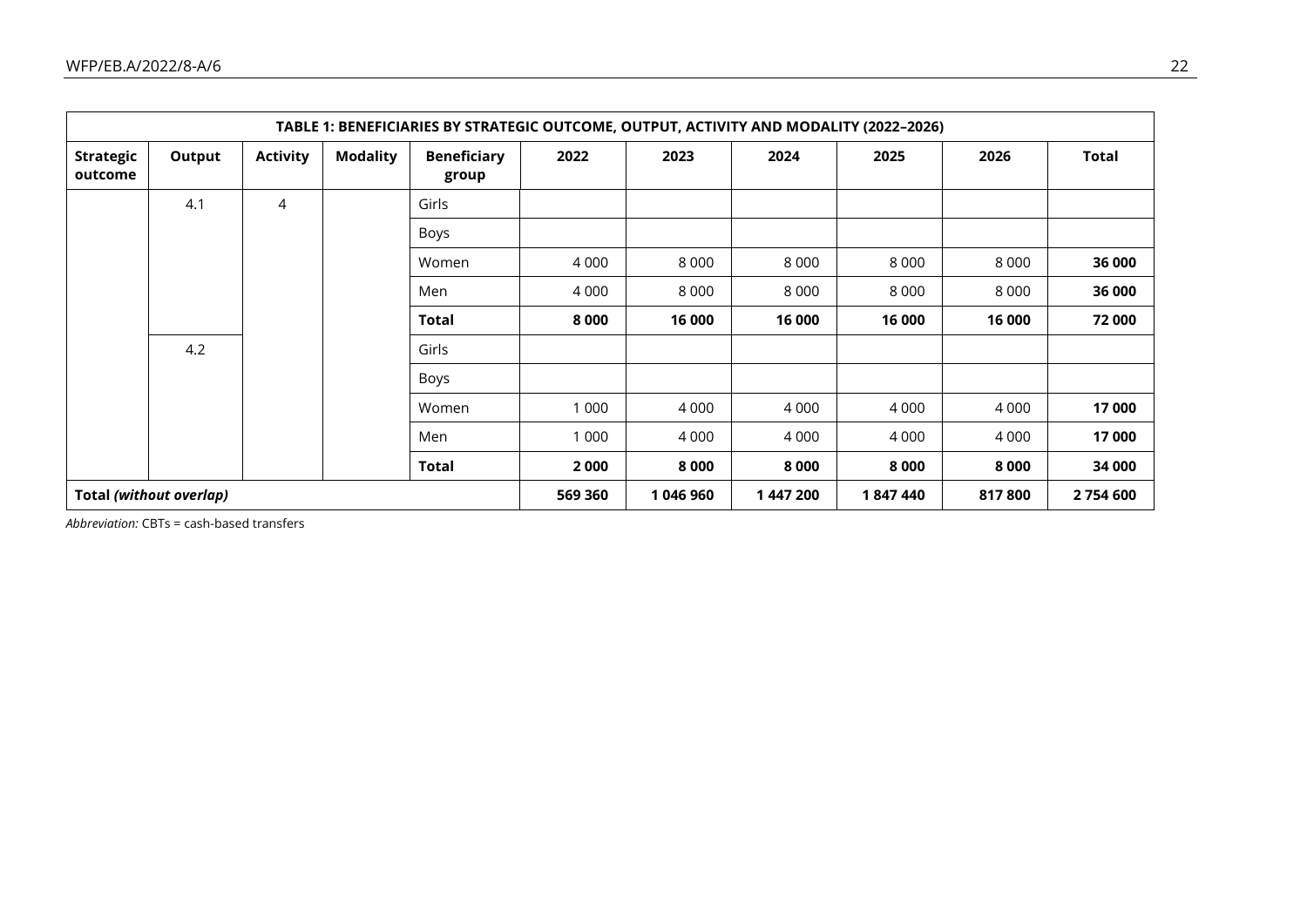|                             | TABLE 1: BENEFICIARIES BY STRATEGIC OUTCOME, OUTPUT, ACTIVITY AND MODALITY (2022-2026) |                 |                 |                             |           |           |         |         |           |        |
|-----------------------------|----------------------------------------------------------------------------------------|-----------------|-----------------|-----------------------------|-----------|-----------|---------|---------|-----------|--------|
| <b>Strategic</b><br>outcome | Output                                                                                 | <b>Activity</b> | <b>Modality</b> | <b>Beneficiary</b><br>group | 2022      | 2023      | 2024    | 2025    | 2026      | Total  |
|                             | 4.1                                                                                    | 4               |                 | Girls                       |           |           |         |         |           |        |
|                             |                                                                                        |                 |                 | Boys                        |           |           |         |         |           |        |
|                             |                                                                                        |                 |                 | Women                       | 4 0 0 0   | 8 0 0 0   | 8 0 0 0 | 8 0 0 0 | 8 0 0 0   | 36 000 |
|                             |                                                                                        |                 |                 | Men                         | 4 0 0 0   | 8 0 0 0   | 8 0 0 0 | 8 0 0 0 | 8 0 0 0   | 36 000 |
|                             |                                                                                        |                 |                 | <b>Total</b>                | 8 0 0 0   | 16 000    | 16 000  | 16 000  | 16 000    | 72 000 |
|                             | 4.2                                                                                    |                 |                 | Girls                       |           |           |         |         |           |        |
|                             |                                                                                        |                 |                 | Boys                        |           |           |         |         |           |        |
|                             |                                                                                        |                 |                 | Women                       | 1 0 0 0   | 4 0 0 0   | 4 0 0 0 | 4 0 0 0 | 4 0 0 0   | 17 000 |
|                             |                                                                                        |                 |                 | Men                         | 1 0 0 0   | 4 0 0 0   | 4 0 0 0 | 4 0 0 0 | 4 0 0 0   | 17 000 |
|                             |                                                                                        |                 |                 | Total                       | 2000      | 8 0 0 0   | 8000    | 8 0 0 0 | 8 0 0 0   | 34 000 |
| Total (without overlap)     |                                                                                        |                 |                 | 569 360                     | 1 046 960 | 1 447 200 | 1847440 | 817800  | 2 754 600 |        |

*Abbreviation:* CBTs = cash-based transfers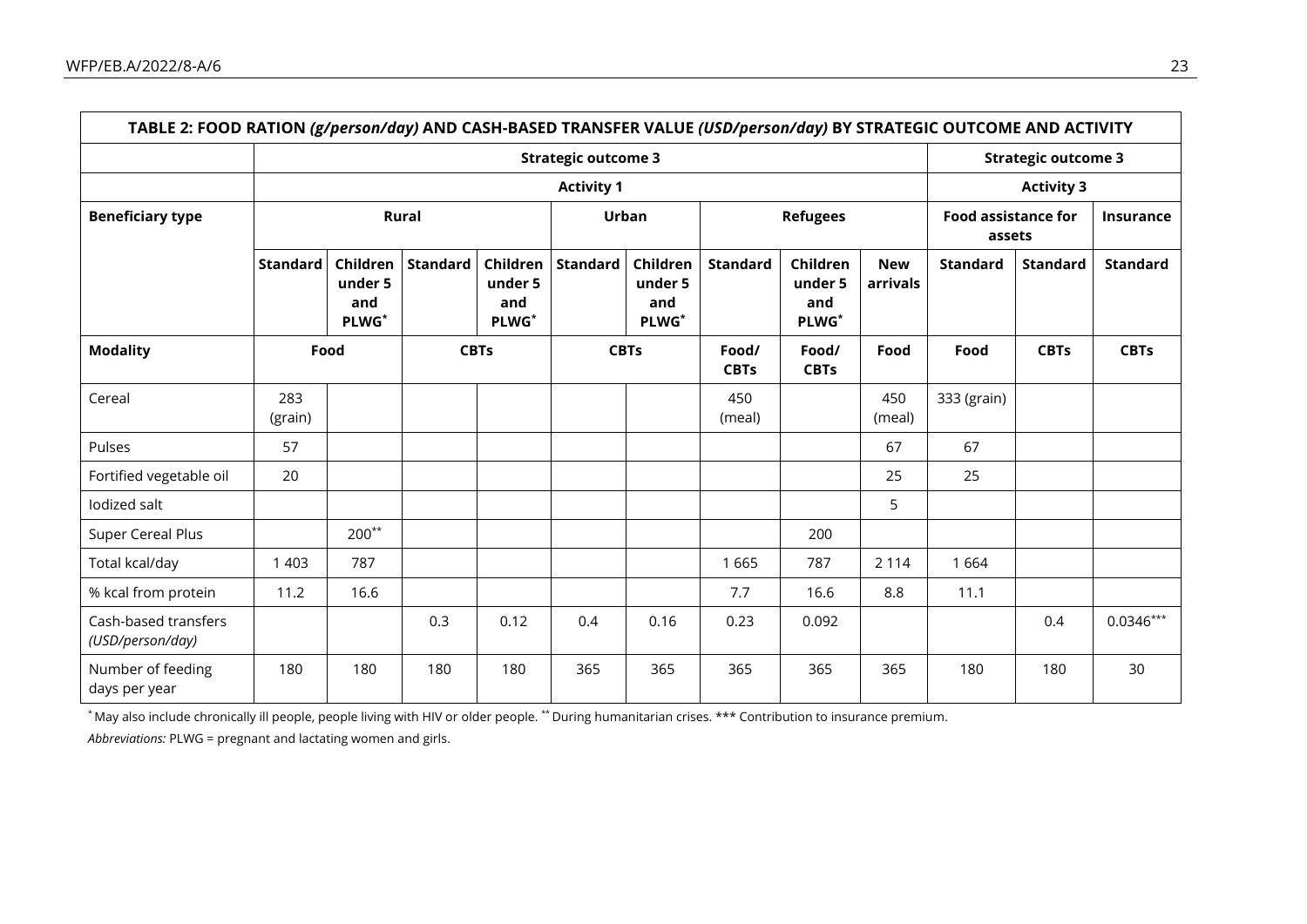|                                          |                     |                                                 |          |                                     | <b>Strategic outcome 3</b> |                                     |                      |                                     |                        |                                      | <b>Strategic outcome 3</b> |                   |  |  |
|------------------------------------------|---------------------|-------------------------------------------------|----------|-------------------------------------|----------------------------|-------------------------------------|----------------------|-------------------------------------|------------------------|--------------------------------------|----------------------------|-------------------|--|--|
|                                          |                     | <b>Activity 1</b>                               |          |                                     |                            |                                     |                      |                                     |                        |                                      |                            | <b>Activity 3</b> |  |  |
| <b>Beneficiary type</b>                  |                     | <b>Rural</b>                                    |          |                                     |                            | <b>Urban</b>                        |                      | <b>Refugees</b>                     |                        | <b>Food assistance for</b><br>assets |                            | <b>Insurance</b>  |  |  |
|                                          | Standard            | Children<br>under 5<br>and<br>PLWG <sup>*</sup> | Standard | Children<br>under 5<br>and<br>PLWG* | <b>Standard</b>            | Children<br>under 5<br>and<br>PLWG* | <b>Standard</b>      | Children<br>under 5<br>and<br>PLWG* | <b>New</b><br>arrivals | <b>Standard</b>                      | <b>Standard</b>            | <b>Standard</b>   |  |  |
| <b>Modality</b>                          | <b>CBTs</b><br>Food |                                                 |          | <b>CBTs</b>                         |                            | Food/<br><b>CBTs</b>                | Food/<br><b>CBTs</b> | Food                                | Food                   | <b>CBTs</b>                          | <b>CBTs</b>                |                   |  |  |
| Cereal                                   | 283<br>(grain)      |                                                 |          |                                     |                            |                                     | 450<br>(meal)        |                                     | 450<br>(meal)          | 333 (grain)                          |                            |                   |  |  |
| Pulses                                   | 57                  |                                                 |          |                                     |                            |                                     |                      |                                     | 67                     | 67                                   |                            |                   |  |  |
| Fortified vegetable oil                  | 20                  |                                                 |          |                                     |                            |                                     |                      |                                     | 25                     | 25                                   |                            |                   |  |  |
| lodized salt                             |                     |                                                 |          |                                     |                            |                                     |                      |                                     | 5                      |                                      |                            |                   |  |  |
| Super Cereal Plus                        |                     | $200**$                                         |          |                                     |                            |                                     |                      | 200                                 |                        |                                      |                            |                   |  |  |
| Total kcal/day                           | 1 4 0 3             | 787                                             |          |                                     |                            |                                     | 1665                 | 787                                 | 2 1 1 4                | 1664                                 |                            |                   |  |  |
| % kcal from protein                      | 11.2                | 16.6                                            |          |                                     |                            |                                     | 7.7                  | 16.6                                | 8.8                    | 11.1                                 |                            |                   |  |  |
| Cash-based transfers<br>(USD/person/day) |                     |                                                 | 0.3      | 0.12                                | 0.4                        | 0.16                                | 0.23                 | 0.092                               |                        |                                      | 0.4                        | $0.0346***$       |  |  |
| Number of feeding<br>days per year       | 180                 | 180                                             | 180      | 180                                 | 365                        | 365                                 | 365                  | 365                                 | 365                    | 180                                  | 180                        | 30                |  |  |

\* May also include chronically ill people, people living with HIV or older people. \*\* During humanitarian crises. \*\*\* Contribution to insurance premium.

*Abbreviations:* PLWG = pregnant and lactating women and girls.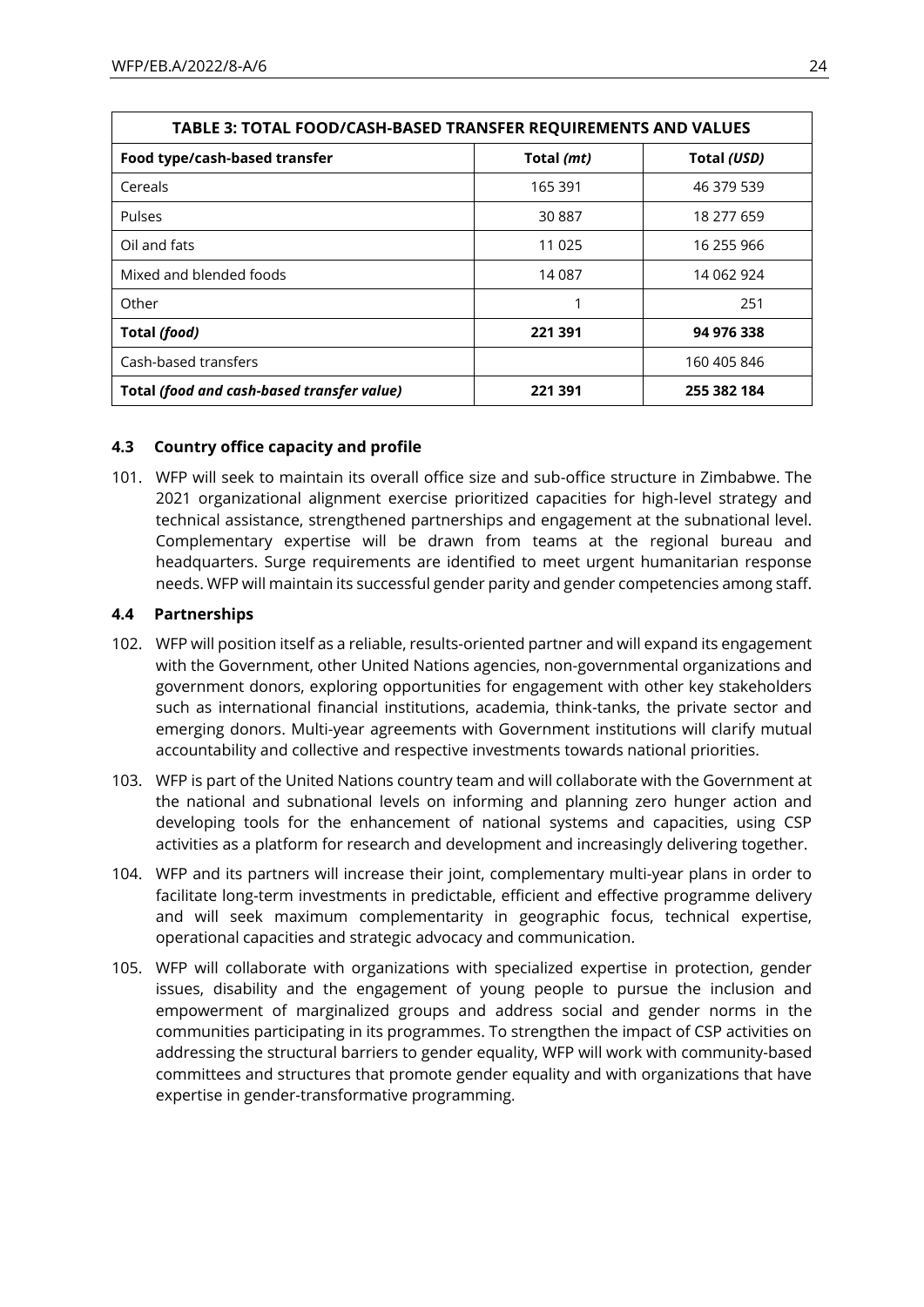| <b>TABLE 3: TOTAL FOOD/CASH-BASED TRANSFER REQUIREMENTS AND VALUES</b> |            |             |  |  |  |
|------------------------------------------------------------------------|------------|-------------|--|--|--|
| Food type/cash-based transfer                                          | Total (mt) | Total (USD) |  |  |  |
| Cereals                                                                | 165 391    | 46 379 539  |  |  |  |
| <b>Pulses</b>                                                          | 30887      | 18 277 659  |  |  |  |
| Oil and fats                                                           | 11 0 25    | 16 255 966  |  |  |  |
| Mixed and blended foods                                                | 14 087     | 14 062 924  |  |  |  |
| Other                                                                  |            | 251         |  |  |  |
| Total (food)                                                           | 221 391    | 94 976 338  |  |  |  |
| Cash-based transfers                                                   |            | 160 405 846 |  |  |  |
| Total (food and cash-based transfer value)                             | 221 391    | 255 382 184 |  |  |  |

### **4.3 Country office capacity and profile**

101. WFP will seek to maintain its overall office size and sub-office structure in Zimbabwe. The 2021 organizational alignment exercise prioritized capacities for high-level strategy and technical assistance, strengthened partnerships and engagement at the subnational level. Complementary expertise will be drawn from teams at the regional bureau and headquarters. Surge requirements are identified to meet urgent humanitarian response needs. WFP will maintain its successful gender parity and gender competencies among staff.

### **4.4 Partnerships**

- 102. WFP will position itself as a reliable, results-oriented partner and will expand its engagement with the Government, other United Nations agencies, non-governmental organizations and government donors, exploring opportunities for engagement with other key stakeholders such as international financial institutions, academia, think-tanks, the private sector and emerging donors. Multi-year agreements with Government institutions will clarify mutual accountability and collective and respective investments towards national priorities.
- 103. WFP is part of the United Nations country team and will collaborate with the Government at the national and subnational levels on informing and planning zero hunger action and developing tools for the enhancement of national systems and capacities, using CSP activities as a platform for research and development and increasingly delivering together.
- 104. WFP and its partners will increase their joint, complementary multi-year plans in order to facilitate long-term investments in predictable, efficient and effective programme delivery and will seek maximum complementarity in geographic focus, technical expertise, operational capacities and strategic advocacy and communication.
- 105. WFP will collaborate with organizations with specialized expertise in protection, gender issues, disability and the engagement of young people to pursue the inclusion and empowerment of marginalized groups and address social and gender norms in the communities participating in its programmes. To strengthen the impact of CSP activities on addressing the structural barriers to gender equality, WFP will work with community-based committees and structures that promote gender equality and with organizations that have expertise in gender-transformative programming.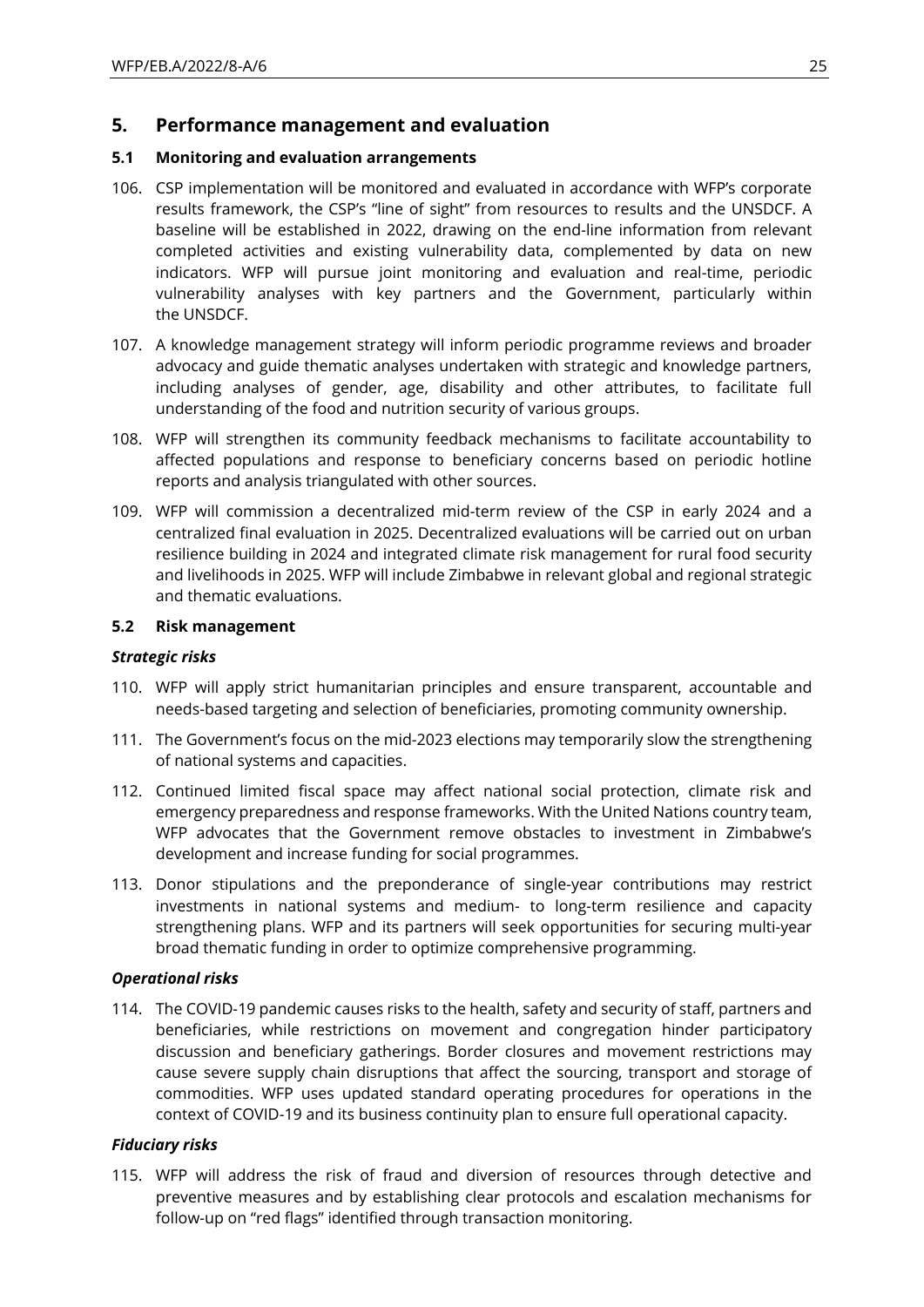### **5. Performance management and evaluation**

### **5.1 Monitoring and evaluation arrangements**

- 106. CSP implementation will be monitored and evaluated in accordance with WFP's corporate results framework, the CSP's "line of sight" from resources to results and the UNSDCF. A baseline will be established in 2022, drawing on the end-line information from relevant completed activities and existing vulnerability data, complemented by data on new indicators. WFP will pursue joint monitoring and evaluation and real-time, periodic vulnerability analyses with key partners and the Government, particularly within the UNSDCF.
- 107. A knowledge management strategy will inform periodic programme reviews and broader advocacy and guide thematic analyses undertaken with strategic and knowledge partners, including analyses of gender, age, disability and other attributes, to facilitate full understanding of the food and nutrition security of various groups.
- 108. WFP will strengthen its community feedback mechanisms to facilitate accountability to affected populations and response to beneficiary concerns based on periodic hotline reports and analysis triangulated with other sources.
- 109. WFP will commission a decentralized mid-term review of the CSP in early 2024 and a centralized final evaluation in 2025. Decentralized evaluations will be carried out on urban resilience building in 2024 and integrated climate risk management for rural food security and livelihoods in 2025. WFP will include Zimbabwe in relevant global and regional strategic and thematic evaluations.

### **5.2 Risk management**

#### *Strategic risks*

- 110. WFP will apply strict humanitarian principles and ensure transparent, accountable and needs-based targeting and selection of beneficiaries, promoting community ownership.
- 111. The Government's focus on the mid-2023 elections may temporarily slow the strengthening of national systems and capacities.
- 112. Continued limited fiscal space may affect national social protection, climate risk and emergency preparedness and response frameworks. With the United Nations country team, WFP advocates that the Government remove obstacles to investment in Zimbabwe's development and increase funding for social programmes.
- 113. Donor stipulations and the preponderance of single-year contributions may restrict investments in national systems and medium- to long-term resilience and capacity strengthening plans. WFP and its partners will seek opportunities for securing multi-year broad thematic funding in order to optimize comprehensive programming.

#### *Operational risks*

114. The COVID-19 pandemic causes risks to the health, safety and security of staff, partners and beneficiaries, while restrictions on movement and congregation hinder participatory discussion and beneficiary gatherings. Border closures and movement restrictions may cause severe supply chain disruptions that affect the sourcing, transport and storage of commodities. WFP uses updated standard operating procedures for operations in the context of COVID-19 and its business continuity plan to ensure full operational capacity.

### *Fiduciary risks*

115. WFP will address the risk of fraud and diversion of resources through detective and preventive measures and by establishing clear protocols and escalation mechanisms for follow-up on "red flags" identified through transaction monitoring.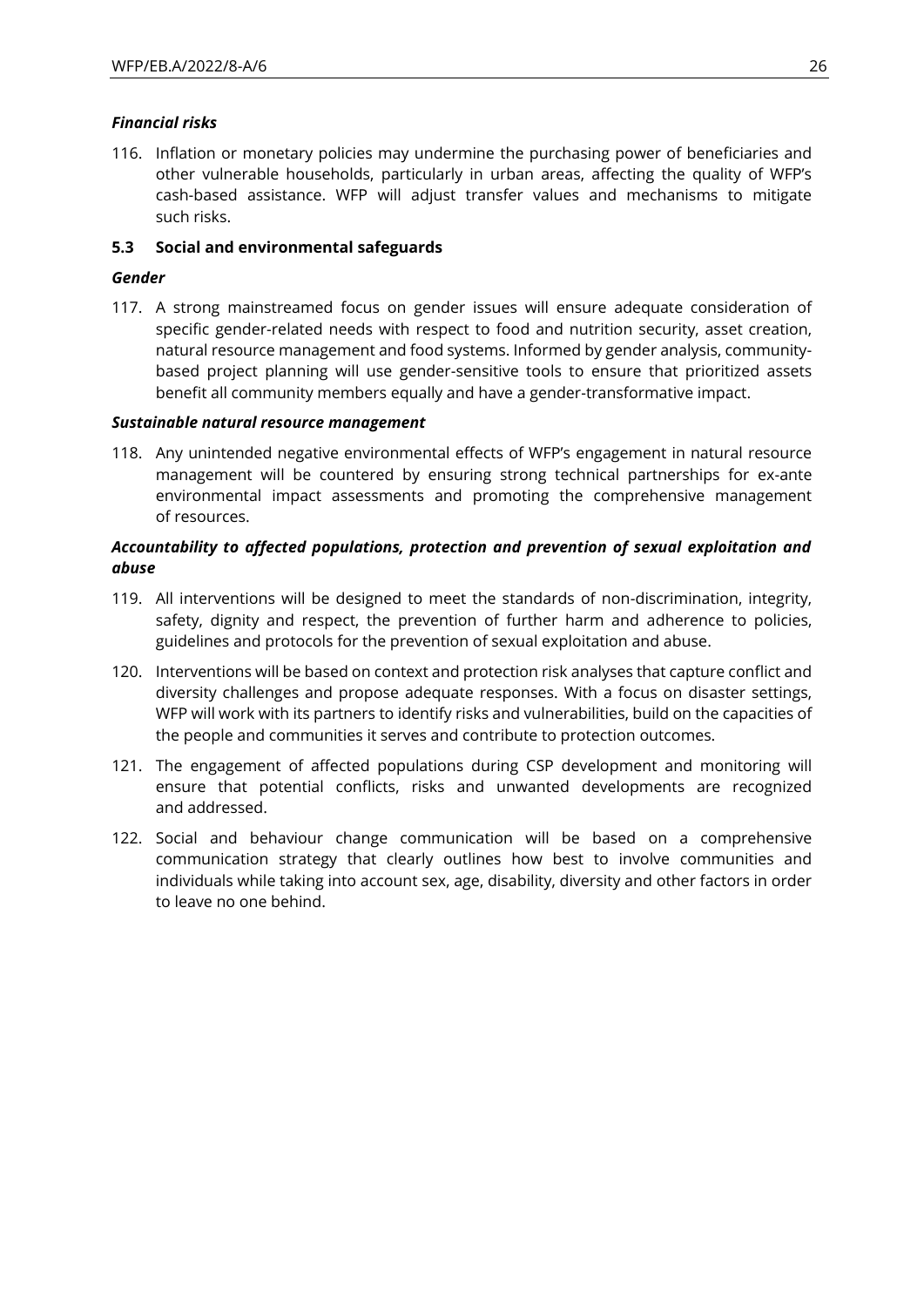### *Financial risks*

116. Inflation or monetary policies may undermine the purchasing power of beneficiaries and other vulnerable households, particularly in urban areas, affecting the quality of WFP's cash-based assistance. WFP will adjust transfer values and mechanisms to mitigate such risks.

### **5.3 Social and environmental safeguards**

### *Gender*

117. A strong mainstreamed focus on gender issues will ensure adequate consideration of specific gender-related needs with respect to food and nutrition security, asset creation, natural resource management and food systems. Informed by gender analysis, communitybased project planning will use gender-sensitive tools to ensure that prioritized assets benefit all community members equally and have a gender-transformative impact.

### *Sustainable natural resource management*

118. Any unintended negative environmental effects of WFP's engagement in natural resource management will be countered by ensuring strong technical partnerships for ex-ante environmental impact assessments and promoting the comprehensive management of resources.

### *Accountability to affected populations, protection and prevention of sexual exploitation and abuse*

- 119. All interventions will be designed to meet the standards of non-discrimination, integrity, safety, dignity and respect, the prevention of further harm and adherence to policies, guidelines and protocols for the prevention of sexual exploitation and abuse.
- 120. Interventions will be based on context and protection risk analyses that capture conflict and diversity challenges and propose adequate responses. With a focus on disaster settings, WFP will work with its partners to identify risks and vulnerabilities, build on the capacities of the people and communities it serves and contribute to protection outcomes.
- 121. The engagement of affected populations during CSP development and monitoring will ensure that potential conflicts, risks and unwanted developments are recognized and addressed.
- 122. Social and behaviour change communication will be based on a comprehensive communication strategy that clearly outlines how best to involve communities and individuals while taking into account sex, age, disability, diversity and other factors in order to leave no one behind.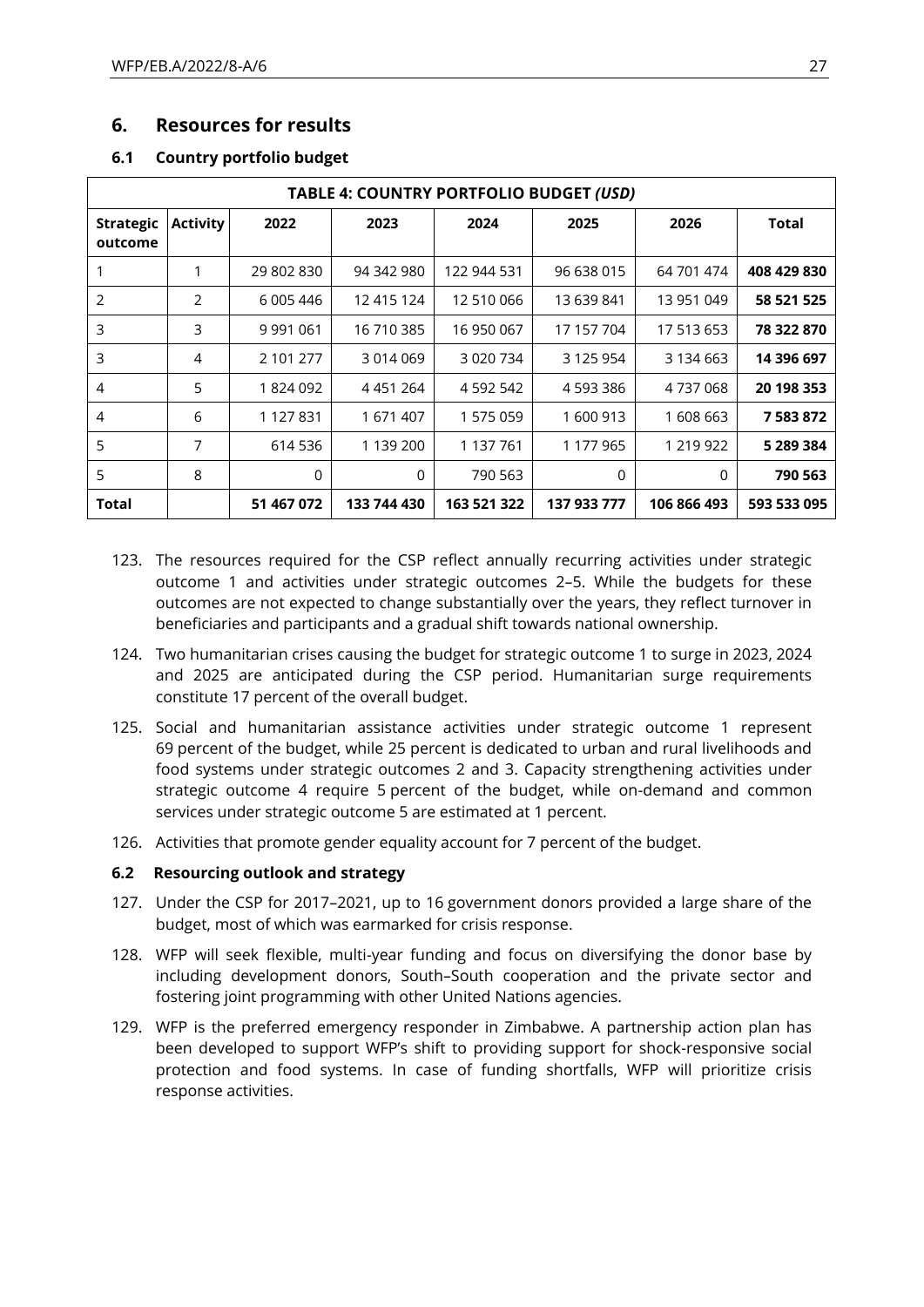### **6. Resources for results**

|                             | TABLE 4: COUNTRY PORTFOLIO BUDGET (USD) |               |             |               |             |             |             |  |  |
|-----------------------------|-----------------------------------------|---------------|-------------|---------------|-------------|-------------|-------------|--|--|
| <b>Strategic</b><br>outcome | <b>Activity</b>                         | 2022          | 2023        | 2024          | 2025        | 2026        | Total       |  |  |
|                             | 1                                       | 29 802 830    | 94 342 980  | 122 944 531   | 96 638 015  | 64 701 474  | 408 429 830 |  |  |
| 2                           | 2                                       | 6 005 446     | 12 415 124  | 12 510 066    | 13 639 841  | 13 951 049  | 58 521 525  |  |  |
| 3                           | 3                                       | 9 9 9 1 0 6 1 | 16 710 385  | 16 950 067    | 17 157 704  | 17 513 653  | 78 322 870  |  |  |
| 3                           | 4                                       | 2 101 277     | 3014069     | 3 0 2 0 7 3 4 | 3 125 954   | 3 134 663   | 14 396 697  |  |  |
| 4                           | 5                                       | 1824092       | 4451264     | 4 5 9 2 5 4 2 | 4 593 386   | 4737068     | 20 198 353  |  |  |
| 4                           | 6                                       | 1 127 831     | 1671407     | 1 575 059     | 1 600 913   | 1608663     | 7583872     |  |  |
| 5                           | 7                                       | 614 536       | 1 139 200   | 1 137 761     | 1 177 965   | 1 219 922   | 5 289 384   |  |  |
| 5                           | 8                                       | 0             | 0           | 790 563       | 0           | 0           | 790 563     |  |  |
| Total                       |                                         | 51 467 072    | 133 744 430 | 163 521 322   | 137 933 777 | 106 866 493 | 593 533 095 |  |  |

### **6.1 Country portfolio budget**

- 123. The resources required for the CSP reflect annually recurring activities under strategic outcome 1 and activities under strategic outcomes 2–5. While the budgets for these outcomes are not expected to change substantially over the years, they reflect turnover in beneficiaries and participants and a gradual shift towards national ownership.
- 124. Two humanitarian crises causing the budget for strategic outcome 1 to surge in 2023, 2024 and 2025 are anticipated during the CSP period. Humanitarian surge requirements constitute 17 percent of the overall budget.
- 125. Social and humanitarian assistance activities under strategic outcome 1 represent 69 percent of the budget, while 25 percent is dedicated to urban and rural livelihoods and food systems under strategic outcomes 2 and 3. Capacity strengthening activities under strategic outcome 4 require 5 percent of the budget, while on-demand and common services under strategic outcome 5 are estimated at 1 percent.
- 126. Activities that promote gender equality account for 7 percent of the budget.

### **6.2 Resourcing outlook and strategy**

- 127. Under the CSP for 2017–2021, up to 16 government donors provided a large share of the budget, most of which was earmarked for crisis response.
- 128. WFP will seek flexible, multi-year funding and focus on diversifying the donor base by including development donors, South–South cooperation and the private sector and fostering joint programming with other United Nations agencies.
- 129. WFP is the preferred emergency responder in Zimbabwe. A partnership action plan has been developed to support WFP's shift to providing support for shock-responsive social protection and food systems. In case of funding shortfalls, WFP will prioritize crisis response activities.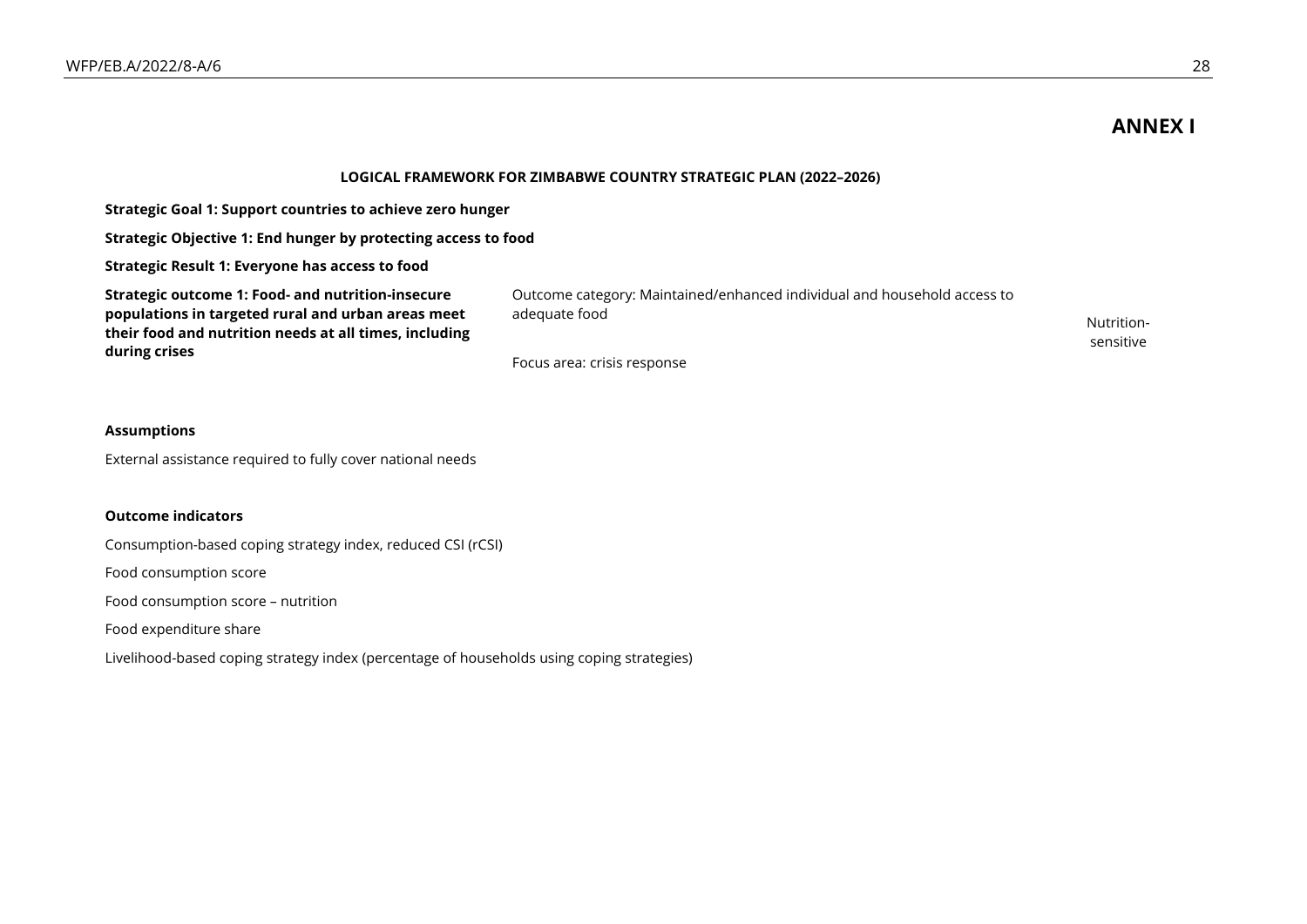## **ANNEX I**

sensitive

#### **LOGICAL FRAMEWORK FOR ZIMBABWE COUNTRY STRATEGIC PLAN (2022–2026)**

**Strategic Goal 1: Support countries to achieve zero hunger**

**Strategic Objective 1: End hunger by protecting access to food**

**Strategic Result 1: Everyone has access to food**

**Strategic outcome 1: Food- and nutrition-insecure populations in targeted rural and urban areas meet their food and nutrition needs at all times, including during crises**

Outcome category: Maintained/enhanced individual and household access to adequate food and a second second second second second second second second second second second second second

Focus area: crisis response

#### **Assumptions**

External assistance required to fully cover national needs

#### **Outcome indicators**

Consumption-based coping strategy index, reduced CSI (rCSI)

Food consumption score

Food consumption score – nutrition

Food expenditure share

Livelihood-based coping strategy index (percentage of households using coping strategies)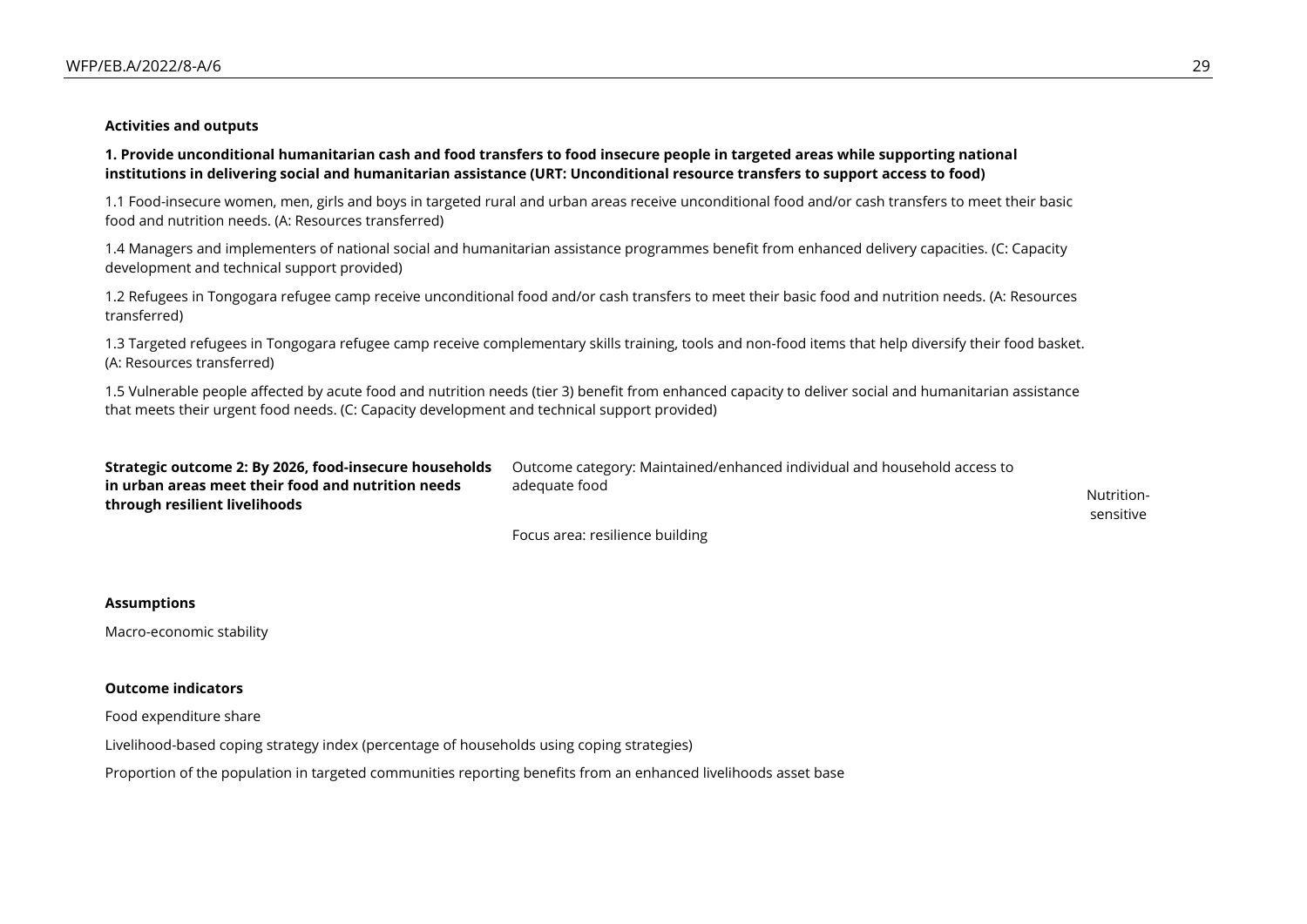#### **Activities and outputs**

**1. Provide unconditional humanitarian cash and food transfers to food insecure people in targeted areas while supporting national institutions in delivering social and humanitarian assistance (URT: Unconditional resource transfers to support access to food)**

1.1 Food-insecure women, men, girls and boys in targeted rural and urban areas receive unconditional food and/or cash transfers to meet their basic food and nutrition needs. (A: Resources transferred)

1.4 Managers and implementers of national social and humanitarian assistance programmes benefit from enhanced delivery capacities. (C: Capacity development and technical support provided)

1.2 Refugees in Tongogara refugee camp receive unconditional food and/or cash transfers to meet their basic food and nutrition needs. (A: Resources transferred)

1.3 Targeted refugees in Tongogara refugee camp receive complementary skills training, tools and non-food items that help diversify their food basket. (A: Resources transferred)

1.5 Vulnerable people affected by acute food and nutrition needs (tier 3) benefit from enhanced capacity to deliver social and humanitarian assistance that meets their urgent food needs. (C: Capacity development and technical support provided)

| Strategic outcome 2: By 2026, food-insecure households | Outcome category: Maintained/enhanced individual and household access to |            |
|--------------------------------------------------------|--------------------------------------------------------------------------|------------|
| in urban areas meet their food and nutrition needs     | adeguate food                                                            |            |
| through resilient livelihoods                          |                                                                          | Nutrition- |
|                                                        |                                                                          | sensitive  |
|                                                        | Focus area: resilience building                                          |            |

### **Assumptions**

Macro-economic stability

#### **Outcome indicators**

Food expenditure share

Livelihood-based coping strategy index (percentage of households using coping strategies)

Proportion of the population in targeted communities reporting benefits from an enhanced livelihoods asset base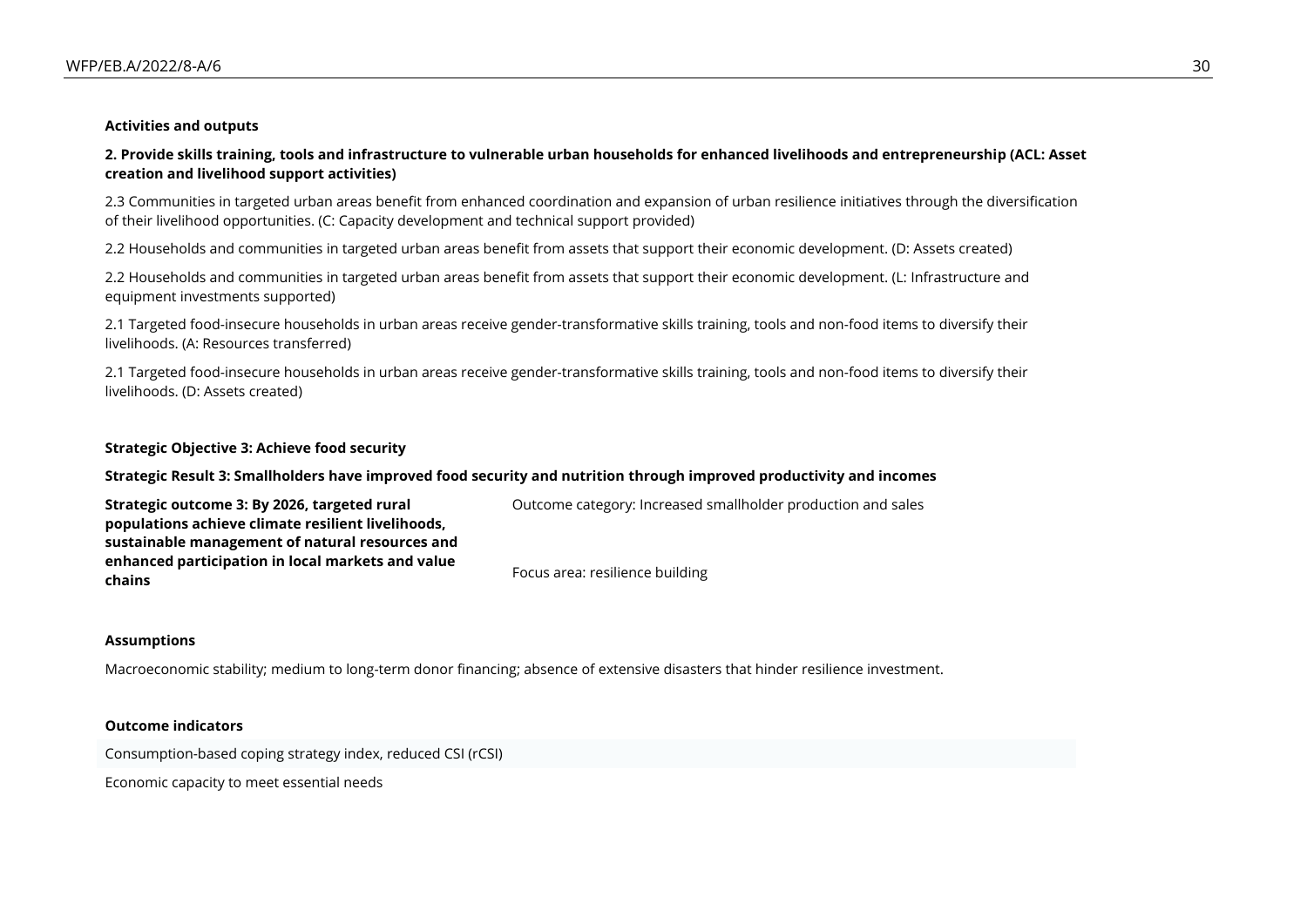#### **Activities and outputs**

**2. Provide skills training, tools and infrastructure to vulnerable urban households for enhanced livelihoods and entrepreneurship (ACL: Asset creation and livelihood support activities)**

2.3 Communities in targeted urban areas benefit from enhanced coordination and expansion of urban resilience initiatives through the diversification of their livelihood opportunities. (C: Capacity development and technical support provided)

2.2 Households and communities in targeted urban areas benefit from assets that support their economic development. (D: Assets created)

2.2 Households and communities in targeted urban areas benefit from assets that support their economic development. (L: Infrastructure and equipment investments supported)

2.1 Targeted food-insecure households in urban areas receive gender-transformative skills training, tools and non-food items to diversify their livelihoods. (A: Resources transferred)

2.1 Targeted food-insecure households in urban areas receive gender-transformative skills training, tools and non-food items to diversify their livelihoods. (D: Assets created)

#### **Strategic Objective 3: Achieve food security**

#### **Strategic Result 3: Smallholders have improved food security and nutrition through improved productivity and incomes**

**Strategic outcome 3: By 2026, targeted rural populations achieve climate resilient livelihoods, sustainable management of natural resources and enhanced participation in local markets and value chains** Outcome category: Increased smallholder production and sales Focus area: resilience building

#### **Assumptions**

Macroeconomic stability; medium to long-term donor financing; absence of extensive disasters that hinder resilience investment.

#### **Outcome indicators**

Consumption-based coping strategy index, reduced CSI (rCSI)

Economic capacity to meet essential needs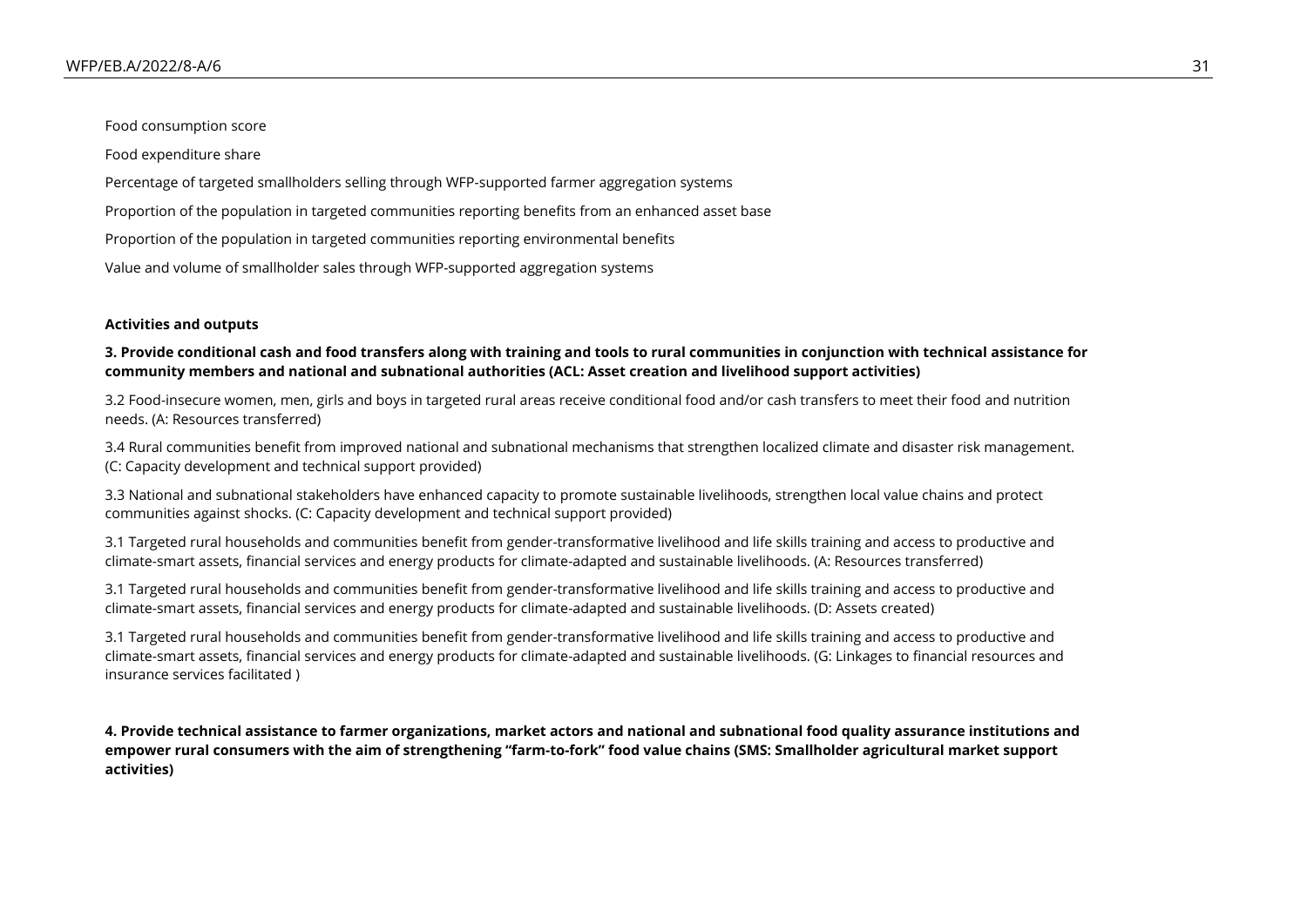Food consumption score

Food expenditure share

Percentage of targeted smallholders selling through WFP-supported farmer aggregation systems

Proportion of the population in targeted communities reporting benefits from an enhanced asset base

Proportion of the population in targeted communities reporting environmental benefits

Value and volume of smallholder sales through WFP-supported aggregation systems

#### **Activities and outputs**

#### **3. Provide conditional cash and food transfers along with training and tools to rural communities in conjunction with technical assistance for community members and national and subnational authorities (ACL: Asset creation and livelihood support activities)**

3.2 Food-insecure women, men, girls and boys in targeted rural areas receive conditional food and/or cash transfers to meet their food and nutrition needs. (A: Resources transferred)

3.4 Rural communities benefit from improved national and subnational mechanisms that strengthen localized climate and disaster risk management. (C: Capacity development and technical support provided)

3.3 National and subnational stakeholders have enhanced capacity to promote sustainable livelihoods, strengthen local value chains and protect communities against shocks. (C: Capacity development and technical support provided)

3.1 Targeted rural households and communities benefit from gender-transformative livelihood and life skills training and access to productive and climate-smart assets, financial services and energy products for climate-adapted and sustainable livelihoods. (A: Resources transferred)

3.1 Targeted rural households and communities benefit from gender-transformative livelihood and life skills training and access to productive and climate-smart assets, financial services and energy products for climate-adapted and sustainable livelihoods. (D: Assets created)

3.1 Targeted rural households and communities benefit from gender-transformative livelihood and life skills training and access to productive and climate-smart assets, financial services and energy products for climate-adapted and sustainable livelihoods. (G: Linkages to financial resources and insurance services facilitated )

**4. Provide technical assistance to farmer organizations, market actors and national and subnational food quality assurance institutions and empower rural consumers with the aim of strengthening "farm-to-fork" food value chains (SMS: Smallholder agricultural market support activities)**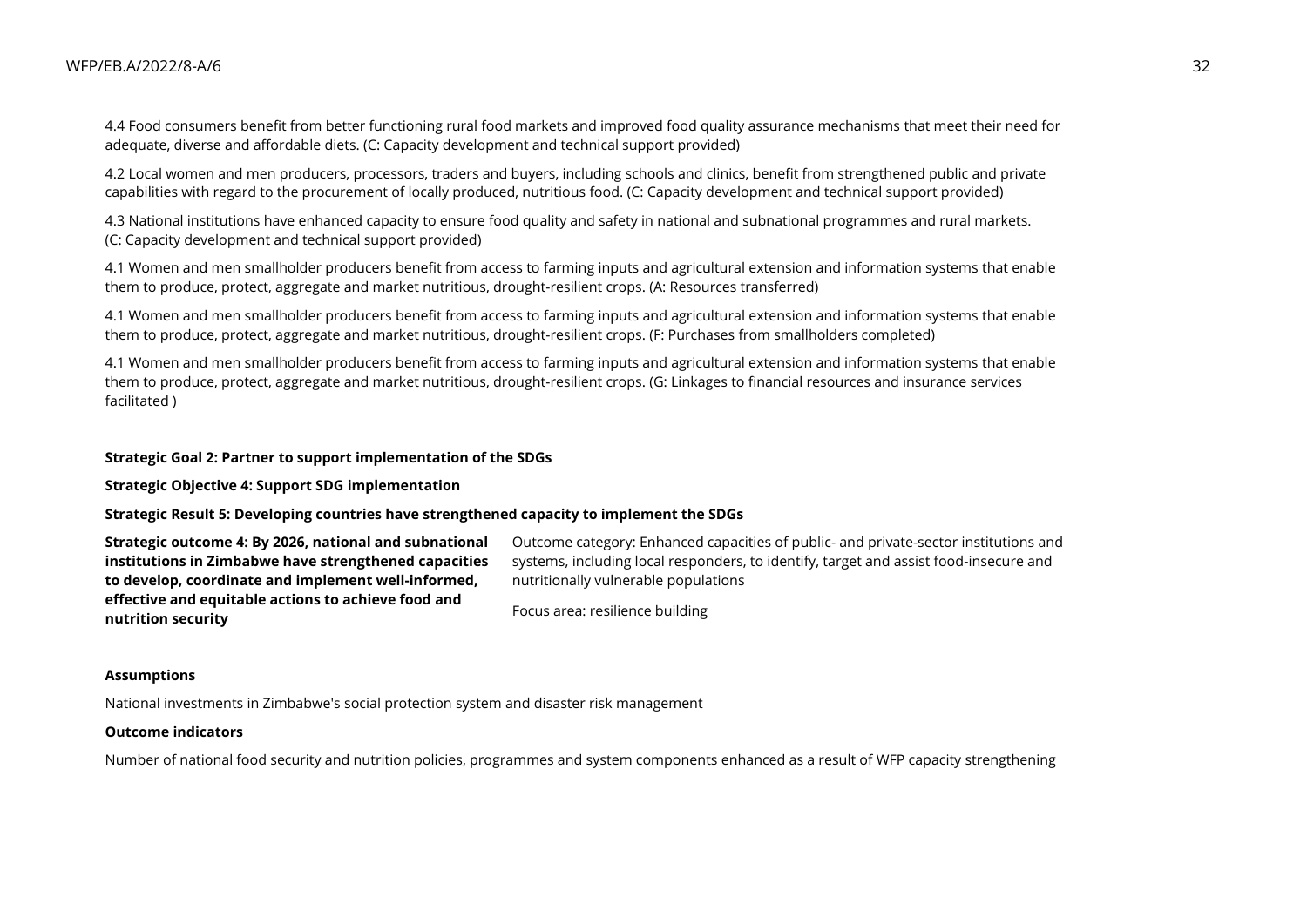4.4 Food consumers benefit from better functioning rural food markets and improved food quality assurance mechanisms that meet their need for adequate, diverse and affordable diets. (C: Capacity development and technical support provided)

4.2 Local women and men producers, processors, traders and buyers, including schools and clinics, benefit from strengthened public and private capabilities with regard to the procurement of locally produced, nutritious food. (C: Capacity development and technical support provided)

4.3 National institutions have enhanced capacity to ensure food quality and safety in national and subnational programmes and rural markets. (C: Capacity development and technical support provided)

4.1 Women and men smallholder producers benefit from access to farming inputs and agricultural extension and information systems that enable them to produce, protect, aggregate and market nutritious, drought-resilient crops. (A: Resources transferred)

4.1 Women and men smallholder producers benefit from access to farming inputs and agricultural extension and information systems that enable them to produce, protect, aggregate and market nutritious, drought-resilient crops. (F: Purchases from smallholders completed)

4.1 Women and men smallholder producers benefit from access to farming inputs and agricultural extension and information systems that enable them to produce, protect, aggregate and market nutritious, drought-resilient crops. (G: Linkages to financial resources and insurance services facilitated )

#### **Strategic Goal 2: Partner to support implementation of the SDGs**

**Strategic Objective 4: Support SDG implementation**

#### **Strategic Result 5: Developing countries have strengthened capacity to implement the SDGs**

**Strategic outcome 4: By 2026, national and subnational institutions in Zimbabwe have strengthened capacities to develop, coordinate and implement well-informed, effective and equitable actions to achieve food and nutrition security**

Outcome category: Enhanced capacities of public- and private-sector institutions and systems, including local responders, to identify, target and assist food-insecure and nutritionally vulnerable populations

Focus area: resilience building

#### **Assumptions**

National investments in Zimbabwe's social protection system and disaster risk management

#### **Outcome indicators**

Number of national food security and nutrition policies, programmes and system components enhanced as a result of WFP capacity strengthening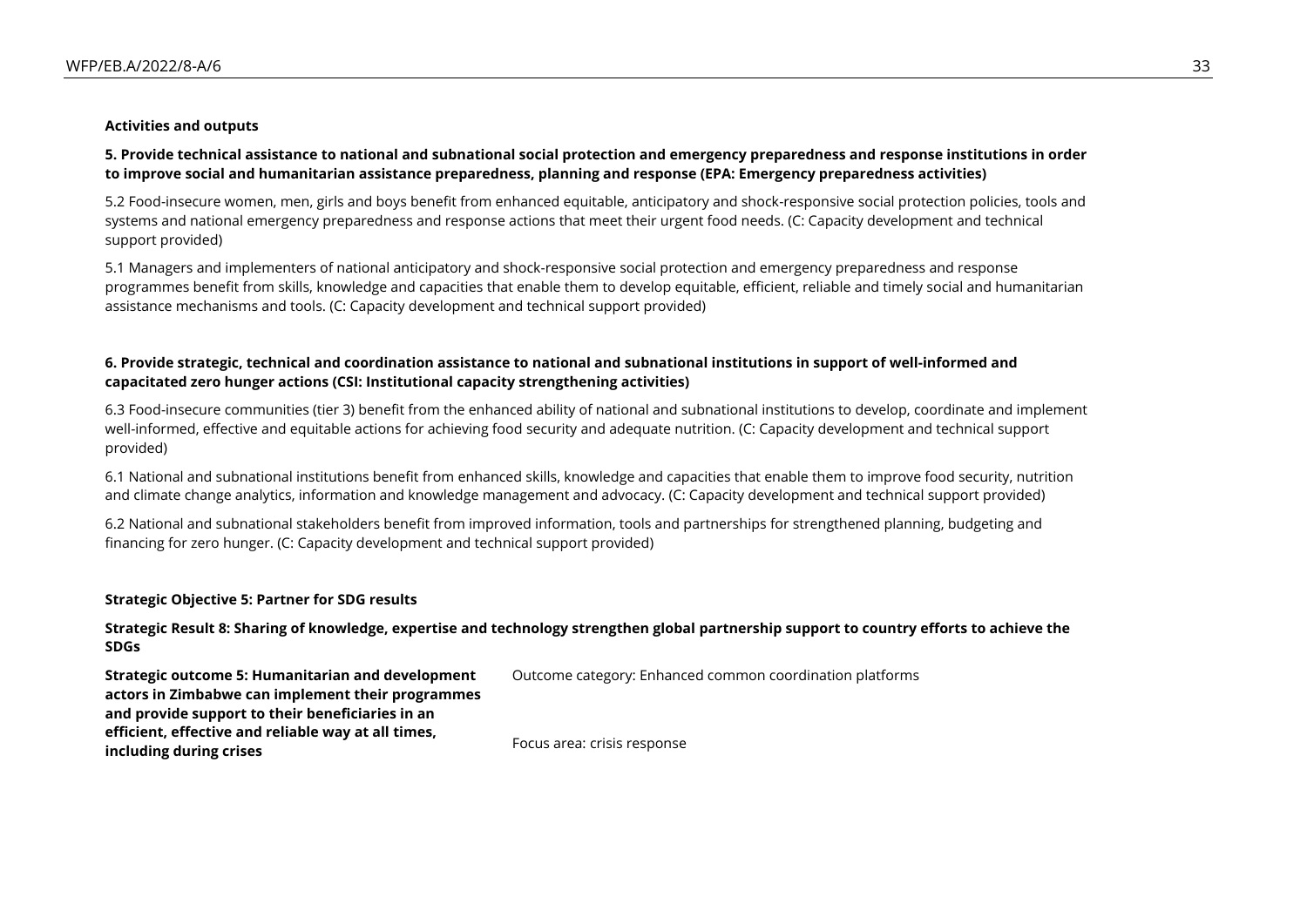#### **Activities and outputs**

#### **5. Provide technical assistance to national and subnational social protection and emergency preparedness and response institutions in order to improve social and humanitarian assistance preparedness, planning and response (EPA: Emergency preparedness activities)**

5.2 Food-insecure women, men, girls and boys benefit from enhanced equitable, anticipatory and shock-responsive social protection policies, tools and systems and national emergency preparedness and response actions that meet their urgent food needs. (C: Capacity development and technical support provided)

5.1 Managers and implementers of national anticipatory and shock-responsive social protection and emergency preparedness and response programmes benefit from skills, knowledge and capacities that enable them to develop equitable, efficient, reliable and timely social and humanitarian assistance mechanisms and tools. (C: Capacity development and technical support provided)

#### **6. Provide strategic, technical and coordination assistance to national and subnational institutions in support of well-informed and capacitated zero hunger actions (CSI: Institutional capacity strengthening activities)**

6.3 Food-insecure communities (tier 3) benefit from the enhanced ability of national and subnational institutions to develop, coordinate and implement well-informed, effective and equitable actions for achieving food security and adequate nutrition. (C: Capacity development and technical support provided)

6.1 National and subnational institutions benefit from enhanced skills, knowledge and capacities that enable them to improve food security, nutrition and climate change analytics, information and knowledge management and advocacy. (C: Capacity development and technical support provided)

6.2 National and subnational stakeholders benefit from improved information, tools and partnerships for strengthened planning, budgeting and financing for zero hunger. (C: Capacity development and technical support provided)

#### **Strategic Objective 5: Partner for SDG results**

#### **Strategic Result 8: Sharing of knowledge, expertise and technology strengthen global partnership support to country efforts to achieve the SDGs**

Outcome category: Enhanced common coordination platforms

**Strategic outcome 5: Humanitarian and development actors in Zimbabwe can implement their programmes and provide support to their beneficiaries in an efficient, effective and reliable way at all times, including during crises**

Focus area: crisis response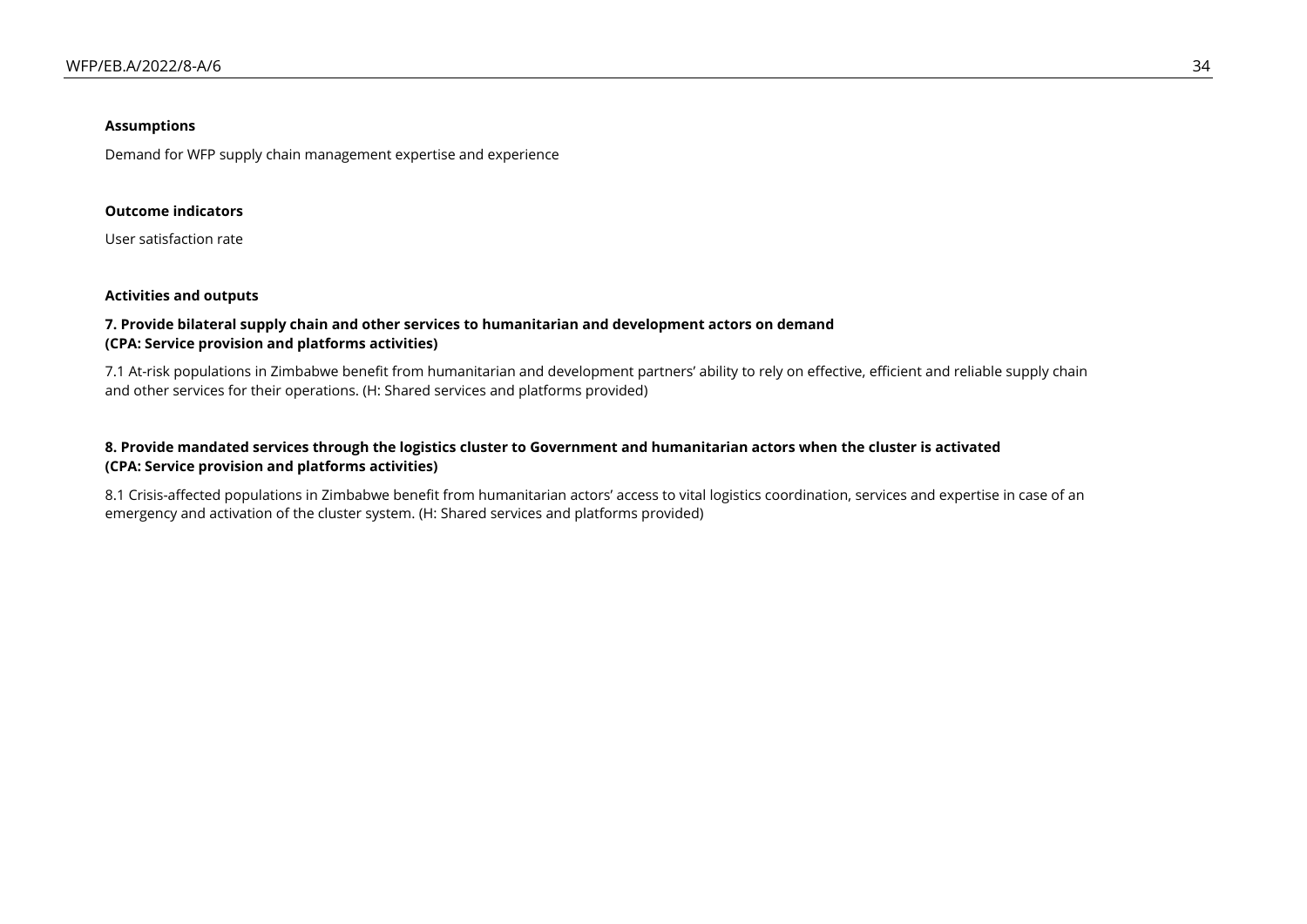#### **Assumptions**

Demand for WFP supply chain management expertise and experience

#### **Outcome indicators**

User satisfaction rate

#### **Activities and outputs**

#### **7. Provide bilateral supply chain and other services to humanitarian and development actors on demand (CPA: Service provision and platforms activities)**

7.1 At-risk populations in Zimbabwe benefit from humanitarian and development partners' ability to rely on effective, efficient and reliable supply chain and other services for their operations. (H: Shared services and platforms provided)

#### **8. Provide mandated services through the logistics cluster to Government and humanitarian actors when the cluster is activated (CPA: Service provision and platforms activities)**

8.1 Crisis-affected populations in Zimbabwe benefit from humanitarian actors' access to vital logistics coordination, services and expertise in case of an emergency and activation of the cluster system. (H: Shared services and platforms provided)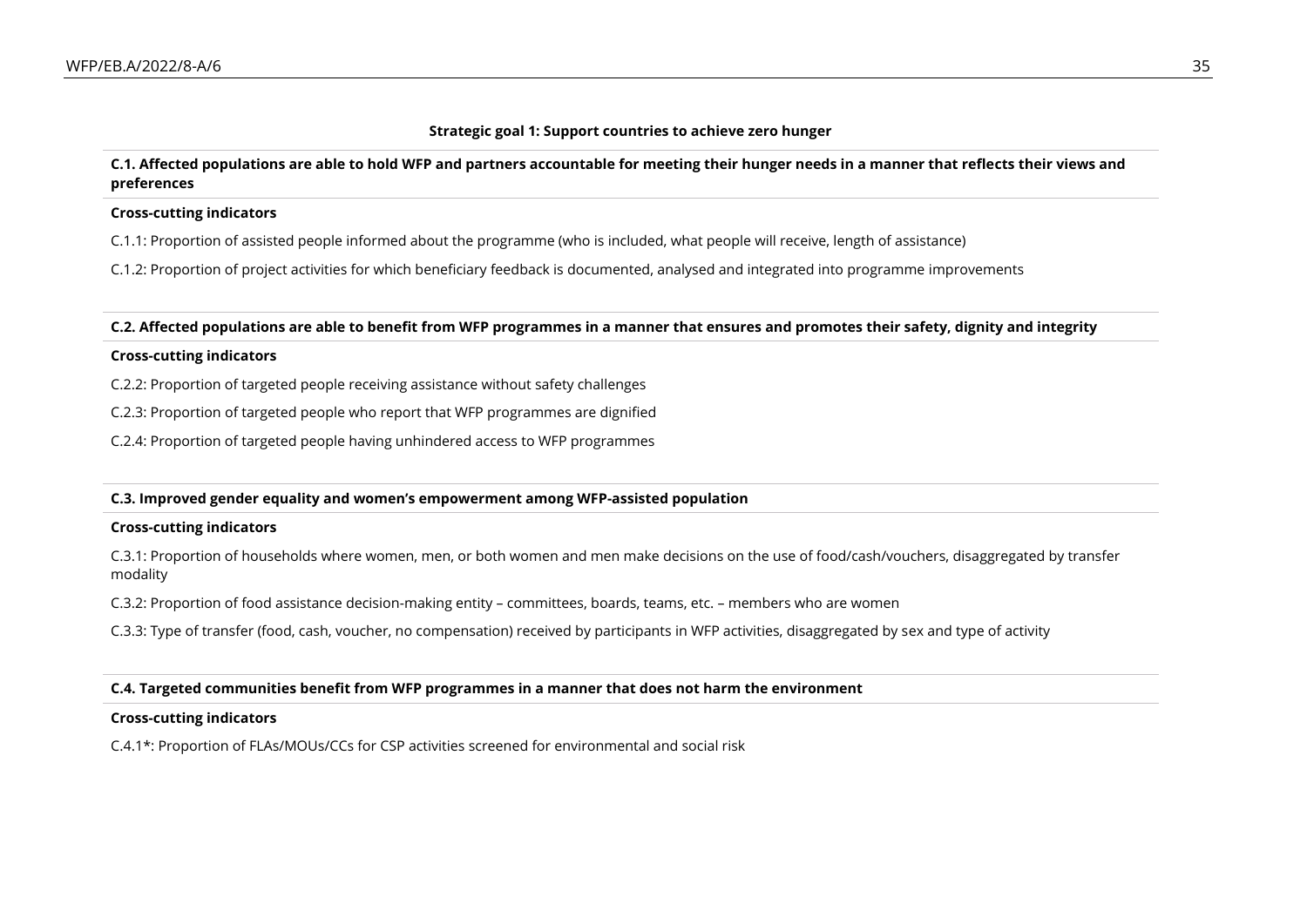#### **Strategic goal 1: Support countries to achieve zero hunger**

#### **C.1. Affected populations are able to hold WFP and partners accountable for meeting their hunger needs in a manner that reflects their views and preferences**

#### **Cross-cutting indicators**

C.1.1: Proportion of assisted people informed about the programme (who is included, what people will receive, length of assistance)

C.1.2: Proportion of project activities for which beneficiary feedback is documented, analysed and integrated into programme improvements

**C.2. Affected populations are able to benefit from WFP programmes in a manner that ensures and promotes their safety, dignity and integrity**

#### **Cross-cutting indicators**

C.2.2: Proportion of targeted people receiving assistance without safety challenges

C.2.3: Proportion of targeted people who report that WFP programmes are dignified

C.2.4: Proportion of targeted people having unhindered access to WFP programmes

#### **C.3. Improved gender equality and women's empowerment among WFP-assisted population**

#### **Cross-cutting indicators**

C.3.1: Proportion of households where women, men, or both women and men make decisions on the use of food/cash/vouchers, disaggregated by transfer modality

C.3.2: Proportion of food assistance decision-making entity – committees, boards, teams, etc. – members who are women

C.3.3: Type of transfer (food, cash, voucher, no compensation) received by participants in WFP activities, disaggregated by sex and type of activity

#### **C.4. Targeted communities benefit from WFP programmes in a manner that does not harm the environment**

#### **Cross-cutting indicators**

C.4.1\*: Proportion of FLAs/MOUs/CCs for CSP activities screened for environmental and social risk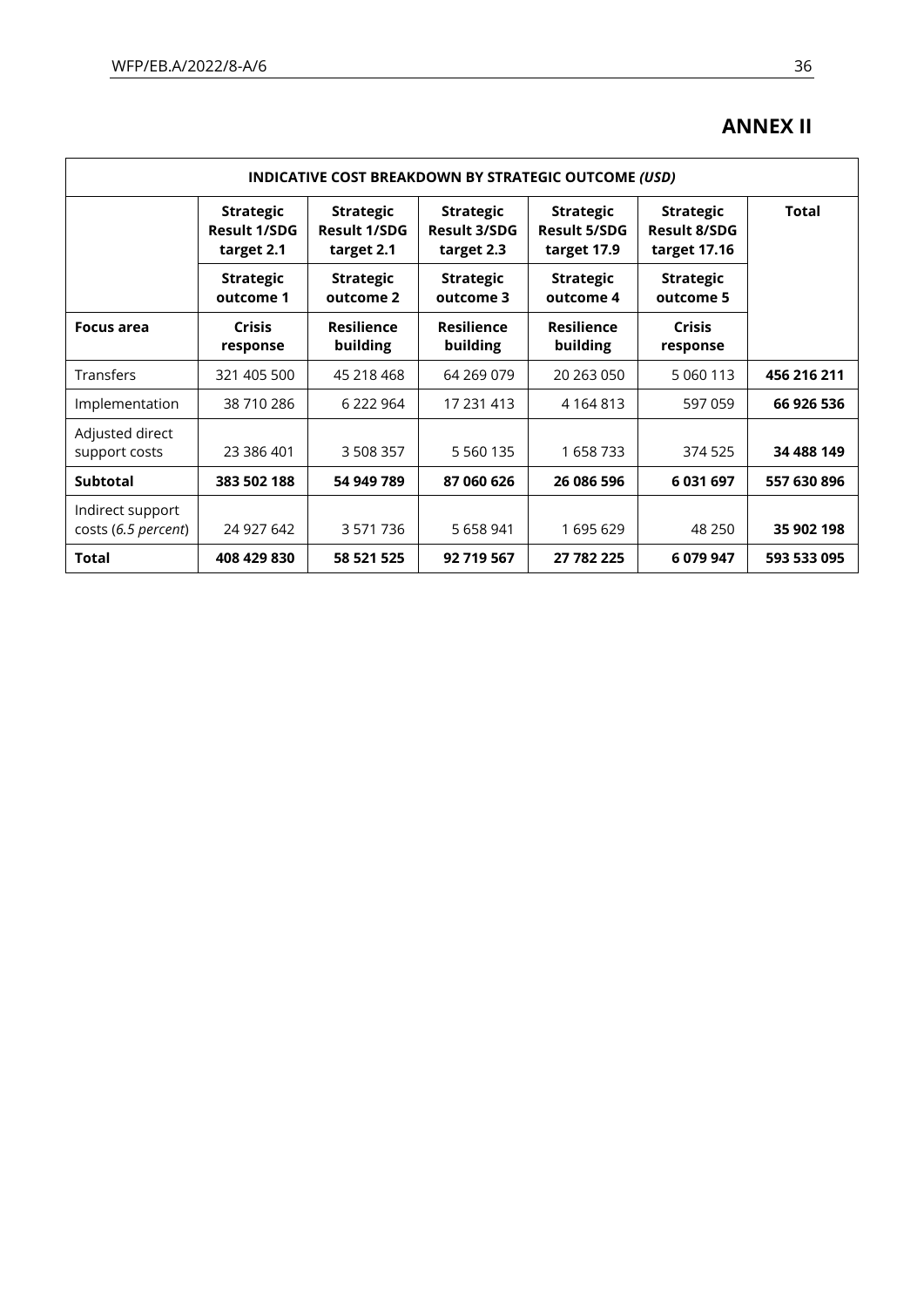## **ANNEX II**

| <b>INDICATIVE COST BREAKDOWN BY STRATEGIC OUTCOME (USD)</b> |                                                       |                                                       |                                                       |                                                        |                                                         |             |  |  |
|-------------------------------------------------------------|-------------------------------------------------------|-------------------------------------------------------|-------------------------------------------------------|--------------------------------------------------------|---------------------------------------------------------|-------------|--|--|
|                                                             | <b>Strategic</b><br><b>Result 1/SDG</b><br>target 2.1 | <b>Strategic</b><br><b>Result 1/SDG</b><br>target 2.1 | <b>Strategic</b><br><b>Result 3/SDG</b><br>target 2.3 | <b>Strategic</b><br><b>Result 5/SDG</b><br>target 17.9 | <b>Strategic</b><br><b>Result 8/SDG</b><br>target 17.16 | Total       |  |  |
|                                                             | <b>Strategic</b><br>outcome 1                         | <b>Strategic</b><br>outcome 2                         | <b>Strategic</b><br>outcome 3                         | Strategic<br>outcome 4                                 | <b>Strategic</b><br>outcome 5                           |             |  |  |
| <b>Focus area</b>                                           | <b>Crisis</b><br>response                             | <b>Resilience</b><br>building                         | <b>Resilience</b><br>building                         | <b>Resilience</b><br>building                          | <b>Crisis</b><br>response                               |             |  |  |
| <b>Transfers</b>                                            | 321 405 500                                           | 45 218 468                                            | 64 269 079                                            | 20 263 050                                             | 5 060 113                                               | 456 216 211 |  |  |
| Implementation                                              | 38 710 286                                            | 6 222 964                                             | 17 231 413                                            | 4 1 6 4 8 1 3                                          | 597 059                                                 | 66 926 536  |  |  |
| Adjusted direct<br>support costs                            | 23 386 401                                            | 3 508 357                                             | 5 5 6 0 1 3 5                                         | 1658733                                                | 374 525                                                 | 34 488 149  |  |  |
| <b>Subtotal</b>                                             | 383 502 188                                           | 54 949 789                                            | 87 060 626                                            | 26 086 596                                             | 6 031 697                                               | 557 630 896 |  |  |
| Indirect support<br>costs (6.5 percent)                     | 24 927 642                                            | 3 571 736                                             | 5 6 5 8 9 4 1                                         | 1695629                                                | 48 250                                                  | 35 902 198  |  |  |
| Total                                                       | 408 429 830                                           | 58 521 525                                            | 92 719 567                                            | 27 782 225                                             | 6 079 947                                               | 593 533 095 |  |  |